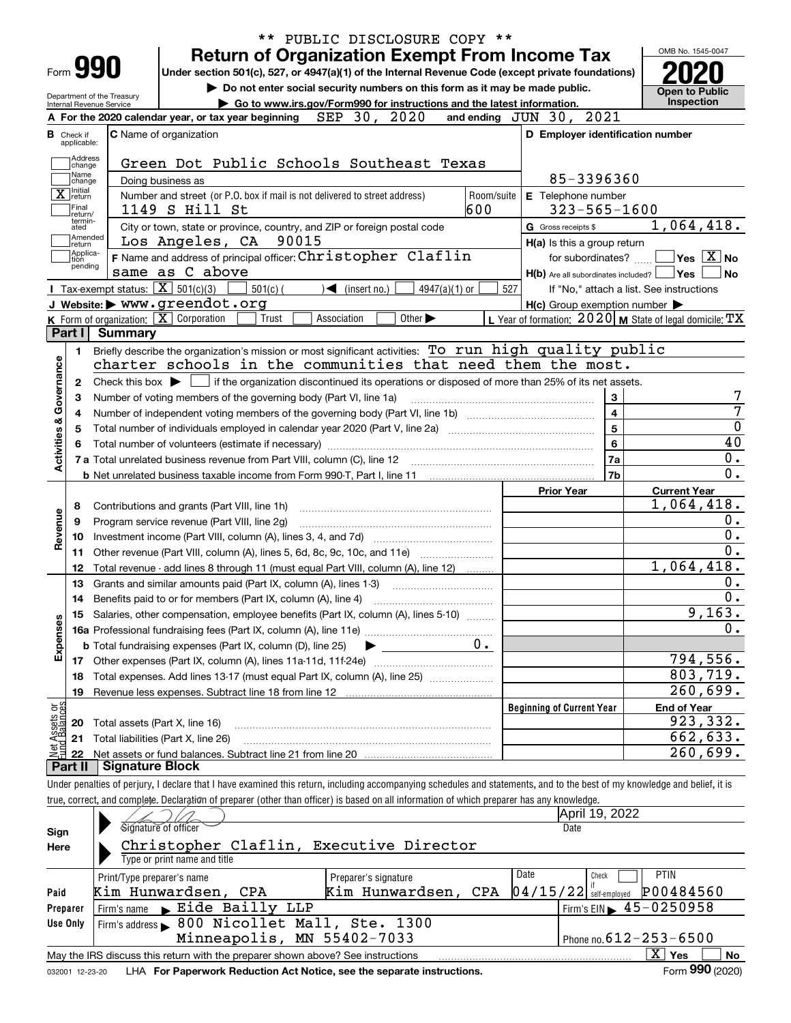| PUBLIC DISCLOSURE COPY **                                                                                                                                                  |                                                                                                                                                                                                                                                                                                                                                                                                                                                                                                                                                                                                                                                                                                                                                                                                                                                                                                                                                                                                                                                                                                                  |
|----------------------------------------------------------------------------------------------------------------------------------------------------------------------------|------------------------------------------------------------------------------------------------------------------------------------------------------------------------------------------------------------------------------------------------------------------------------------------------------------------------------------------------------------------------------------------------------------------------------------------------------------------------------------------------------------------------------------------------------------------------------------------------------------------------------------------------------------------------------------------------------------------------------------------------------------------------------------------------------------------------------------------------------------------------------------------------------------------------------------------------------------------------------------------------------------------------------------------------------------------------------------------------------------------|
|                                                                                                                                                                            | OMB No. 1545-0047                                                                                                                                                                                                                                                                                                                                                                                                                                                                                                                                                                                                                                                                                                                                                                                                                                                                                                                                                                                                                                                                                                |
|                                                                                                                                                                            |                                                                                                                                                                                                                                                                                                                                                                                                                                                                                                                                                                                                                                                                                                                                                                                                                                                                                                                                                                                                                                                                                                                  |
|                                                                                                                                                                            | <b>Open to Public</b>                                                                                                                                                                                                                                                                                                                                                                                                                                                                                                                                                                                                                                                                                                                                                                                                                                                                                                                                                                                                                                                                                            |
|                                                                                                                                                                            | Inspection                                                                                                                                                                                                                                                                                                                                                                                                                                                                                                                                                                                                                                                                                                                                                                                                                                                                                                                                                                                                                                                                                                       |
|                                                                                                                                                                            |                                                                                                                                                                                                                                                                                                                                                                                                                                                                                                                                                                                                                                                                                                                                                                                                                                                                                                                                                                                                                                                                                                                  |
| D Employer identification number                                                                                                                                           |                                                                                                                                                                                                                                                                                                                                                                                                                                                                                                                                                                                                                                                                                                                                                                                                                                                                                                                                                                                                                                                                                                                  |
|                                                                                                                                                                            |                                                                                                                                                                                                                                                                                                                                                                                                                                                                                                                                                                                                                                                                                                                                                                                                                                                                                                                                                                                                                                                                                                                  |
|                                                                                                                                                                            |                                                                                                                                                                                                                                                                                                                                                                                                                                                                                                                                                                                                                                                                                                                                                                                                                                                                                                                                                                                                                                                                                                                  |
|                                                                                                                                                                            |                                                                                                                                                                                                                                                                                                                                                                                                                                                                                                                                                                                                                                                                                                                                                                                                                                                                                                                                                                                                                                                                                                                  |
|                                                                                                                                                                            |                                                                                                                                                                                                                                                                                                                                                                                                                                                                                                                                                                                                                                                                                                                                                                                                                                                                                                                                                                                                                                                                                                                  |
|                                                                                                                                                                            | 1,064,418.                                                                                                                                                                                                                                                                                                                                                                                                                                                                                                                                                                                                                                                                                                                                                                                                                                                                                                                                                                                                                                                                                                       |
|                                                                                                                                                                            |                                                                                                                                                                                                                                                                                                                                                                                                                                                                                                                                                                                                                                                                                                                                                                                                                                                                                                                                                                                                                                                                                                                  |
|                                                                                                                                                                            | $\Box$ Yes $[X]$ No                                                                                                                                                                                                                                                                                                                                                                                                                                                                                                                                                                                                                                                                                                                                                                                                                                                                                                                                                                                                                                                                                              |
|                                                                                                                                                                            | ∣No                                                                                                                                                                                                                                                                                                                                                                                                                                                                                                                                                                                                                                                                                                                                                                                                                                                                                                                                                                                                                                                                                                              |
|                                                                                                                                                                            | If "No," attach a list. See instructions                                                                                                                                                                                                                                                                                                                                                                                                                                                                                                                                                                                                                                                                                                                                                                                                                                                                                                                                                                                                                                                                         |
|                                                                                                                                                                            |                                                                                                                                                                                                                                                                                                                                                                                                                                                                                                                                                                                                                                                                                                                                                                                                                                                                                                                                                                                                                                                                                                                  |
|                                                                                                                                                                            |                                                                                                                                                                                                                                                                                                                                                                                                                                                                                                                                                                                                                                                                                                                                                                                                                                                                                                                                                                                                                                                                                                                  |
|                                                                                                                                                                            |                                                                                                                                                                                                                                                                                                                                                                                                                                                                                                                                                                                                                                                                                                                                                                                                                                                                                                                                                                                                                                                                                                                  |
|                                                                                                                                                                            |                                                                                                                                                                                                                                                                                                                                                                                                                                                                                                                                                                                                                                                                                                                                                                                                                                                                                                                                                                                                                                                                                                                  |
|                                                                                                                                                                            |                                                                                                                                                                                                                                                                                                                                                                                                                                                                                                                                                                                                                                                                                                                                                                                                                                                                                                                                                                                                                                                                                                                  |
|                                                                                                                                                                            |                                                                                                                                                                                                                                                                                                                                                                                                                                                                                                                                                                                                                                                                                                                                                                                                                                                                                                                                                                                                                                                                                                                  |
|                                                                                                                                                                            |                                                                                                                                                                                                                                                                                                                                                                                                                                                                                                                                                                                                                                                                                                                                                                                                                                                                                                                                                                                                                                                                                                                  |
|                                                                                                                                                                            |                                                                                                                                                                                                                                                                                                                                                                                                                                                                                                                                                                                                                                                                                                                                                                                                                                                                                                                                                                                                                                                                                                                  |
|                                                                                                                                                                            |                                                                                                                                                                                                                                                                                                                                                                                                                                                                                                                                                                                                                                                                                                                                                                                                                                                                                                                                                                                                                                                                                                                  |
|                                                                                                                                                                            |                                                                                                                                                                                                                                                                                                                                                                                                                                                                                                                                                                                                                                                                                                                                                                                                                                                                                                                                                                                                                                                                                                                  |
|                                                                                                                                                                            |                                                                                                                                                                                                                                                                                                                                                                                                                                                                                                                                                                                                                                                                                                                                                                                                                                                                                                                                                                                                                                                                                                                  |
|                                                                                                                                                                            |                                                                                                                                                                                                                                                                                                                                                                                                                                                                                                                                                                                                                                                                                                                                                                                                                                                                                                                                                                                                                                                                                                                  |
|                                                                                                                                                                            | <b>Current Year</b>                                                                                                                                                                                                                                                                                                                                                                                                                                                                                                                                                                                                                                                                                                                                                                                                                                                                                                                                                                                                                                                                                              |
|                                                                                                                                                                            | 1,064,418.                                                                                                                                                                                                                                                                                                                                                                                                                                                                                                                                                                                                                                                                                                                                                                                                                                                                                                                                                                                                                                                                                                       |
|                                                                                                                                                                            |                                                                                                                                                                                                                                                                                                                                                                                                                                                                                                                                                                                                                                                                                                                                                                                                                                                                                                                                                                                                                                                                                                                  |
|                                                                                                                                                                            |                                                                                                                                                                                                                                                                                                                                                                                                                                                                                                                                                                                                                                                                                                                                                                                                                                                                                                                                                                                                                                                                                                                  |
|                                                                                                                                                                            |                                                                                                                                                                                                                                                                                                                                                                                                                                                                                                                                                                                                                                                                                                                                                                                                                                                                                                                                                                                                                                                                                                                  |
|                                                                                                                                                                            | 1,064,418.                                                                                                                                                                                                                                                                                                                                                                                                                                                                                                                                                                                                                                                                                                                                                                                                                                                                                                                                                                                                                                                                                                       |
|                                                                                                                                                                            |                                                                                                                                                                                                                                                                                                                                                                                                                                                                                                                                                                                                                                                                                                                                                                                                                                                                                                                                                                                                                                                                                                                  |
|                                                                                                                                                                            |                                                                                                                                                                                                                                                                                                                                                                                                                                                                                                                                                                                                                                                                                                                                                                                                                                                                                                                                                                                                                                                                                                                  |
|                                                                                                                                                                            |                                                                                                                                                                                                                                                                                                                                                                                                                                                                                                                                                                                                                                                                                                                                                                                                                                                                                                                                                                                                                                                                                                                  |
|                                                                                                                                                                            |                                                                                                                                                                                                                                                                                                                                                                                                                                                                                                                                                                                                                                                                                                                                                                                                                                                                                                                                                                                                                                                                                                                  |
|                                                                                                                                                                            |                                                                                                                                                                                                                                                                                                                                                                                                                                                                                                                                                                                                                                                                                                                                                                                                                                                                                                                                                                                                                                                                                                                  |
|                                                                                                                                                                            |                                                                                                                                                                                                                                                                                                                                                                                                                                                                                                                                                                                                                                                                                                                                                                                                                                                                                                                                                                                                                                                                                                                  |
|                                                                                                                                                                            |                                                                                                                                                                                                                                                                                                                                                                                                                                                                                                                                                                                                                                                                                                                                                                                                                                                                                                                                                                                                                                                                                                                  |
|                                                                                                                                                                            |                                                                                                                                                                                                                                                                                                                                                                                                                                                                                                                                                                                                                                                                                                                                                                                                                                                                                                                                                                                                                                                                                                                  |
|                                                                                                                                                                            |                                                                                                                                                                                                                                                                                                                                                                                                                                                                                                                                                                                                                                                                                                                                                                                                                                                                                                                                                                                                                                                                                                                  |
|                                                                                                                                                                            |                                                                                                                                                                                                                                                                                                                                                                                                                                                                                                                                                                                                                                                                                                                                                                                                                                                                                                                                                                                                                                                                                                                  |
| <b>Beginning of Current Year</b>                                                                                                                                           | <b>End of Year</b>                                                                                                                                                                                                                                                                                                                                                                                                                                                                                                                                                                                                                                                                                                                                                                                                                                                                                                                                                                                                                                                                                               |
|                                                                                                                                                                            |                                                                                                                                                                                                                                                                                                                                                                                                                                                                                                                                                                                                                                                                                                                                                                                                                                                                                                                                                                                                                                                                                                                  |
|                                                                                                                                                                            |                                                                                                                                                                                                                                                                                                                                                                                                                                                                                                                                                                                                                                                                                                                                                                                                                                                                                                                                                                                                                                                                                                                  |
|                                                                                                                                                                            |                                                                                                                                                                                                                                                                                                                                                                                                                                                                                                                                                                                                                                                                                                                                                                                                                                                                                                                                                                                                                                                                                                                  |
|                                                                                                                                                                            |                                                                                                                                                                                                                                                                                                                                                                                                                                                                                                                                                                                                                                                                                                                                                                                                                                                                                                                                                                                                                                                                                                                  |
| Under penalties of perjury, I declare that I have examined this return, including accompanying schedules and statements, and to the best of my knowledge and belief, it is |                                                                                                                                                                                                                                                                                                                                                                                                                                                                                                                                                                                                                                                                                                                                                                                                                                                                                                                                                                                                                                                                                                                  |
| true, correct, and complete. Declaration of preparer (other than officer) is based on all information of which preparer has any knowledge.<br>April 19, 2022               | $\overline{0}$ .<br>9,163.<br>794, 556.<br>803,719.<br>260,699.<br>923,332.<br>662,633.<br>$\overline{2}60,699.$                                                                                                                                                                                                                                                                                                                                                                                                                                                                                                                                                                                                                                                                                                                                                                                                                                                                                                                                                                                                 |
|                                                                                                                                                                            | <b>Return of Organization Exempt From Income Tax</b><br>Under section 501(c), 527, or 4947(a)(1) of the Internal Revenue Code (except private foundations)<br>Do not enter social security numbers on this form as it may be made public.<br>Go to www.irs.gov/Form990 for instructions and the latest information.<br>and ending JUN 30, 2021<br>85-3396360<br>Room/suite<br>E Telephone number<br>$323 - 565 - 1600$<br>G Gross receipts \$<br>H(a) Is this a group return<br>for subordinates?<br>$H(b)$ Are all subordinates included? $\Box$ Yes<br>527<br>$H(c)$ Group exemption number $\blacktriangleright$<br>L Year of formation: $2020$ M State of legal domicile: $TX$<br>Briefly describe the organization's mission or most significant activities: To run high quality public<br>charter schools in the communities that need them the most.<br>Check this box $\blacktriangleright$ if the organization discontinued its operations or disposed of more than 25% of its net assets.<br>$\mathbf{3}$<br>$\overline{\mathbf{4}}$<br>$5^{\circ}$<br>$6\phantom{a}$<br>7a<br>7b<br><b>Prior Year</b> |

| Sign     | Signature of officer                                                                           | Date                         |                                                    |  |  |  |  |  |  |  |  |  |  |
|----------|------------------------------------------------------------------------------------------------|------------------------------|----------------------------------------------------|--|--|--|--|--|--|--|--|--|--|
| Here     | Christopher Claflin, Executive Director                                                        |                              |                                                    |  |  |  |  |  |  |  |  |  |  |
|          | Type or print name and title                                                                   |                              |                                                    |  |  |  |  |  |  |  |  |  |  |
|          | Print/Type preparer's name                                                                     | <b>PTIN</b><br>Date<br>Check |                                                    |  |  |  |  |  |  |  |  |  |  |
| Paid     | Kim Hunwardsen, CPA                                                                            | Kim Hunwardsen, CPA          | P00484560<br>$\left 04/15/22\right $ self-employed |  |  |  |  |  |  |  |  |  |  |
| Preparer | $Firm's name \rightharpoonup \rightharpoonup$ Eide Bailly LLP                                  |                              | Firm's EIN $\blacktriangleright$ 45-0250958        |  |  |  |  |  |  |  |  |  |  |
| Use Only | Firm's address > 800 Nicollet Mall, Ste. 1300                                                  |                              |                                                    |  |  |  |  |  |  |  |  |  |  |
|          | Minneapolis, MN 55402-7033<br>Phone no. $612 - 253 - 6500$                                     |                              |                                                    |  |  |  |  |  |  |  |  |  |  |
|          | May the IRS discuss this return with the preparer shown above? See instructions                |                              | x.<br>No<br>Yes                                    |  |  |  |  |  |  |  |  |  |  |
|          | second to see a set I LIA. For Dependingly Deduction Act Notice, and the concrete instructions |                              | $F_{\text{arm}}$ 990 (2020)                        |  |  |  |  |  |  |  |  |  |  |

**990**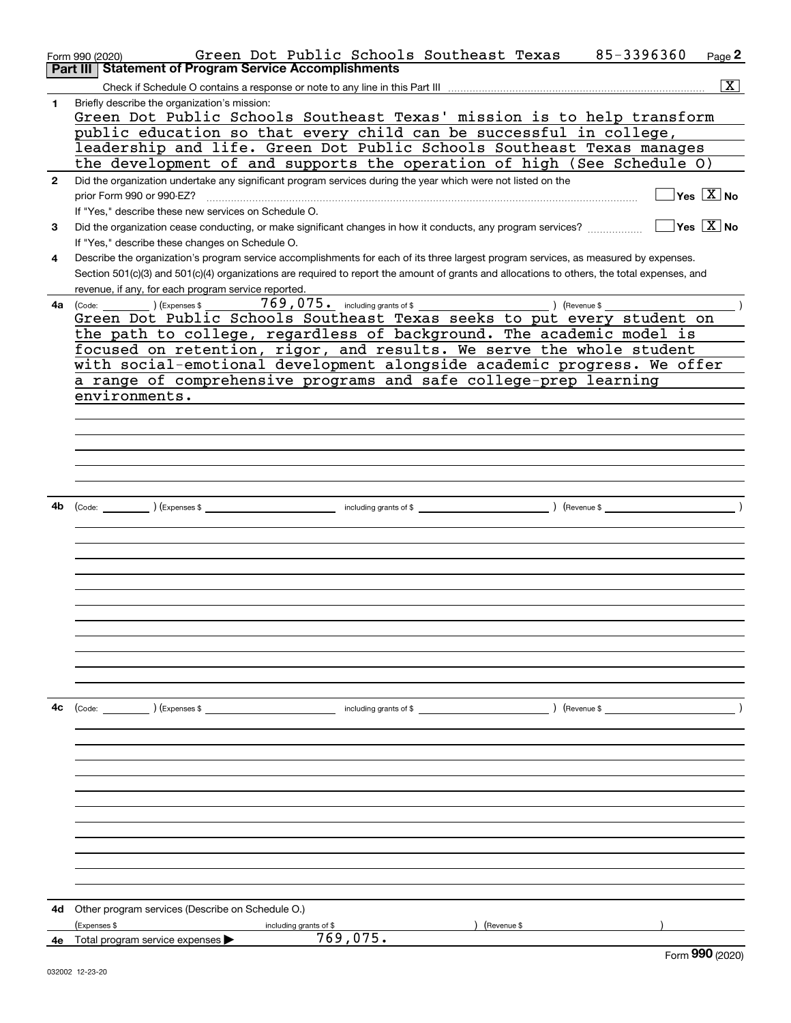|              | Green Dot Public Schools Southeast Texas<br>85-3396360<br>Form 990 (2020)                                                                                                                                                           | Page 2                  |
|--------------|-------------------------------------------------------------------------------------------------------------------------------------------------------------------------------------------------------------------------------------|-------------------------|
|              | Part III   Statement of Program Service Accomplishments                                                                                                                                                                             |                         |
|              |                                                                                                                                                                                                                                     | $\overline{\mathbf{x}}$ |
| 1            | Briefly describe the organization's mission:<br>Green Dot Public Schools Southeast Texas' mission is to help transform                                                                                                              |                         |
|              | public education so that every child can be successful in college,                                                                                                                                                                  |                         |
|              | leadership and life. Green Dot Public Schools Southeast Texas manages                                                                                                                                                               |                         |
|              | the development of and supports the operation of high (See Schedule O)                                                                                                                                                              |                         |
| $\mathbf{2}$ | Did the organization undertake any significant program services during the year which were not listed on the                                                                                                                        |                         |
|              | $\overline{\mathsf{Yes} \mathrel{\overline{X}}$ No<br>prior Form 990 or 990-EZ?                                                                                                                                                     |                         |
|              | If "Yes," describe these new services on Schedule O.                                                                                                                                                                                |                         |
| 3            | $\sqrt{}$ Yes $\sqrt{X}$ No<br>Did the organization cease conducting, or make significant changes in how it conducts, any program services?<br>If "Yes," describe these changes on Schedule O.                                      |                         |
| 4            | Describe the organization's program service accomplishments for each of its three largest program services, as measured by expenses.                                                                                                |                         |
|              | Section 501(c)(3) and 501(c)(4) organizations are required to report the amount of grants and allocations to others, the total expenses, and                                                                                        |                         |
|              | revenue, if any, for each program service reported.                                                                                                                                                                                 |                         |
|              | <b>4a</b> (Code: ) (Expenses \$                                                                                                                                                                                                     |                         |
|              | Green Dot Public Schools Southeast Texas seeks to put every student on                                                                                                                                                              |                         |
|              | the path to college, regardless of background. The academic model is                                                                                                                                                                |                         |
|              | focused on retention, rigor, and results. We serve the whole student                                                                                                                                                                |                         |
|              | with social-emotional development alongside academic progress. We offer                                                                                                                                                             |                         |
|              |                                                                                                                                                                                                                                     |                         |
|              | a range of comprehensive programs and safe college-prep learning                                                                                                                                                                    |                         |
|              | environments.                                                                                                                                                                                                                       |                         |
|              |                                                                                                                                                                                                                                     |                         |
|              |                                                                                                                                                                                                                                     |                         |
|              |                                                                                                                                                                                                                                     |                         |
|              |                                                                                                                                                                                                                                     |                         |
|              |                                                                                                                                                                                                                                     |                         |
|              |                                                                                                                                                                                                                                     |                         |
| 4b           | (Code: <u>Code:</u> etc. Code: etc. Code: etc. Code: etc. Code: etc. Code: etc. Code: etc. Code: etc. Code: etc. Code: etc. Code: etc. Code: etc. Code: etc. Code: etc. Code: etc. Code: etc. Code: etc. Code: etc. Code: etc. Code |                         |
|              |                                                                                                                                                                                                                                     |                         |
|              |                                                                                                                                                                                                                                     |                         |
|              |                                                                                                                                                                                                                                     |                         |
|              |                                                                                                                                                                                                                                     |                         |
|              |                                                                                                                                                                                                                                     |                         |
|              |                                                                                                                                                                                                                                     |                         |
|              |                                                                                                                                                                                                                                     |                         |
|              |                                                                                                                                                                                                                                     |                         |
|              |                                                                                                                                                                                                                                     |                         |
|              |                                                                                                                                                                                                                                     |                         |
|              |                                                                                                                                                                                                                                     |                         |
|              |                                                                                                                                                                                                                                     |                         |
|              |                                                                                                                                                                                                                                     |                         |
| 4с           |                                                                                                                                                                                                                                     |                         |
|              |                                                                                                                                                                                                                                     |                         |
|              |                                                                                                                                                                                                                                     |                         |
|              |                                                                                                                                                                                                                                     |                         |
|              |                                                                                                                                                                                                                                     |                         |
|              |                                                                                                                                                                                                                                     |                         |
|              |                                                                                                                                                                                                                                     |                         |
|              |                                                                                                                                                                                                                                     |                         |
|              |                                                                                                                                                                                                                                     |                         |
|              |                                                                                                                                                                                                                                     |                         |
|              |                                                                                                                                                                                                                                     |                         |
|              |                                                                                                                                                                                                                                     |                         |
|              |                                                                                                                                                                                                                                     |                         |
|              |                                                                                                                                                                                                                                     |                         |
|              | 4d Other program services (Describe on Schedule O.)                                                                                                                                                                                 |                         |
|              | (Expenses \$<br>) (Revenue \$<br>including grants of \$                                                                                                                                                                             |                         |
| 4е           | 769,075.<br>Total program service expenses<br>$F_{\text{c}}$ QQO (2020)                                                                                                                                                             |                         |
|              |                                                                                                                                                                                                                                     |                         |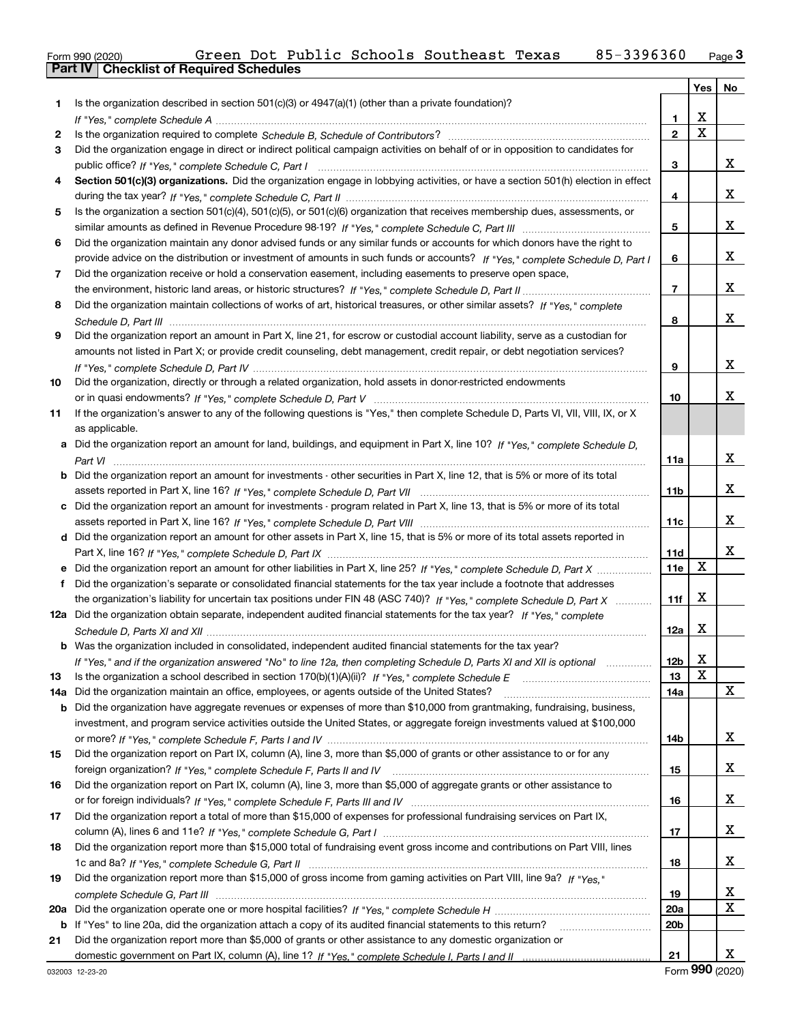| Form 990 (2020)                                | Green |  | Dot Public Schools Southeast Texas | 85-3396360 | Page $3$ |
|------------------------------------------------|-------|--|------------------------------------|------------|----------|
| <b>Part IV Checklist of Required Schedules</b> |       |  |                                    |            |          |

|     |                                                                                                                                       |                 | Yes         | No |
|-----|---------------------------------------------------------------------------------------------------------------------------------------|-----------------|-------------|----|
| 1.  | Is the organization described in section $501(c)(3)$ or $4947(a)(1)$ (other than a private foundation)?                               |                 |             |    |
|     |                                                                                                                                       | 1.              | х           |    |
| 2   |                                                                                                                                       | $\overline{2}$  | $\mathbf x$ |    |
| 3   | Did the organization engage in direct or indirect political campaign activities on behalf of or in opposition to candidates for       |                 |             |    |
|     |                                                                                                                                       | 3               |             | x  |
| 4   | Section 501(c)(3) organizations. Did the organization engage in lobbying activities, or have a section 501(h) election in effect      |                 |             |    |
|     |                                                                                                                                       | 4               |             | x  |
| 5   | Is the organization a section 501(c)(4), 501(c)(5), or 501(c)(6) organization that receives membership dues, assessments, or          |                 |             |    |
|     |                                                                                                                                       | 5               |             | x  |
| 6   | Did the organization maintain any donor advised funds or any similar funds or accounts for which donors have the right to             |                 |             |    |
|     | provide advice on the distribution or investment of amounts in such funds or accounts? If "Yes," complete Schedule D, Part I          | 6               |             | x  |
| 7   | Did the organization receive or hold a conservation easement, including easements to preserve open space,                             |                 |             |    |
|     |                                                                                                                                       | $\overline{7}$  |             | X. |
| 8   | Did the organization maintain collections of works of art, historical treasures, or other similar assets? If "Yes," complete          |                 |             |    |
|     |                                                                                                                                       | 8               |             | X. |
| 9   | Did the organization report an amount in Part X, line 21, for escrow or custodial account liability, serve as a custodian for         |                 |             |    |
|     | amounts not listed in Part X; or provide credit counseling, debt management, credit repair, or debt negotiation services?             |                 |             |    |
|     |                                                                                                                                       | 9               |             | x  |
| 10  | Did the organization, directly or through a related organization, hold assets in donor-restricted endowments                          |                 |             |    |
|     |                                                                                                                                       | 10              |             | x  |
| 11  | If the organization's answer to any of the following questions is "Yes," then complete Schedule D, Parts VI, VII, VIII, IX, or X      |                 |             |    |
|     | as applicable.                                                                                                                        |                 |             |    |
|     | a Did the organization report an amount for land, buildings, and equipment in Part X, line 10? If "Yes," complete Schedule D,         |                 |             |    |
|     |                                                                                                                                       | 11a             |             | x  |
|     | <b>b</b> Did the organization report an amount for investments - other securities in Part X, line 12, that is 5% or more of its total |                 |             |    |
|     |                                                                                                                                       | 11 <sub>b</sub> |             | X. |
|     | c Did the organization report an amount for investments - program related in Part X, line 13, that is 5% or more of its total         |                 |             |    |
|     |                                                                                                                                       | 11c             |             | x  |
|     | d Did the organization report an amount for other assets in Part X, line 15, that is 5% or more of its total assets reported in       |                 |             |    |
|     |                                                                                                                                       | <b>11d</b>      |             | x  |
|     | e Did the organization report an amount for other liabilities in Part X, line 25? If "Yes," complete Schedule D, Part X               | 11e             | х           |    |
| f   | Did the organization's separate or consolidated financial statements for the tax year include a footnote that addresses               |                 | х           |    |
|     | the organization's liability for uncertain tax positions under FIN 48 (ASC 740)? If "Yes," complete Schedule D, Part X                | 11f             |             |    |
|     | 12a Did the organization obtain separate, independent audited financial statements for the tax year? If "Yes," complete               |                 | х           |    |
|     |                                                                                                                                       | 12a             |             |    |
|     | <b>b</b> Was the organization included in consolidated, independent audited financial statements for the tax year?                    |                 | X           |    |
| 13  | If "Yes," and if the organization answered "No" to line 12a, then completing Schedule D, Parts XI and XII is optional manum           | 12b<br>13       | х           |    |
|     | Did the organization maintain an office, employees, or agents outside of the United States?                                           | 14a             |             | x  |
| 14a | <b>b</b> Did the organization have aggregate revenues or expenses of more than \$10,000 from grantmaking, fundraising, business,      |                 |             |    |
|     | investment, and program service activities outside the United States, or aggregate foreign investments valued at \$100,000            |                 |             |    |
|     |                                                                                                                                       | 14b             |             | X  |
| 15  | Did the organization report on Part IX, column (A), line 3, more than \$5,000 of grants or other assistance to or for any             |                 |             |    |
|     |                                                                                                                                       | 15              |             | x  |
| 16  | Did the organization report on Part IX, column (A), line 3, more than \$5,000 of aggregate grants or other assistance to              |                 |             |    |
|     |                                                                                                                                       | 16              |             | x  |
| 17  | Did the organization report a total of more than \$15,000 of expenses for professional fundraising services on Part IX,               |                 |             |    |
|     |                                                                                                                                       | 17              |             | x  |
| 18  | Did the organization report more than \$15,000 total of fundraising event gross income and contributions on Part VIII, lines          |                 |             |    |
|     |                                                                                                                                       | 18              |             | x  |
| 19  | Did the organization report more than \$15,000 of gross income from gaming activities on Part VIII, line 9a? If "Yes."                |                 |             |    |
|     |                                                                                                                                       | 19              |             | x  |
|     |                                                                                                                                       | <b>20a</b>      |             | X  |
|     | b If "Yes" to line 20a, did the organization attach a copy of its audited financial statements to this return?                        | 20 <sub>b</sub> |             |    |
| 21  | Did the organization report more than \$5,000 of grants or other assistance to any domestic organization or                           |                 |             |    |
|     |                                                                                                                                       | 21              |             | x  |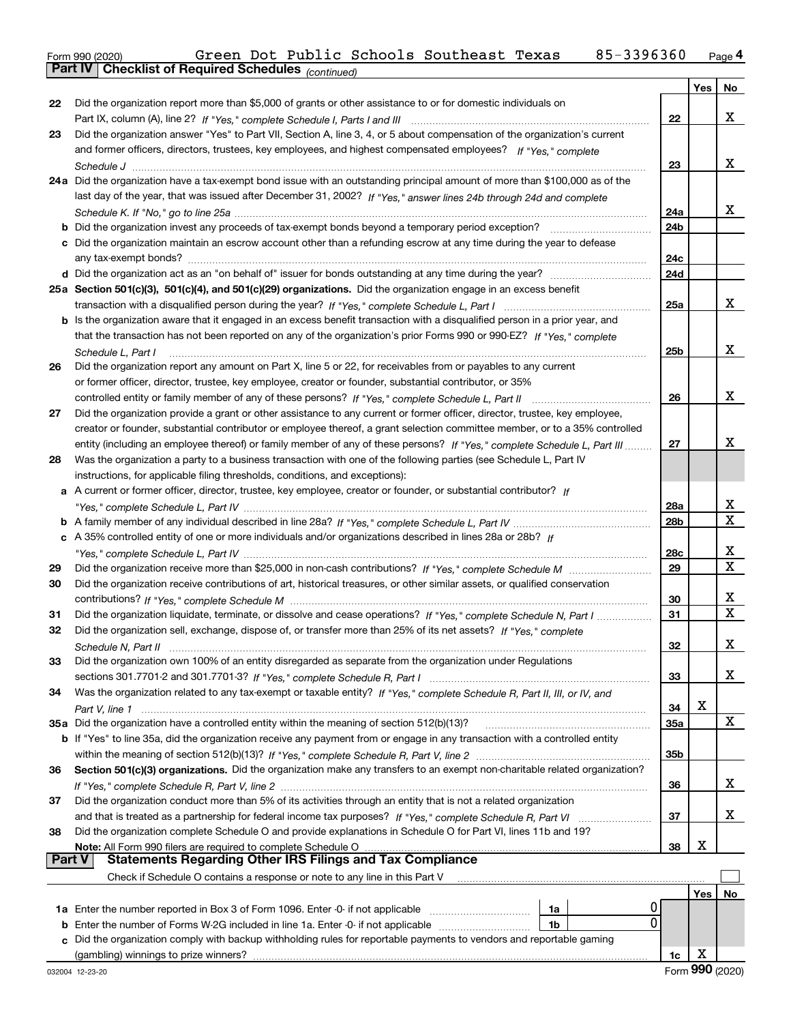| Form 990 (2020) |                                                              |  |  | Green Dot Public Schools Southeast Texas | 85-3396360 | Page $\mathsf 4$ |
|-----------------|--------------------------------------------------------------|--|--|------------------------------------------|------------|------------------|
|                 | <b>Part IV   Checklist of Required Schedules</b> (continued) |  |  |                                          |            |                  |

|        | Pall IV  <br>Crieckist of Required Scriedules (continued)                                                                                                                                          |     |     |             |
|--------|----------------------------------------------------------------------------------------------------------------------------------------------------------------------------------------------------|-----|-----|-------------|
|        |                                                                                                                                                                                                    |     | Yes | No          |
| 22     | Did the organization report more than \$5,000 of grants or other assistance to or for domestic individuals on                                                                                      |     |     |             |
|        |                                                                                                                                                                                                    | 22  |     | х           |
| 23     | Did the organization answer "Yes" to Part VII, Section A, line 3, 4, or 5 about compensation of the organization's current                                                                         |     |     |             |
|        | and former officers, directors, trustees, key employees, and highest compensated employees? If "Yes." complete                                                                                     |     |     |             |
|        |                                                                                                                                                                                                    | 23  |     | x           |
|        | 24a Did the organization have a tax-exempt bond issue with an outstanding principal amount of more than \$100,000 as of the                                                                        |     |     |             |
|        | last day of the year, that was issued after December 31, 2002? If "Yes," answer lines 24b through 24d and complete                                                                                 |     |     |             |
|        |                                                                                                                                                                                                    | 24a |     | х           |
|        | <b>b</b> Did the organization invest any proceeds of tax-exempt bonds beyond a temporary period exception?                                                                                         | 24b |     |             |
|        | c Did the organization maintain an escrow account other than a refunding escrow at any time during the year to defease                                                                             |     |     |             |
|        |                                                                                                                                                                                                    | 24с |     |             |
|        |                                                                                                                                                                                                    | 24d |     |             |
|        | 25a Section 501(c)(3), 501(c)(4), and 501(c)(29) organizations. Did the organization engage in an excess benefit                                                                                   |     |     |             |
|        |                                                                                                                                                                                                    | 25a |     | х           |
|        | b Is the organization aware that it engaged in an excess benefit transaction with a disqualified person in a prior year, and                                                                       |     |     |             |
|        | that the transaction has not been reported on any of the organization's prior Forms 990 or 990-EZ? If "Yes," complete                                                                              |     |     | x           |
|        | Schedule L, Part I                                                                                                                                                                                 | 25b |     |             |
| 26     | Did the organization report any amount on Part X, line 5 or 22, for receivables from or payables to any current                                                                                    |     |     |             |
|        | or former officer, director, trustee, key employee, creator or founder, substantial contributor, or 35%                                                                                            |     |     | x           |
|        |                                                                                                                                                                                                    | 26  |     |             |
| 27     | Did the organization provide a grant or other assistance to any current or former officer, director, trustee, key employee,                                                                        |     |     |             |
|        | creator or founder, substantial contributor or employee thereof, a grant selection committee member, or to a 35% controlled                                                                        |     |     | х           |
|        | entity (including an employee thereof) or family member of any of these persons? If "Yes," complete Schedule L, Part III                                                                           | 27  |     |             |
| 28     | Was the organization a party to a business transaction with one of the following parties (see Schedule L, Part IV                                                                                  |     |     |             |
|        | instructions, for applicable filing thresholds, conditions, and exceptions):<br>a A current or former officer, director, trustee, key employee, creator or founder, or substantial contributor? If |     |     |             |
|        |                                                                                                                                                                                                    | 28a |     | х           |
|        |                                                                                                                                                                                                    | 28b |     | Χ           |
|        | c A 35% controlled entity of one or more individuals and/or organizations described in lines 28a or 28b? If                                                                                        |     |     |             |
|        |                                                                                                                                                                                                    | 28c |     | х           |
| 29     |                                                                                                                                                                                                    | 29  |     | $\mathbf X$ |
| 30     | Did the organization receive contributions of art, historical treasures, or other similar assets, or qualified conservation                                                                        |     |     |             |
|        |                                                                                                                                                                                                    | 30  |     | x           |
| 31     | Did the organization liquidate, terminate, or dissolve and cease operations? If "Yes," complete Schedule N, Part I                                                                                 | 31  |     | X           |
| 32     | Did the organization sell, exchange, dispose of, or transfer more than 25% of its net assets? If "Yes," complete                                                                                   |     |     |             |
|        | Schedule N. Part II                                                                                                                                                                                | 32  |     | х           |
| 33     | Did the organization own 100% of an entity disregarded as separate from the organization under Regulations                                                                                         |     |     |             |
|        |                                                                                                                                                                                                    | 33  |     | x           |
| 34     | Was the organization related to any tax-exempt or taxable entity? If "Yes," complete Schedule R, Part II, III, or IV, and                                                                          |     |     |             |
|        |                                                                                                                                                                                                    | 34  | х   |             |
|        | 35a Did the organization have a controlled entity within the meaning of section 512(b)(13)?                                                                                                        | 35a |     | X           |
|        | <b>b</b> If "Yes" to line 35a, did the organization receive any payment from or engage in any transaction with a controlled entity                                                                 |     |     |             |
|        |                                                                                                                                                                                                    | 35b |     |             |
| 36     | Section 501(c)(3) organizations. Did the organization make any transfers to an exempt non-charitable related organization?                                                                         |     |     |             |
|        |                                                                                                                                                                                                    | 36  |     | x           |
| 37     | Did the organization conduct more than 5% of its activities through an entity that is not a related organization                                                                                   |     |     |             |
|        | and that is treated as a partnership for federal income tax purposes? If "Yes," complete Schedule R, Part VI                                                                                       | 37  |     | x           |
| 38     | Did the organization complete Schedule O and provide explanations in Schedule O for Part VI, lines 11b and 19?                                                                                     |     |     |             |
|        | Note: All Form 990 filers are required to complete Schedule O                                                                                                                                      | 38  | х   |             |
| Part V | Statements Regarding Other IRS Filings and Tax Compliance                                                                                                                                          |     |     |             |
|        | Check if Schedule O contains a response or note to any line in this Part V                                                                                                                         |     |     |             |
|        |                                                                                                                                                                                                    |     | Yes | No          |
|        | 1a                                                                                                                                                                                                 |     |     |             |
|        | 0<br><b>b</b> Enter the number of Forms W-2G included in line 1a. Enter -0- if not applicable<br>1b                                                                                                |     |     |             |
| c      | Did the organization comply with backup withholding rules for reportable payments to vendors and reportable gaming                                                                                 |     |     |             |
|        | (gambling) winnings to prize winners?                                                                                                                                                              | 1c  | X   |             |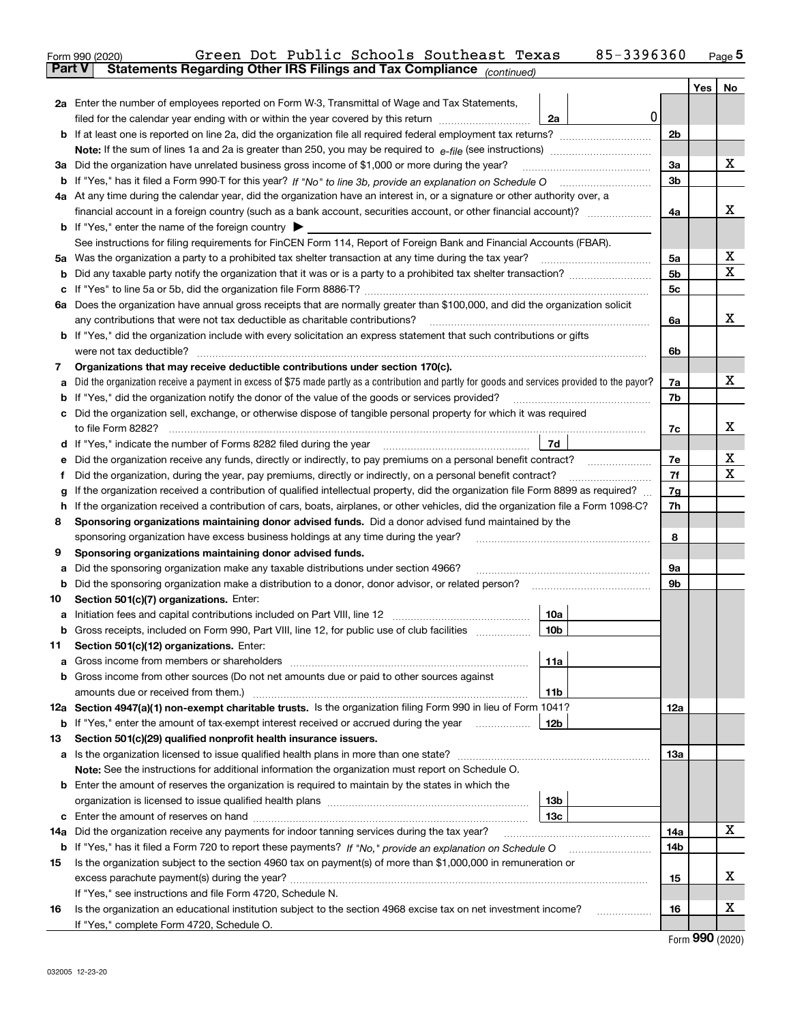|               | 85-3396360<br>Green Dot Public Schools Southeast Texas<br>Form 990 (2020)                                                                                                                                                                  |                |     | <u>Page</u> 5 |
|---------------|--------------------------------------------------------------------------------------------------------------------------------------------------------------------------------------------------------------------------------------------|----------------|-----|---------------|
| <b>Part V</b> | Statements Regarding Other IRS Filings and Tax Compliance (continued)                                                                                                                                                                      |                |     |               |
|               |                                                                                                                                                                                                                                            |                | Yes | No            |
|               | 2a Enter the number of employees reported on Form W-3, Transmittal of Wage and Tax Statements,                                                                                                                                             |                |     |               |
|               | 0<br>filed for the calendar year ending with or within the year covered by this return<br>2a                                                                                                                                               |                |     |               |
|               |                                                                                                                                                                                                                                            | 2b             |     |               |
|               |                                                                                                                                                                                                                                            |                |     |               |
|               | 3a Did the organization have unrelated business gross income of \$1,000 or more during the year?                                                                                                                                           | 3a             |     | х             |
|               |                                                                                                                                                                                                                                            | 3 <sub>b</sub> |     |               |
|               | 4a At any time during the calendar year, did the organization have an interest in, or a signature or other authority over, a                                                                                                               |                |     |               |
|               | financial account in a foreign country (such as a bank account, securities account, or other financial account)?                                                                                                                           | 4a             |     | х             |
|               | <b>b</b> If "Yes," enter the name of the foreign country $\blacktriangleright$                                                                                                                                                             |                |     |               |
|               | See instructions for filing requirements for FinCEN Form 114, Report of Foreign Bank and Financial Accounts (FBAR).                                                                                                                        |                |     |               |
|               |                                                                                                                                                                                                                                            | 5a             |     | х             |
| b             |                                                                                                                                                                                                                                            | 5 <sub>b</sub> |     | х             |
| c             |                                                                                                                                                                                                                                            | 5c             |     |               |
|               | 6a Does the organization have annual gross receipts that are normally greater than \$100,000, and did the organization solicit                                                                                                             |                |     |               |
|               |                                                                                                                                                                                                                                            | 6a             |     | х             |
|               | <b>b</b> If "Yes," did the organization include with every solicitation an express statement that such contributions or gifts                                                                                                              |                |     |               |
|               |                                                                                                                                                                                                                                            | 6b             |     |               |
| 7             | Organizations that may receive deductible contributions under section 170(c).                                                                                                                                                              |                |     |               |
| а             | Did the organization receive a payment in excess of \$75 made partly as a contribution and partly for goods and services provided to the payor?                                                                                            | 7a             |     | х             |
| b             | If "Yes," did the organization notify the donor of the value of the goods or services provided?                                                                                                                                            | 7b             |     |               |
|               | c Did the organization sell, exchange, or otherwise dispose of tangible personal property for which it was required                                                                                                                        |                |     | х             |
|               |                                                                                                                                                                                                                                            | 7c             |     |               |
|               | 7d                                                                                                                                                                                                                                         |                |     | х             |
| е             | Did the organization receive any funds, directly or indirectly, to pay premiums on a personal benefit contract?                                                                                                                            | 7e             |     | х             |
| f             | Did the organization, during the year, pay premiums, directly or indirectly, on a personal benefit contract?                                                                                                                               | 7f             |     |               |
| g             | If the organization received a contribution of qualified intellectual property, did the organization file Form 8899 as required?                                                                                                           | 7g             |     |               |
| h             | If the organization received a contribution of cars, boats, airplanes, or other vehicles, did the organization file a Form 1098-C?<br>Sponsoring organizations maintaining donor advised funds. Did a donor advised fund maintained by the | 7h             |     |               |
| 8             |                                                                                                                                                                                                                                            | 8              |     |               |
| 9             | sponsoring organization have excess business holdings at any time during the year?<br>Sponsoring organizations maintaining donor advised funds.                                                                                            |                |     |               |
| а             | Did the sponsoring organization make any taxable distributions under section 4966?                                                                                                                                                         | 9а             |     |               |
| b             | Did the sponsoring organization make a distribution to a donor, donor advisor, or related person? [[[[[[[[[[[                                                                                                                              | 9 <sub>b</sub> |     |               |
| 10            | Section 501(c)(7) organizations. Enter:                                                                                                                                                                                                    |                |     |               |
|               | 10a                                                                                                                                                                                                                                        |                |     |               |
|               | 10b <br>Gross receipts, included on Form 990, Part VIII, line 12, for public use of club facilities                                                                                                                                        |                |     |               |
| 11            | Section 501(c)(12) organizations. Enter:                                                                                                                                                                                                   |                |     |               |
|               | <b>a</b> Gross income from members or shareholders<br>11a                                                                                                                                                                                  |                |     |               |
|               | b Gross income from other sources (Do not net amounts due or paid to other sources against                                                                                                                                                 |                |     |               |
|               | 11b                                                                                                                                                                                                                                        |                |     |               |
|               | 12a Section 4947(a)(1) non-exempt charitable trusts. Is the organization filing Form 990 in lieu of Form 1041?                                                                                                                             | 12a            |     |               |
|               | 12b<br><b>b</b> If "Yes," enter the amount of tax-exempt interest received or accrued during the year                                                                                                                                      |                |     |               |
| 13            | Section 501(c)(29) qualified nonprofit health insurance issuers.                                                                                                                                                                           |                |     |               |
|               | a Is the organization licensed to issue qualified health plans in more than one state?                                                                                                                                                     | 13a            |     |               |
|               | Note: See the instructions for additional information the organization must report on Schedule O.                                                                                                                                          |                |     |               |
|               | <b>b</b> Enter the amount of reserves the organization is required to maintain by the states in which the                                                                                                                                  |                |     |               |
|               | 13b                                                                                                                                                                                                                                        |                |     |               |
|               | 13с                                                                                                                                                                                                                                        |                |     |               |
| 14a           | Did the organization receive any payments for indoor tanning services during the tax year?                                                                                                                                                 | 14a            |     | х             |
| b             | If "Yes," has it filed a Form 720 to report these payments? If "No," provide an explanation on Schedule O                                                                                                                                  | 14b            |     |               |
| 15            | Is the organization subject to the section 4960 tax on payment(s) of more than \$1,000,000 in remuneration or                                                                                                                              |                |     |               |
|               |                                                                                                                                                                                                                                            | 15             |     | х             |
|               | If "Yes," see instructions and file Form 4720, Schedule N.                                                                                                                                                                                 |                |     |               |
| 16            | Is the organization an educational institution subject to the section 4968 excise tax on net investment income?                                                                                                                            | 16             |     | х             |
|               | If "Yes," complete Form 4720, Schedule O.                                                                                                                                                                                                  |                |     |               |
|               |                                                                                                                                                                                                                                            |                | nnn |               |

Form (2020) **990**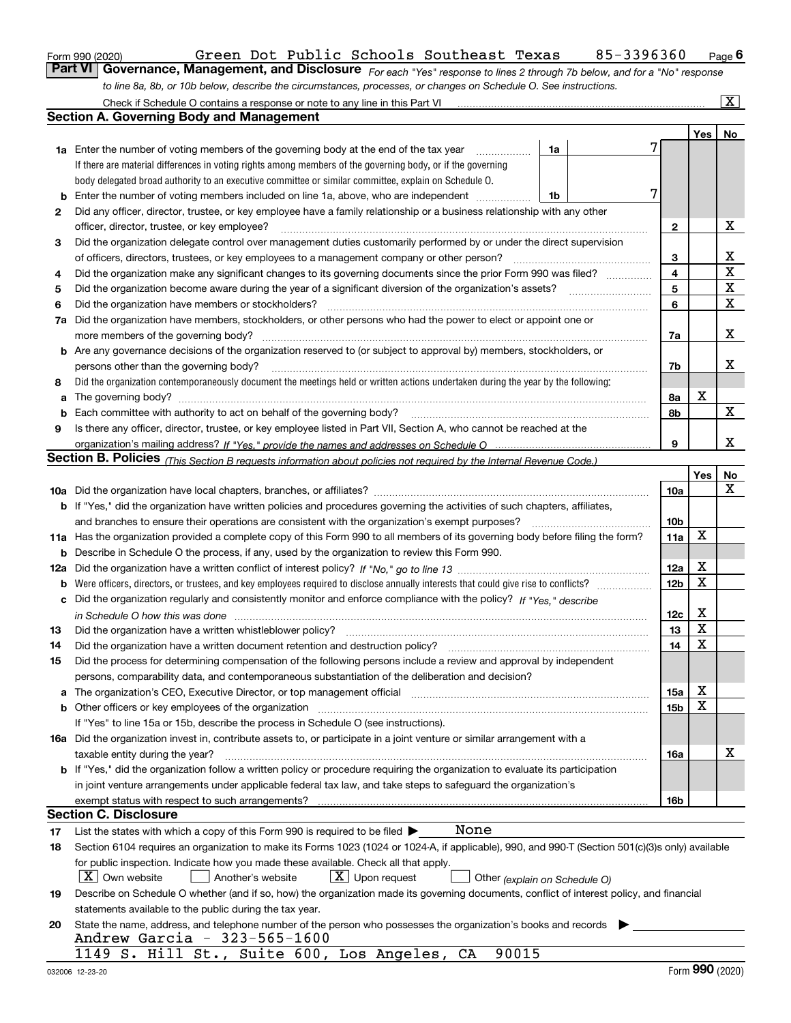|  | Form 990 (2020) |
|--|-----------------|
|  |                 |

# Form 990 (2020) **Chart Communist Careform Bart Communist Pexas** 85-3396360 <sub>Page</sub> 6<br>**Part VI Governance, Management, and Disclosure** For each "Yes" response to lines 2 through 7b below, and for a "No" response

*For each "Yes" response to lines 2 through 7b below, and for a "No" response to line 8a, 8b, or 10b below, describe the circumstances, processes, or changes on Schedule O. See instructions.*

|    | Check if Schedule O contains a response or note to any line in this Part VI                                                                                                                                                    |                 |         | $\vert$ X $\vert$ |  |  |  |  |  |  |  |
|----|--------------------------------------------------------------------------------------------------------------------------------------------------------------------------------------------------------------------------------|-----------------|---------|-------------------|--|--|--|--|--|--|--|
|    | Section A. Governing Body and Management                                                                                                                                                                                       |                 |         |                   |  |  |  |  |  |  |  |
|    |                                                                                                                                                                                                                                |                 | Yes $ $ | No                |  |  |  |  |  |  |  |
|    | 1a<br><b>1a</b> Enter the number of voting members of the governing body at the end of the tax year <i>manumum</i>                                                                                                             |                 |         |                   |  |  |  |  |  |  |  |
|    | If there are material differences in voting rights among members of the governing body, or if the governing                                                                                                                    |                 |         |                   |  |  |  |  |  |  |  |
|    | body delegated broad authority to an executive committee or similar committee, explain on Schedule O.                                                                                                                          |                 |         |                   |  |  |  |  |  |  |  |
| b  | Enter the number of voting members included on line 1a, above, who are independent<br>1b                                                                                                                                       |                 |         |                   |  |  |  |  |  |  |  |
| 2  | Did any officer, director, trustee, or key employee have a family relationship or a business relationship with any other                                                                                                       |                 |         |                   |  |  |  |  |  |  |  |
|    | officer, director, trustee, or key employee?                                                                                                                                                                                   | 2               |         | x                 |  |  |  |  |  |  |  |
| 3  | Did the organization delegate control over management duties customarily performed by or under the direct supervision                                                                                                          |                 |         |                   |  |  |  |  |  |  |  |
|    | of officers, directors, trustees, or key employees to a management company or other person?                                                                                                                                    | 3               |         | х                 |  |  |  |  |  |  |  |
| 4  | Did the organization make any significant changes to its governing documents since the prior Form 990 was filed?                                                                                                               | 4               |         | $\mathbf X$       |  |  |  |  |  |  |  |
| 5  |                                                                                                                                                                                                                                | 5               |         | $\mathbf X$       |  |  |  |  |  |  |  |
| 6  | Did the organization have members or stockholders?                                                                                                                                                                             | 6               |         | $\mathbf X$       |  |  |  |  |  |  |  |
| 7a | Did the organization have members, stockholders, or other persons who had the power to elect or appoint one or                                                                                                                 |                 |         |                   |  |  |  |  |  |  |  |
|    | more members of the governing body?                                                                                                                                                                                            | 7a              |         | х                 |  |  |  |  |  |  |  |
|    | <b>b</b> Are any governance decisions of the organization reserved to (or subject to approval by) members, stockholders, or                                                                                                    |                 |         |                   |  |  |  |  |  |  |  |
|    | persons other than the governing body?                                                                                                                                                                                         | 7b              |         | х                 |  |  |  |  |  |  |  |
| 8  | Did the organization contemporaneously document the meetings held or written actions undertaken during the year by the following:                                                                                              |                 |         |                   |  |  |  |  |  |  |  |
| a  |                                                                                                                                                                                                                                | 8а              | х       |                   |  |  |  |  |  |  |  |
| b  | Each committee with authority to act on behalf of the governing body?                                                                                                                                                          | 8b              |         | X                 |  |  |  |  |  |  |  |
| 9  | Is there any officer, director, trustee, or key employee listed in Part VII, Section A, who cannot be reached at the                                                                                                           |                 |         |                   |  |  |  |  |  |  |  |
|    |                                                                                                                                                                                                                                | 9               |         | х                 |  |  |  |  |  |  |  |
|    | Section B. Policies <sub>(This Section B requests information about policies not required by the Internal Revenue Code.)</sub>                                                                                                 |                 |         |                   |  |  |  |  |  |  |  |
|    |                                                                                                                                                                                                                                |                 | Yes     | No                |  |  |  |  |  |  |  |
|    |                                                                                                                                                                                                                                | 10a             |         | Х                 |  |  |  |  |  |  |  |
|    | b If "Yes," did the organization have written policies and procedures governing the activities of such chapters, affiliates,                                                                                                   |                 |         |                   |  |  |  |  |  |  |  |
|    | and branches to ensure their operations are consistent with the organization's exempt purposes?                                                                                                                                | 10 <sub>b</sub> |         |                   |  |  |  |  |  |  |  |
|    | 11a Has the organization provided a complete copy of this Form 990 to all members of its governing body before filing the form?                                                                                                | 11a             | Х       |                   |  |  |  |  |  |  |  |
|    | <b>b</b> Describe in Schedule O the process, if any, used by the organization to review this Form 990.                                                                                                                         |                 |         |                   |  |  |  |  |  |  |  |
|    |                                                                                                                                                                                                                                | 12a             | х       |                   |  |  |  |  |  |  |  |
|    |                                                                                                                                                                                                                                | 12 <sub>b</sub> | X       |                   |  |  |  |  |  |  |  |
|    | c Did the organization regularly and consistently monitor and enforce compliance with the policy? If "Yes," describe                                                                                                           |                 |         |                   |  |  |  |  |  |  |  |
|    | in Schedule O how this was done with the contract of the control of the control of the control of the control o                                                                                                                | 12c             | х       |                   |  |  |  |  |  |  |  |
| 13 | Did the organization have a written whistleblower policy?                                                                                                                                                                      | 13              | X       |                   |  |  |  |  |  |  |  |
| 14 | Did the organization have a written document retention and destruction policy?                                                                                                                                                 | 14              | X       |                   |  |  |  |  |  |  |  |
| 15 | Did the process for determining compensation of the following persons include a review and approval by independent                                                                                                             |                 |         |                   |  |  |  |  |  |  |  |
|    | persons, comparability data, and contemporaneous substantiation of the deliberation and decision?                                                                                                                              |                 |         |                   |  |  |  |  |  |  |  |
|    | a The organization's CEO, Executive Director, or top management official manufactured content content of the organization's CEO, Executive Director, or top management official manufactured content of the state of the state | 15a             | х       |                   |  |  |  |  |  |  |  |
|    | b Other officers or key employees of the organization manufactured content to the organization manufactured by Other officers or key employees of the organization                                                             | 15b             | x       |                   |  |  |  |  |  |  |  |
|    | If "Yes" to line 15a or 15b, describe the process in Schedule O (see instructions).                                                                                                                                            |                 |         |                   |  |  |  |  |  |  |  |
|    | 16a Did the organization invest in, contribute assets to, or participate in a joint venture or similar arrangement with a                                                                                                      |                 |         |                   |  |  |  |  |  |  |  |
|    | taxable entity during the year?                                                                                                                                                                                                | 16a             |         | х                 |  |  |  |  |  |  |  |
|    | b If "Yes," did the organization follow a written policy or procedure requiring the organization to evaluate its participation                                                                                                 |                 |         |                   |  |  |  |  |  |  |  |
|    | in joint venture arrangements under applicable federal tax law, and take steps to safeguard the organization's                                                                                                                 |                 |         |                   |  |  |  |  |  |  |  |
|    | exempt status with respect to such arrangements?                                                                                                                                                                               | 16b             |         |                   |  |  |  |  |  |  |  |
|    | <b>Section C. Disclosure</b>                                                                                                                                                                                                   |                 |         |                   |  |  |  |  |  |  |  |
| 17 | None<br>List the states with which a copy of this Form 990 is required to be filed $\blacktriangleright$                                                                                                                       |                 |         |                   |  |  |  |  |  |  |  |
| 18 | Section 6104 requires an organization to make its Forms 1023 (1024 or 1024-A, if applicable), 990, and 990-T (Section 501(c)(3)s only) available                                                                               |                 |         |                   |  |  |  |  |  |  |  |
|    | for public inspection. Indicate how you made these available. Check all that apply.                                                                                                                                            |                 |         |                   |  |  |  |  |  |  |  |
|    | X   Own website<br>$ \mathbf{X} $ Upon request<br>Another's website<br>Other (explain on Schedule O)                                                                                                                           |                 |         |                   |  |  |  |  |  |  |  |
| 19 | Describe on Schedule O whether (and if so, how) the organization made its governing documents, conflict of interest policy, and financial                                                                                      |                 |         |                   |  |  |  |  |  |  |  |
|    | statements available to the public during the tax year.                                                                                                                                                                        |                 |         |                   |  |  |  |  |  |  |  |
| 20 | State the name, address, and telephone number of the person who possesses the organization's books and records                                                                                                                 |                 |         |                   |  |  |  |  |  |  |  |
|    | Andrew Garcia - 323-565-1600                                                                                                                                                                                                   |                 |         |                   |  |  |  |  |  |  |  |
|    | 90015<br>1149 S. Hill St., Suite 600, Los Angeles, CA                                                                                                                                                                          |                 |         |                   |  |  |  |  |  |  |  |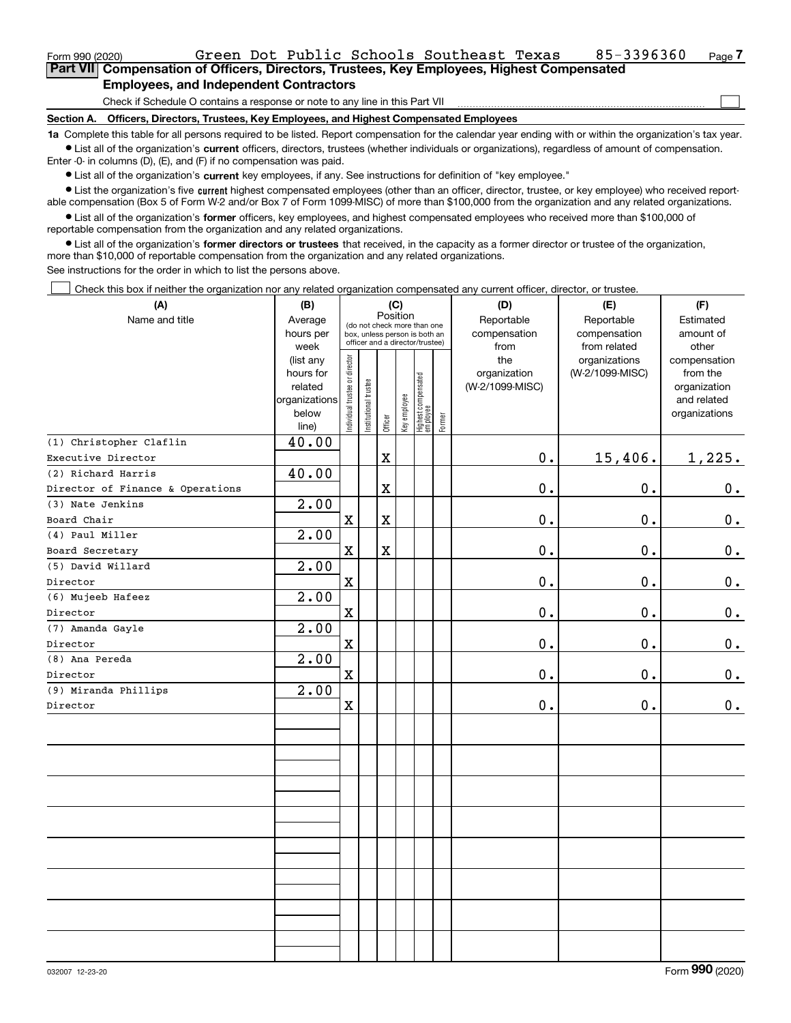## **Employees, and Independent Contractors**

Check if Schedule O contains a response or note to any line in this Part VII

**Section A. Officers, Directors, Trustees, Key Employees, and Highest Compensated Employees**

**1a**  Complete this table for all persons required to be listed. Report compensation for the calendar year ending with or within the organization's tax year. **•** List all of the organization's current officers, directors, trustees (whether individuals or organizations), regardless of amount of compensation.

Enter -0- in columns (D), (E), and (F) if no compensation was paid.

 $\bullet$  List all of the organization's  $\,$ current key employees, if any. See instructions for definition of "key employee."

**•** List the organization's five current highest compensated employees (other than an officer, director, trustee, or key employee) who received reportable compensation (Box 5 of Form W-2 and/or Box 7 of Form 1099-MISC) of more than \$100,000 from the organization and any related organizations.

**•** List all of the organization's former officers, key employees, and highest compensated employees who received more than \$100,000 of reportable compensation from the organization and any related organizations.

**former directors or trustees**  ¥ List all of the organization's that received, in the capacity as a former director or trustee of the organization, more than \$10,000 of reportable compensation from the organization and any related organizations.

See instructions for the order in which to list the persons above.

Check this box if neither the organization nor any related organization compensated any current officer, director, or trustee.  $\mathcal{L}^{\text{max}}$ 

| (A)                              | (B)                                                                          |                                |                                                                                                             |                         | (C)          |                                   |        | (D)                                            | (E)                                              | (F)                                                                               |
|----------------------------------|------------------------------------------------------------------------------|--------------------------------|-------------------------------------------------------------------------------------------------------------|-------------------------|--------------|-----------------------------------|--------|------------------------------------------------|--------------------------------------------------|-----------------------------------------------------------------------------------|
| Name and title                   | Average<br>hours per                                                         |                                | Position<br>(do not check more than one<br>box, unless person is both an<br>officer and a director/trustee) |                         |              |                                   |        | Reportable<br>compensation                     | Reportable<br>compensation                       | Estimated<br>amount of                                                            |
|                                  | week<br>(list any<br>hours for<br>related<br>organizations<br>below<br>line) | Individual trustee or director | Institutional trustee                                                                                       | Officer                 | Key employee | Highest compensated<br>  employee | Former | from<br>the<br>organization<br>(W-2/1099-MISC) | from related<br>organizations<br>(W-2/1099-MISC) | other<br>compensation<br>from the<br>organization<br>and related<br>organizations |
| (1) Christopher Claflin          | 40.00                                                                        |                                |                                                                                                             |                         |              |                                   |        |                                                |                                                  |                                                                                   |
| Executive Director               |                                                                              |                                |                                                                                                             | $\mathbf x$             |              |                                   |        | $0$ .                                          | 15,406.                                          | 1,225.                                                                            |
| (2) Richard Harris               | 40.00                                                                        |                                |                                                                                                             |                         |              |                                   |        |                                                |                                                  |                                                                                   |
| Director of Finance & Operations |                                                                              |                                |                                                                                                             | $\rm X$                 |              |                                   |        | $0$ .                                          | 0.                                               | 0.                                                                                |
| (3) Nate Jenkins                 | 2.00                                                                         |                                |                                                                                                             |                         |              |                                   |        |                                                |                                                  |                                                                                   |
| Board Chair                      |                                                                              | X                              |                                                                                                             | $\mathbf X$             |              |                                   |        | $\mathbf 0$ .                                  | $\mathbf 0$ .                                    | $\mathbf 0$ .                                                                     |
| (4) Paul Miller                  | 2.00                                                                         |                                |                                                                                                             |                         |              |                                   |        |                                                |                                                  |                                                                                   |
| Board Secretary                  |                                                                              | $\mathbf x$                    |                                                                                                             | $\overline{\textbf{X}}$ |              |                                   |        | 0.                                             | 0.                                               | $0_{.}$                                                                           |
| (5) David Willard                | 2.00                                                                         |                                |                                                                                                             |                         |              |                                   |        |                                                |                                                  |                                                                                   |
| Director                         |                                                                              | $\mathbf X$                    |                                                                                                             |                         |              |                                   |        | 0.                                             | 0.                                               | $0_{.}$                                                                           |
| (6) Mujeeb Hafeez                | 2.00                                                                         |                                |                                                                                                             |                         |              |                                   |        |                                                |                                                  |                                                                                   |
| Director                         |                                                                              | $\mathbf x$                    |                                                                                                             |                         |              |                                   |        | $\mathbf 0$ .                                  | 0.                                               | 0.                                                                                |
| (7) Amanda Gayle                 | 2.00                                                                         |                                |                                                                                                             |                         |              |                                   |        |                                                |                                                  |                                                                                   |
| Director                         |                                                                              | $\mathbf X$                    |                                                                                                             |                         |              |                                   |        | $0$ .                                          | $\mathbf 0$ .                                    | $\mathbf 0$ .                                                                     |
| (8) Ana Pereda                   | 2.00                                                                         |                                |                                                                                                             |                         |              |                                   |        |                                                |                                                  |                                                                                   |
| Director                         |                                                                              | $\mathbf X$                    |                                                                                                             |                         |              |                                   |        | $0$ .                                          | 0.                                               | $0_{.}$                                                                           |
| (9) Miranda Phillips             | $\overline{2}$ .00                                                           |                                |                                                                                                             |                         |              |                                   |        |                                                |                                                  |                                                                                   |
| Director                         |                                                                              | $\mathbf X$                    |                                                                                                             |                         |              |                                   |        | $0$ .                                          | 0.                                               | 0.                                                                                |
|                                  |                                                                              |                                |                                                                                                             |                         |              |                                   |        |                                                |                                                  |                                                                                   |
|                                  |                                                                              |                                |                                                                                                             |                         |              |                                   |        |                                                |                                                  |                                                                                   |
|                                  |                                                                              |                                |                                                                                                             |                         |              |                                   |        |                                                |                                                  |                                                                                   |
|                                  |                                                                              |                                |                                                                                                             |                         |              |                                   |        |                                                |                                                  |                                                                                   |
|                                  |                                                                              |                                |                                                                                                             |                         |              |                                   |        |                                                |                                                  |                                                                                   |
|                                  |                                                                              |                                |                                                                                                             |                         |              |                                   |        |                                                |                                                  |                                                                                   |
|                                  |                                                                              |                                |                                                                                                             |                         |              |                                   |        |                                                |                                                  |                                                                                   |
|                                  |                                                                              |                                |                                                                                                             |                         |              |                                   |        |                                                |                                                  |                                                                                   |

 $\mathcal{L}^{\text{max}}$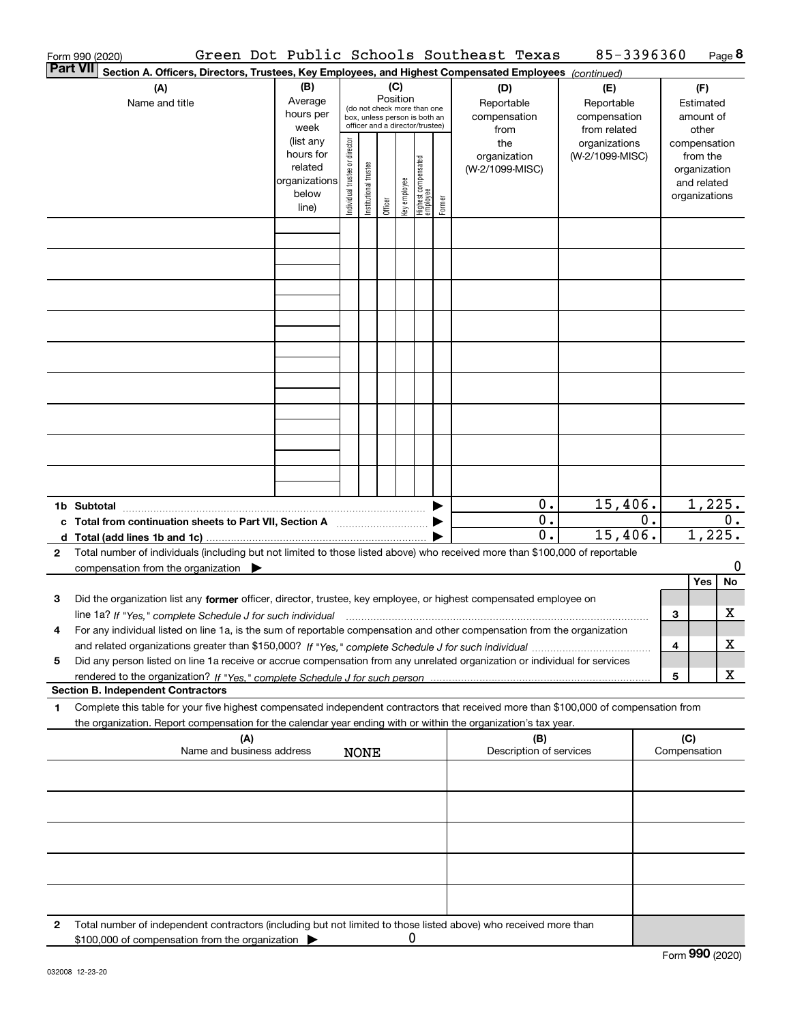|              | Form 990 (2020)                                                                                                                                                                                                                                        |                                                                      |                                |                       |          |              |                                                                                                 |        | Green Dot Public Schools Southeast Texas  | 85-3396360                                        |       |                     |                                                                          | Page 8 |
|--------------|--------------------------------------------------------------------------------------------------------------------------------------------------------------------------------------------------------------------------------------------------------|----------------------------------------------------------------------|--------------------------------|-----------------------|----------|--------------|-------------------------------------------------------------------------------------------------|--------|-------------------------------------------|---------------------------------------------------|-------|---------------------|--------------------------------------------------------------------------|--------|
|              | <b>Part VII</b><br>Section A. Officers, Directors, Trustees, Key Employees, and Highest Compensated Employees (continued)                                                                                                                              |                                                                      |                                |                       |          |              |                                                                                                 |        |                                           |                                                   |       |                     |                                                                          |        |
|              | (A)<br>Name and title                                                                                                                                                                                                                                  | (B)<br>Average<br>hours per<br>week                                  |                                |                       | Position | (C)          | (do not check more than one<br>box, unless person is both an<br>officer and a director/trustee) |        | (D)<br>Reportable<br>compensation<br>from | (E)<br>Reportable<br>compensation<br>from related |       |                     | (F)<br>Estimated<br>amount of<br>other                                   |        |
|              |                                                                                                                                                                                                                                                        | (list any<br>hours for<br>related<br>organizations<br>below<br>line) | Individual trustee or director | Institutional trustee | Officer  | Key employee | Highest compensated<br>  employee                                                               | Former | the<br>organization<br>(W-2/1099-MISC)    | organizations<br>(W-2/1099-MISC)                  |       |                     | compensation<br>from the<br>organization<br>and related<br>organizations |        |
|              |                                                                                                                                                                                                                                                        |                                                                      |                                |                       |          |              |                                                                                                 |        |                                           |                                                   |       |                     |                                                                          |        |
|              |                                                                                                                                                                                                                                                        |                                                                      |                                |                       |          |              |                                                                                                 |        |                                           |                                                   |       |                     |                                                                          |        |
|              |                                                                                                                                                                                                                                                        |                                                                      |                                |                       |          |              |                                                                                                 |        |                                           |                                                   |       |                     |                                                                          |        |
|              |                                                                                                                                                                                                                                                        |                                                                      |                                |                       |          |              |                                                                                                 |        |                                           |                                                   |       |                     |                                                                          |        |
|              |                                                                                                                                                                                                                                                        |                                                                      |                                |                       |          |              |                                                                                                 |        |                                           |                                                   |       |                     |                                                                          |        |
|              |                                                                                                                                                                                                                                                        |                                                                      |                                |                       |          |              |                                                                                                 |        |                                           |                                                   |       |                     |                                                                          |        |
|              |                                                                                                                                                                                                                                                        |                                                                      |                                |                       |          |              |                                                                                                 |        |                                           |                                                   |       |                     |                                                                          |        |
|              |                                                                                                                                                                                                                                                        |                                                                      |                                |                       |          |              |                                                                                                 |        |                                           |                                                   |       |                     |                                                                          |        |
|              |                                                                                                                                                                                                                                                        |                                                                      |                                |                       |          |              |                                                                                                 |        | $0$ .                                     | 15,406.                                           |       |                     | 1,225.                                                                   |        |
|              | c Total from continuation sheets to Part VII, Section A                                                                                                                                                                                                |                                                                      |                                |                       |          |              |                                                                                                 |        | 0.<br>0.                                  | 15,406.                                           | $0$ . |                     | 1,225.                                                                   | $0$ .  |
| $\mathbf{2}$ | Total number of individuals (including but not limited to those listed above) who received more than \$100,000 of reportable<br>compensation from the organization $\blacktriangleright$                                                               |                                                                      |                                |                       |          |              |                                                                                                 |        |                                           |                                                   |       |                     |                                                                          | 0      |
| 3            | Did the organization list any former officer, director, trustee, key employee, or highest compensated employee on                                                                                                                                      |                                                                      |                                |                       |          |              |                                                                                                 |        |                                           |                                                   |       |                     | Yes                                                                      | No     |
|              | line 1a? If "Yes," complete Schedule J for such individual manumanamental contents and the numerous manumaname<br>For any individual listed on line 1a, is the sum of reportable compensation and other compensation from the organization             |                                                                      |                                |                       |          |              |                                                                                                 |        |                                           |                                                   |       | 3                   |                                                                          | х      |
| 5            | Did any person listed on line 1a receive or accrue compensation from any unrelated organization or individual for services                                                                                                                             |                                                                      |                                |                       |          |              |                                                                                                 |        |                                           |                                                   |       | 4                   |                                                                          | x      |
|              | <b>Section B. Independent Contractors</b>                                                                                                                                                                                                              |                                                                      |                                |                       |          |              |                                                                                                 |        |                                           |                                                   |       | 5                   |                                                                          | х      |
| 1            | Complete this table for your five highest compensated independent contractors that received more than \$100,000 of compensation from<br>the organization. Report compensation for the calendar year ending with or within the organization's tax year. |                                                                      |                                |                       |          |              |                                                                                                 |        |                                           |                                                   |       |                     |                                                                          |        |
|              | (A)<br>Name and business address                                                                                                                                                                                                                       |                                                                      |                                | <b>NONE</b>           |          |              |                                                                                                 |        | (B)<br>Description of services            |                                                   |       | (C)<br>Compensation |                                                                          |        |
|              |                                                                                                                                                                                                                                                        |                                                                      |                                |                       |          |              |                                                                                                 |        |                                           |                                                   |       |                     |                                                                          |        |
|              |                                                                                                                                                                                                                                                        |                                                                      |                                |                       |          |              |                                                                                                 |        |                                           |                                                   |       |                     |                                                                          |        |
|              |                                                                                                                                                                                                                                                        |                                                                      |                                |                       |          |              |                                                                                                 |        |                                           |                                                   |       |                     |                                                                          |        |
|              |                                                                                                                                                                                                                                                        |                                                                      |                                |                       |          |              |                                                                                                 |        |                                           |                                                   |       |                     |                                                                          |        |
|              |                                                                                                                                                                                                                                                        |                                                                      |                                |                       |          |              |                                                                                                 |        |                                           |                                                   |       |                     |                                                                          |        |
| 2            | Total number of independent contractors (including but not limited to those listed above) who received more than<br>\$100,000 of compensation from the organization                                                                                    |                                                                      |                                |                       |          | 0            |                                                                                                 |        |                                           |                                                   |       |                     |                                                                          |        |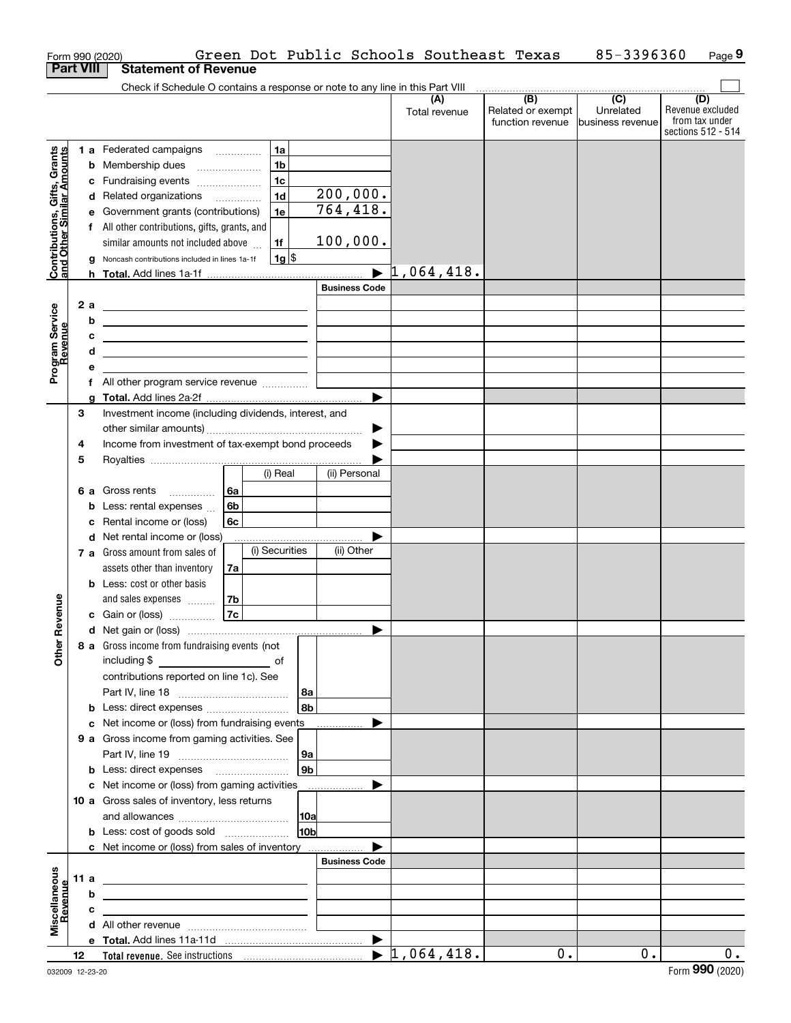|                                                           |                  |        | Form 990 (2020)                                                                                                        |    |                |                 |                      | Green Dot Public Schools Southeast Texas |                                              | 85-3396360                                        | Page 9                                                          |
|-----------------------------------------------------------|------------------|--------|------------------------------------------------------------------------------------------------------------------------|----|----------------|-----------------|----------------------|------------------------------------------|----------------------------------------------|---------------------------------------------------|-----------------------------------------------------------------|
| <b>Part VIII</b>                                          |                  |        | <b>Statement of Revenue</b>                                                                                            |    |                |                 |                      |                                          |                                              |                                                   |                                                                 |
|                                                           |                  |        | Check if Schedule O contains a response or note to any line in this Part VIII                                          |    |                |                 |                      |                                          |                                              |                                                   |                                                                 |
|                                                           |                  |        |                                                                                                                        |    |                |                 |                      | (A)<br>Total revenue                     | (B)<br>Related or exempt<br>function revenue | $\overline{(C)}$<br>Unrelated<br>business revenue | (D)<br>Revenue excluded<br>from tax under<br>sections 512 - 514 |
|                                                           |                  |        | 1 a Federated campaigns                                                                                                |    | 1a             |                 |                      |                                          |                                              |                                                   |                                                                 |
|                                                           |                  |        | <b>b</b> Membership dues                                                                                               |    | 1 <sub>b</sub> |                 |                      |                                          |                                              |                                                   |                                                                 |
| Contributions, Gifts, Grants<br>and Other Similar Amounts |                  |        | c Fundraising events                                                                                                   |    | 1 <sub>c</sub> |                 |                      |                                          |                                              |                                                   |                                                                 |
|                                                           |                  |        | d Related organizations                                                                                                |    | 1 <sub>d</sub> |                 | 200,000.             |                                          |                                              |                                                   |                                                                 |
|                                                           |                  |        | e Government grants (contributions)                                                                                    |    | 1e             |                 | 764, 418.            |                                          |                                              |                                                   |                                                                 |
|                                                           |                  |        | f All other contributions, gifts, grants, and                                                                          |    |                |                 |                      |                                          |                                              |                                                   |                                                                 |
|                                                           |                  |        | similar amounts not included above                                                                                     |    | 1f             |                 | 100,000.             |                                          |                                              |                                                   |                                                                 |
|                                                           |                  |        | g Noncash contributions included in lines 1a-1f                                                                        |    | $1g$ \$        |                 |                      |                                          |                                              |                                                   |                                                                 |
|                                                           |                  |        |                                                                                                                        |    |                |                 |                      | 1,064,418.                               |                                              |                                                   |                                                                 |
|                                                           |                  |        |                                                                                                                        |    |                |                 | <b>Business Code</b> |                                          |                                              |                                                   |                                                                 |
|                                                           |                  | 2a     | <u> 1989 - Johann Stoff, deutscher Stoffen und der Stoffen und der Stoffen und der Stoffen und der Stoffen und der</u> |    |                |                 |                      |                                          |                                              |                                                   |                                                                 |
|                                                           |                  | b      | <u> 1989 - Johann Barn, amerikansk politiker (</u>                                                                     |    |                |                 |                      |                                          |                                              |                                                   |                                                                 |
|                                                           |                  | с<br>d | <u> 1989 - Johann Harry Harry Harry Harry Harry Harry Harry Harry Harry Harry Harry Harry Harry Harry Harry Harry</u>  |    |                |                 |                      |                                          |                                              |                                                   |                                                                 |
| Program Service<br>Revenue                                |                  | е      | <u> 1989 - Johann Stein, mars an de Frankrik (f. 1989)</u>                                                             |    |                |                 |                      |                                          |                                              |                                                   |                                                                 |
|                                                           |                  |        |                                                                                                                        |    |                |                 |                      |                                          |                                              |                                                   |                                                                 |
|                                                           |                  | a      |                                                                                                                        |    |                |                 |                      |                                          |                                              |                                                   |                                                                 |
|                                                           | 3                |        | Investment income (including dividends, interest, and                                                                  |    |                |                 |                      |                                          |                                              |                                                   |                                                                 |
|                                                           |                  |        |                                                                                                                        |    |                |                 |                      |                                          |                                              |                                                   |                                                                 |
|                                                           | 4                |        | Income from investment of tax-exempt bond proceeds                                                                     |    |                |                 |                      |                                          |                                              |                                                   |                                                                 |
|                                                           | 5                |        |                                                                                                                        |    |                |                 |                      |                                          |                                              |                                                   |                                                                 |
|                                                           |                  |        |                                                                                                                        |    | (i) Real       |                 | (ii) Personal        |                                          |                                              |                                                   |                                                                 |
|                                                           |                  |        | 6 a Gross rents                                                                                                        | 6а |                |                 |                      |                                          |                                              |                                                   |                                                                 |
|                                                           |                  |        | <b>b</b> Less: rental expenses                                                                                         | 6b |                |                 |                      |                                          |                                              |                                                   |                                                                 |
|                                                           |                  |        | c Rental income or (loss)                                                                                              | 6c |                |                 |                      |                                          |                                              |                                                   |                                                                 |
|                                                           |                  |        | d Net rental income or (loss)<br>7 a Gross amount from sales of                                                        |    | (i) Securities |                 | (ii) Other           |                                          |                                              |                                                   |                                                                 |
|                                                           |                  |        | assets other than inventory                                                                                            | 7a |                |                 |                      |                                          |                                              |                                                   |                                                                 |
|                                                           |                  |        | <b>b</b> Less: cost or other basis                                                                                     |    |                |                 |                      |                                          |                                              |                                                   |                                                                 |
|                                                           |                  |        | and sales expenses                                                                                                     | 7b |                |                 |                      |                                          |                                              |                                                   |                                                                 |
| evenue                                                    |                  |        | c Gain or (loss)                                                                                                       | 7c |                |                 |                      |                                          |                                              |                                                   |                                                                 |
| Œ                                                         |                  |        |                                                                                                                        |    |                |                 |                      |                                          |                                              |                                                   |                                                                 |
| Other                                                     |                  |        | 8 a Gross income from fundraising events (not                                                                          |    |                |                 |                      |                                          |                                              |                                                   |                                                                 |
|                                                           |                  |        | including \$<br><u>of</u> of                                                                                           |    |                |                 |                      |                                          |                                              |                                                   |                                                                 |
|                                                           |                  |        | contributions reported on line 1c). See                                                                                |    |                |                 |                      |                                          |                                              |                                                   |                                                                 |
|                                                           |                  |        |                                                                                                                        |    |                | 8a              |                      |                                          |                                              |                                                   |                                                                 |
|                                                           |                  |        | <b>b</b> Less: direct expenses <i></i>                                                                                 |    |                | 8b              |                      |                                          |                                              |                                                   |                                                                 |
|                                                           |                  |        | c Net income or (loss) from fundraising events                                                                         |    |                |                 |                      |                                          |                                              |                                                   |                                                                 |
|                                                           |                  |        | 9 a Gross income from gaming activities. See                                                                           |    |                |                 |                      |                                          |                                              |                                                   |                                                                 |
|                                                           |                  |        |                                                                                                                        |    |                | ∣9a ∣<br> 9b    |                      |                                          |                                              |                                                   |                                                                 |
|                                                           |                  |        | <b>b</b> Less: direct expenses <b>manually</b><br>c Net income or (loss) from gaming activities                        |    |                |                 |                      |                                          |                                              |                                                   |                                                                 |
|                                                           |                  |        | 10 a Gross sales of inventory, less returns                                                                            |    |                |                 |                      |                                          |                                              |                                                   |                                                                 |
|                                                           |                  |        |                                                                                                                        |    |                | 10a             |                      |                                          |                                              |                                                   |                                                                 |
|                                                           |                  |        | <b>b</b> Less: cost of goods sold                                                                                      |    |                | 10 <sub>b</sub> |                      |                                          |                                              |                                                   |                                                                 |
|                                                           |                  |        | c Net income or (loss) from sales of inventory                                                                         |    |                |                 |                      |                                          |                                              |                                                   |                                                                 |
|                                                           |                  |        |                                                                                                                        |    |                |                 | <b>Business Code</b> |                                          |                                              |                                                   |                                                                 |
| Miscellaneous                                             |                  | 11 a   | <u> 1989 - Johann Barn, mars et al. (b. 1989)</u>                                                                      |    |                |                 |                      |                                          |                                              |                                                   |                                                                 |
|                                                           |                  | b      | <u> 1989 - Andrea Stadt, fransk politiker (d. 1989)</u>                                                                |    |                |                 |                      |                                          |                                              |                                                   |                                                                 |
| Revenue                                                   |                  | c      | the contract of the contract of the contract of the contract of the contract of                                        |    |                |                 |                      |                                          |                                              |                                                   |                                                                 |
|                                                           |                  |        |                                                                                                                        |    |                |                 |                      |                                          |                                              |                                                   |                                                                 |
|                                                           |                  |        |                                                                                                                        |    |                |                 |                      |                                          |                                              |                                                   |                                                                 |
|                                                           | 12 <sup>12</sup> |        |                                                                                                                        |    |                |                 |                      |                                          | 0.                                           | $0$ .                                             | 0.                                                              |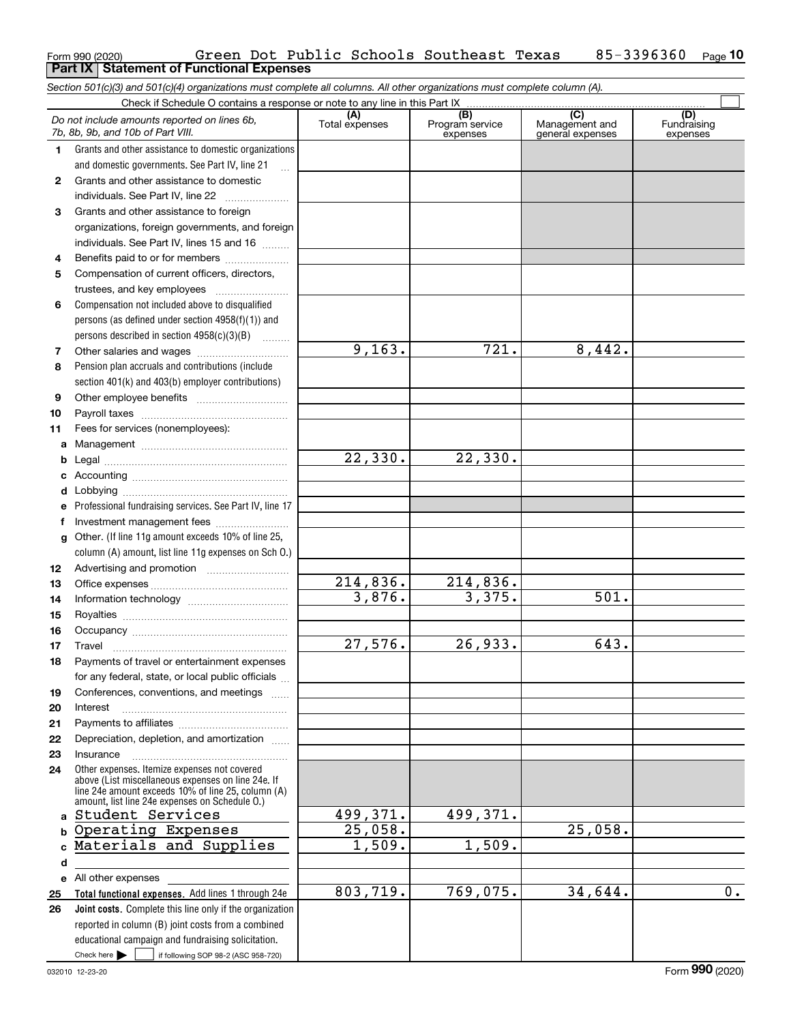|              | Section 501(c)(3) and 501(c)(4) organizations must complete all columns. All other organizations must complete column (A).                                                                                 |                         |                                                 |                                           |                                |
|--------------|------------------------------------------------------------------------------------------------------------------------------------------------------------------------------------------------------------|-------------------------|-------------------------------------------------|-------------------------------------------|--------------------------------|
|              | Check if Schedule O contains a response or note to any line in this Part IX                                                                                                                                |                         |                                                 |                                           |                                |
|              | Do not include amounts reported on lines 6b,<br>7b, 8b, 9b, and 10b of Part VIII.                                                                                                                          | (A)<br>Total expenses   | $\overline{(B)}$<br>Program service<br>expenses | (C)<br>Management and<br>general expenses | (D)<br>Fundraising<br>expenses |
| 1.           | Grants and other assistance to domestic organizations                                                                                                                                                      |                         |                                                 |                                           |                                |
|              | and domestic governments. See Part IV, line 21                                                                                                                                                             |                         |                                                 |                                           |                                |
| $\mathbf{2}$ | Grants and other assistance to domestic                                                                                                                                                                    |                         |                                                 |                                           |                                |
|              | individuals. See Part IV, line 22                                                                                                                                                                          |                         |                                                 |                                           |                                |
| 3            | Grants and other assistance to foreign                                                                                                                                                                     |                         |                                                 |                                           |                                |
|              | organizations, foreign governments, and foreign                                                                                                                                                            |                         |                                                 |                                           |                                |
|              | individuals. See Part IV, lines 15 and 16                                                                                                                                                                  |                         |                                                 |                                           |                                |
| 4            | Benefits paid to or for members                                                                                                                                                                            |                         |                                                 |                                           |                                |
| 5            | Compensation of current officers, directors,                                                                                                                                                               |                         |                                                 |                                           |                                |
|              |                                                                                                                                                                                                            |                         |                                                 |                                           |                                |
| 6            | Compensation not included above to disqualified                                                                                                                                                            |                         |                                                 |                                           |                                |
|              | persons (as defined under section 4958(f)(1)) and                                                                                                                                                          |                         |                                                 |                                           |                                |
|              | persons described in section 4958(c)(3)(B)                                                                                                                                                                 |                         |                                                 |                                           |                                |
| 7            |                                                                                                                                                                                                            | 9,163.                  | 721.                                            | 8,442.                                    |                                |
| 8            | Pension plan accruals and contributions (include                                                                                                                                                           |                         |                                                 |                                           |                                |
|              | section 401(k) and 403(b) employer contributions)                                                                                                                                                          |                         |                                                 |                                           |                                |
| 9            |                                                                                                                                                                                                            |                         |                                                 |                                           |                                |
| 10           |                                                                                                                                                                                                            |                         |                                                 |                                           |                                |
| 11           | Fees for services (nonemployees):                                                                                                                                                                          |                         |                                                 |                                           |                                |
| a            |                                                                                                                                                                                                            |                         |                                                 |                                           |                                |
| b            |                                                                                                                                                                                                            | 22,330.                 | 22,330.                                         |                                           |                                |
| с            |                                                                                                                                                                                                            |                         |                                                 |                                           |                                |
| d            |                                                                                                                                                                                                            |                         |                                                 |                                           |                                |
| е            | Professional fundraising services. See Part IV, line 17                                                                                                                                                    |                         |                                                 |                                           |                                |
| f            | Investment management fees                                                                                                                                                                                 |                         |                                                 |                                           |                                |
| g            | Other. (If line 11g amount exceeds 10% of line 25,                                                                                                                                                         |                         |                                                 |                                           |                                |
|              | column (A) amount, list line 11g expenses on Sch O.)                                                                                                                                                       |                         |                                                 |                                           |                                |
| 12           |                                                                                                                                                                                                            | $\overline{214}$ , 836. | 214,836.                                        |                                           |                                |
| 13           |                                                                                                                                                                                                            | 3,876.                  | 3,375.                                          | $\overline{501}$ .                        |                                |
| 14<br>15     |                                                                                                                                                                                                            |                         |                                                 |                                           |                                |
| 16           |                                                                                                                                                                                                            |                         |                                                 |                                           |                                |
| 17           |                                                                                                                                                                                                            | 27,576.                 | 26,933.                                         | 643.                                      |                                |
|              | Payments of travel or entertainment expenses                                                                                                                                                               |                         |                                                 |                                           |                                |
|              | for any federal, state, or local public officials                                                                                                                                                          |                         |                                                 |                                           |                                |
| 19           | Conferences, conventions, and meetings                                                                                                                                                                     |                         |                                                 |                                           |                                |
| 20           | Interest                                                                                                                                                                                                   |                         |                                                 |                                           |                                |
| 21           |                                                                                                                                                                                                            |                         |                                                 |                                           |                                |
| 22           | Depreciation, depletion, and amortization                                                                                                                                                                  |                         |                                                 |                                           |                                |
| 23           | Insurance                                                                                                                                                                                                  |                         |                                                 |                                           |                                |
| 24           | Other expenses. Itemize expenses not covered<br>above (List miscellaneous expenses on line 24e. If<br>line 24e amount exceeds 10% of line 25, column (A)<br>amount, list line 24e expenses on Schedule O.) |                         |                                                 |                                           |                                |
| a            | Student Services                                                                                                                                                                                           | 499,371.                | 499,371.                                        |                                           |                                |
|              | <b>b Operating Expenses</b>                                                                                                                                                                                | 25,058.                 |                                                 | 25,058.                                   |                                |
| c            | Materials and Supplies                                                                                                                                                                                     | $\overline{1,509}$ .    | 1,509.                                          |                                           |                                |
| q            |                                                                                                                                                                                                            |                         |                                                 |                                           |                                |
|              | e All other expenses                                                                                                                                                                                       |                         |                                                 |                                           |                                |
| 25           | Total functional expenses. Add lines 1 through 24e                                                                                                                                                         | 803,719.                | 769,075.                                        | 34,644.                                   | $\overline{0}$ .               |
| 26           | Joint costs. Complete this line only if the organization                                                                                                                                                   |                         |                                                 |                                           |                                |
|              | reported in column (B) joint costs from a combined                                                                                                                                                         |                         |                                                 |                                           |                                |
|              | educational campaign and fundraising solicitation.                                                                                                                                                         |                         |                                                 |                                           |                                |
|              | Check here $\blacktriangleright$<br>if following SOP 98-2 (ASC 958-720)                                                                                                                                    |                         |                                                 |                                           |                                |

Form 990 (2020) Page **Part IX Statement of Functional Expenses**

Green Dot Public Schools Southeast Texas 85-3396360

**10**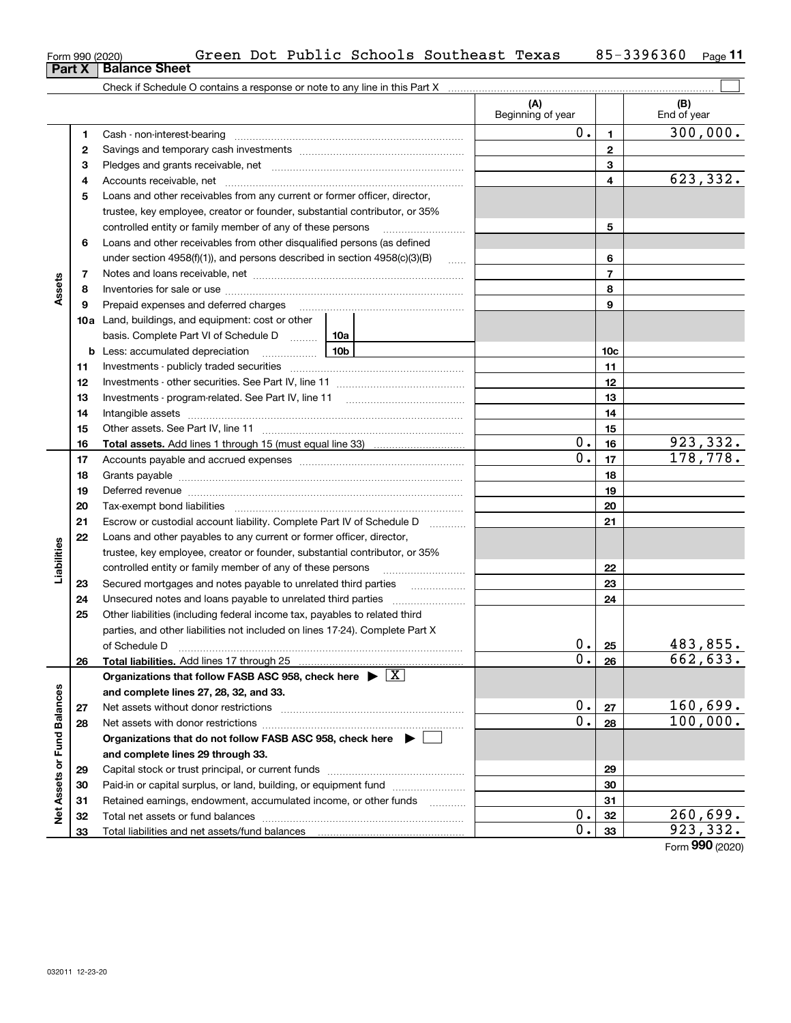| Form 990 (2020) |                               |  |
|-----------------|-------------------------------|--|
|                 | <b>Part X   Balance Sheet</b> |  |
|                 |                               |  |

|                             |    | Check if Schedule O contains a response or note to any line in this Part X                                                                                                                                                     | (A)<br>Beginning of year |                | (B)<br>End of year |
|-----------------------------|----|--------------------------------------------------------------------------------------------------------------------------------------------------------------------------------------------------------------------------------|--------------------------|----------------|--------------------|
|                             | 1  |                                                                                                                                                                                                                                | $0$ .                    | 1.             | 300,000.           |
|                             | 2  |                                                                                                                                                                                                                                |                          | $\mathbf{2}$   |                    |
|                             | 3  |                                                                                                                                                                                                                                |                          | 3              |                    |
|                             | 4  |                                                                                                                                                                                                                                |                          | 4              | 623,332.           |
|                             | 5  | Loans and other receivables from any current or former officer, director,                                                                                                                                                      |                          |                |                    |
|                             |    | trustee, key employee, creator or founder, substantial contributor, or 35%                                                                                                                                                     |                          |                |                    |
|                             |    | controlled entity or family member of any of these persons                                                                                                                                                                     |                          | 5              |                    |
|                             | 6  | Loans and other receivables from other disqualified persons (as defined                                                                                                                                                        |                          |                |                    |
|                             |    | under section $4958(f)(1)$ , and persons described in section $4958(c)(3)(B)$                                                                                                                                                  | $\ldots$                 | 6              |                    |
|                             | 7  |                                                                                                                                                                                                                                |                          | $\overline{7}$ |                    |
| Assets                      | 8  |                                                                                                                                                                                                                                |                          | 8              |                    |
|                             | 9  |                                                                                                                                                                                                                                |                          | 9              |                    |
|                             |    | <b>10a</b> Land, buildings, and equipment: cost or other                                                                                                                                                                       |                          |                |                    |
|                             |    | basis. Complete Part VI of Schedule D  10a                                                                                                                                                                                     |                          |                |                    |
|                             |    |                                                                                                                                                                                                                                |                          | 10c            |                    |
|                             | 11 |                                                                                                                                                                                                                                |                          | 11             |                    |
|                             | 12 |                                                                                                                                                                                                                                |                          | 12             |                    |
|                             | 13 |                                                                                                                                                                                                                                |                          | 13             |                    |
|                             | 14 |                                                                                                                                                                                                                                |                          | 14             |                    |
|                             | 15 |                                                                                                                                                                                                                                |                          | 15             |                    |
|                             | 16 |                                                                                                                                                                                                                                | $0$ .                    | 16             | 923,332.           |
|                             | 17 |                                                                                                                                                                                                                                | $\overline{0}$ .         | 17             | 178,778.           |
|                             | 18 |                                                                                                                                                                                                                                |                          | 18             |                    |
|                             | 19 | Deferred revenue material contracts and a contract of the contract of the contract of the contract of the contract of the contract of the contract of the contract of the contract of the contract of the contract of the cont |                          | 19             |                    |
|                             | 20 |                                                                                                                                                                                                                                |                          | 20             |                    |
|                             | 21 | Escrow or custodial account liability. Complete Part IV of Schedule D                                                                                                                                                          |                          | 21             |                    |
|                             | 22 | Loans and other payables to any current or former officer, director,                                                                                                                                                           |                          |                |                    |
| Liabilities                 |    | trustee, key employee, creator or founder, substantial contributor, or 35%                                                                                                                                                     |                          |                |                    |
|                             |    | controlled entity or family member of any of these persons                                                                                                                                                                     |                          | 22             |                    |
|                             | 23 | Secured mortgages and notes payable to unrelated third parties                                                                                                                                                                 |                          | 23             |                    |
|                             | 24 |                                                                                                                                                                                                                                |                          | 24             |                    |
|                             | 25 | Other liabilities (including federal income tax, payables to related third                                                                                                                                                     |                          |                |                    |
|                             |    | parties, and other liabilities not included on lines 17-24). Complete Part X                                                                                                                                                   |                          |                |                    |
|                             |    | of Schedule D                                                                                                                                                                                                                  | 0.                       | 25             | 483,855.           |
|                             | 26 | Total liabilities. Add lines 17 through 25                                                                                                                                                                                     | $\overline{0}$ .         | 26             | 662,633.           |
|                             |    | Organizations that follow FASB ASC 958, check here $\triangleright \lfloor X \rfloor$                                                                                                                                          |                          |                |                    |
|                             |    | and complete lines 27, 28, 32, and 33.                                                                                                                                                                                         |                          |                |                    |
|                             | 27 | Net assets without donor restrictions                                                                                                                                                                                          | 0.                       | 27             | 160,699.           |
|                             | 28 |                                                                                                                                                                                                                                | $\overline{0}$ .         | 28             | 100,000.           |
|                             |    | Organizations that do not follow FASB ASC 958, check here ▶ [                                                                                                                                                                  |                          |                |                    |
|                             |    | and complete lines 29 through 33.                                                                                                                                                                                              |                          |                |                    |
| Net Assets or Fund Balances | 29 |                                                                                                                                                                                                                                |                          | 29             |                    |
|                             | 30 | Paid-in or capital surplus, or land, building, or equipment fund                                                                                                                                                               |                          | 30             |                    |
|                             | 31 | Retained earnings, endowment, accumulated income, or other funds                                                                                                                                                               |                          | 31             |                    |
|                             | 32 |                                                                                                                                                                                                                                | 0.                       | 32             | 260,699.           |
|                             | 33 |                                                                                                                                                                                                                                | 0.                       | 33             | 923,332.           |

Form (2020) **990**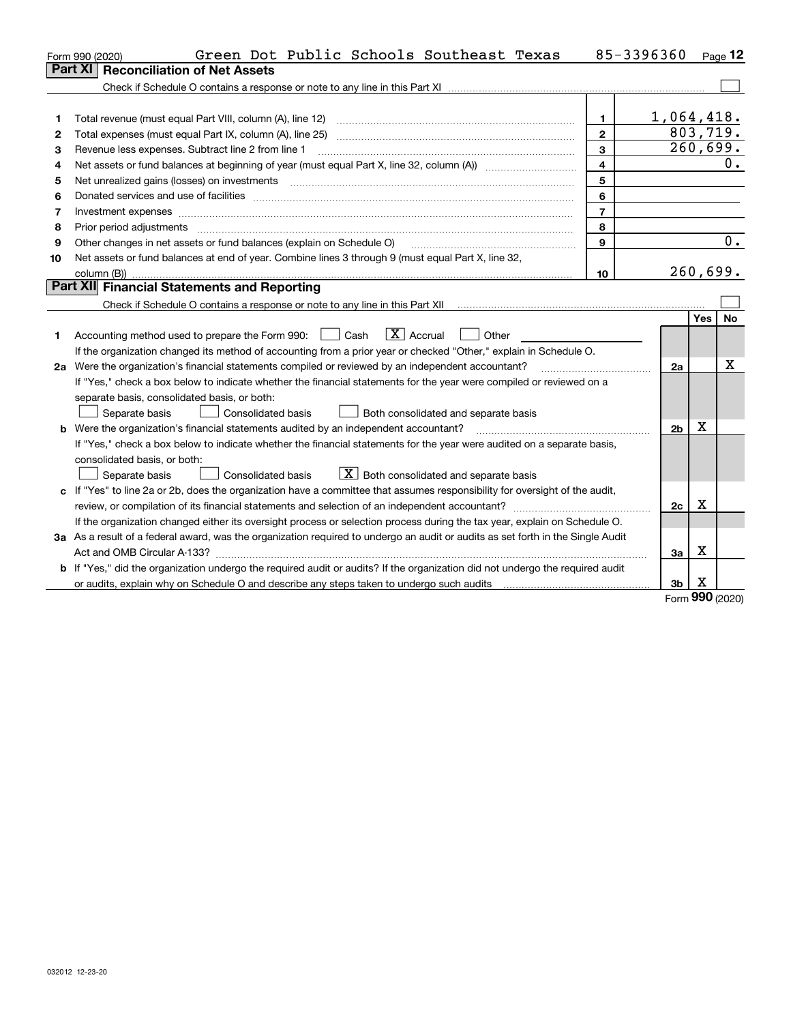|    | Green Dot Public Schools Southeast Texas<br>Form 990 (2020)                                                                     | 85-3396360              |                |          | $Page$ 12 |
|----|---------------------------------------------------------------------------------------------------------------------------------|-------------------------|----------------|----------|-----------|
|    | <b>Reconciliation of Net Assets</b><br><b>Part XI</b>                                                                           |                         |                |          |           |
|    |                                                                                                                                 |                         |                |          |           |
|    |                                                                                                                                 |                         |                |          |           |
| 1  | Total revenue (must equal Part VIII, column (A), line 12)                                                                       | $\mathbf{1}$            | 1,064,418.     |          |           |
| 2  | Total expenses (must equal Part IX, column (A), line 25)                                                                        | $\overline{2}$          |                | 803,719. |           |
| з  | Revenue less expenses. Subtract line 2 from line 1                                                                              | 3                       |                |          | 260,699.  |
| 4  |                                                                                                                                 | $\overline{\mathbf{4}}$ |                |          | 0.        |
| 5  | Net unrealized gains (losses) on investments                                                                                    | 5                       |                |          |           |
| 6  |                                                                                                                                 | 6                       |                |          |           |
| 7  |                                                                                                                                 | $\overline{7}$          |                |          |           |
| 8  | Prior period adjustments                                                                                                        | 8                       |                |          |           |
| 9  | Other changes in net assets or fund balances (explain on Schedule O)                                                            | $\mathbf{Q}$            |                |          | 0.        |
| 10 | Net assets or fund balances at end of year. Combine lines 3 through 9 (must equal Part X, line 32,                              |                         |                |          |           |
|    |                                                                                                                                 | 10                      |                |          | 260,699.  |
|    | Part XII Financial Statements and Reporting                                                                                     |                         |                |          |           |
|    |                                                                                                                                 |                         |                |          |           |
|    |                                                                                                                                 |                         |                | Yes      | No        |
| 1. | $\boxed{\mathbf{X}}$ Accrual<br>Accounting method used to prepare the Form 990: <u>I</u> Cash<br>Other                          |                         |                |          |           |
|    | If the organization changed its method of accounting from a prior year or checked "Other," explain in Schedule O.               |                         |                |          |           |
|    | 2a Were the organization's financial statements compiled or reviewed by an independent accountant?                              |                         | 2a             |          | Χ         |
|    | If "Yes," check a box below to indicate whether the financial statements for the year were compiled or reviewed on a            |                         |                |          |           |
|    | separate basis, consolidated basis, or both:                                                                                    |                         |                |          |           |
|    | Separate basis<br><b>Consolidated basis</b><br>Both consolidated and separate basis                                             |                         |                |          |           |
|    | <b>b</b> Were the organization's financial statements audited by an independent accountant?                                     |                         | 2 <sub>b</sub> | Χ        |           |
|    | If "Yes," check a box below to indicate whether the financial statements for the year were audited on a separate basis,         |                         |                |          |           |
|    | consolidated basis, or both:                                                                                                    |                         |                |          |           |
|    | $X$ Both consolidated and separate basis<br><b>Consolidated basis</b><br>Separate basis                                         |                         |                |          |           |
| c  | If "Yes" to line 2a or 2b, does the organization have a committee that assumes responsibility for oversight of the audit,       |                         |                |          |           |
|    | review, or compilation of its financial statements and selection of an independent accountant?                                  |                         | 2c             | Χ        |           |
|    | If the organization changed either its oversight process or selection process during the tax year, explain on Schedule O.       |                         |                |          |           |
|    | 3a As a result of a federal award, was the organization required to undergo an audit or audits as set forth in the Single Audit |                         |                |          |           |
|    |                                                                                                                                 |                         | За             | х        |           |
|    | b If "Yes," did the organization undergo the required audit or audits? If the organization did not undergo the required audit   |                         |                |          |           |
|    |                                                                                                                                 |                         | 3 <sub>b</sub> | X        |           |

Form (2020) **990**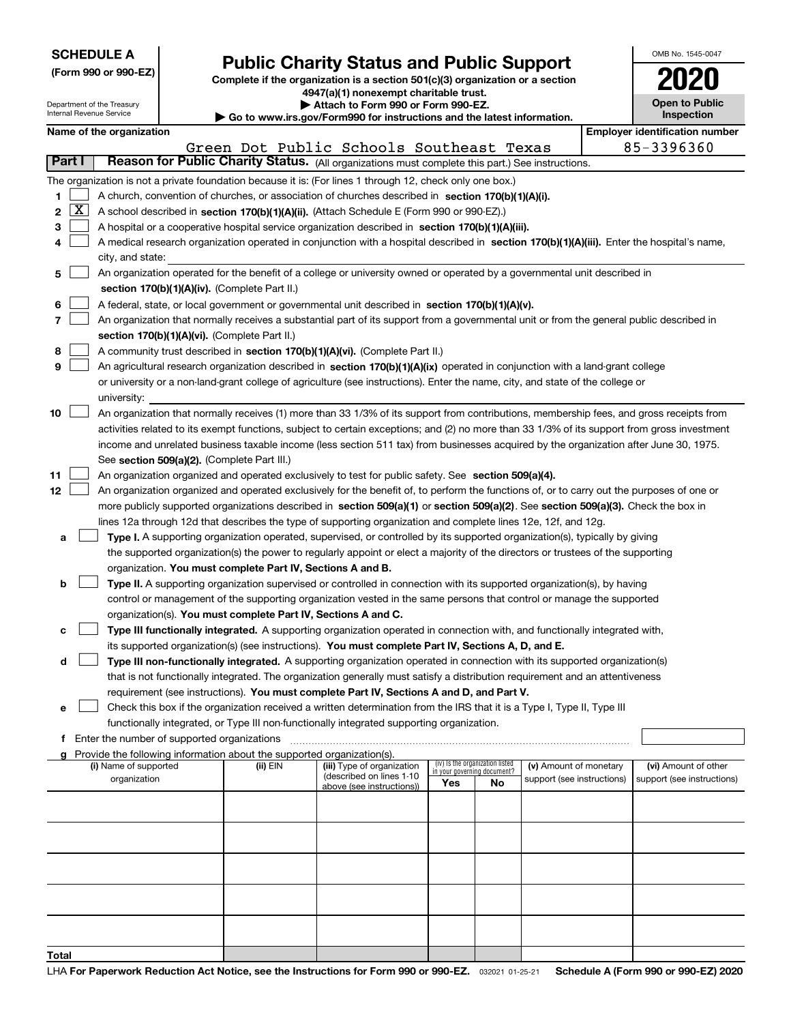|  |  |  |  |  |  |  |  | <b>SCHEDULE A</b> |  |  |
|--|--|--|--|--|--|--|--|-------------------|--|--|
|--|--|--|--|--|--|--|--|-------------------|--|--|

## **Public Charity Status and Public Support**

**Complete if the organization is a section 501(c)(3) organization or a section 4947(a)(1) nonexempt charitable trust. | Attach to Form 990 or Form 990-EZ.** 

|  |  | www.irs.gov/Form990 for instructions and the latest information. |
|--|--|------------------------------------------------------------------|

| OMB No 1545-0047                    |
|-------------------------------------|
| 2020                                |
| <b>Open to Public</b><br>Inspection |

| Attach to Form 990 or Form 990-EZ.<br>Department of the Treasury<br>Internal Revenue Service<br>Go to www.irs.gov/Form990 for instructions and the latest information. |                                                                                                                                            |                                                      |  |                                                                          |                                                                                                                                              | <b>Open to Public</b><br>Inspection |                                                                |                            |  |                                       |
|------------------------------------------------------------------------------------------------------------------------------------------------------------------------|--------------------------------------------------------------------------------------------------------------------------------------------|------------------------------------------------------|--|--------------------------------------------------------------------------|----------------------------------------------------------------------------------------------------------------------------------------------|-------------------------------------|----------------------------------------------------------------|----------------------------|--|---------------------------------------|
|                                                                                                                                                                        |                                                                                                                                            | Name of the organization                             |  |                                                                          |                                                                                                                                              |                                     |                                                                |                            |  | <b>Employer identification number</b> |
|                                                                                                                                                                        |                                                                                                                                            |                                                      |  |                                                                          | Green Dot Public Schools Southeast Texas                                                                                                     |                                     |                                                                |                            |  | 85-3396360                            |
| Part I                                                                                                                                                                 |                                                                                                                                            |                                                      |  |                                                                          | Reason for Public Charity Status. (All organizations must complete this part.) See instructions.                                             |                                     |                                                                |                            |  |                                       |
|                                                                                                                                                                        |                                                                                                                                            |                                                      |  |                                                                          |                                                                                                                                              |                                     |                                                                |                            |  |                                       |
|                                                                                                                                                                        |                                                                                                                                            |                                                      |  |                                                                          | The organization is not a private foundation because it is: (For lines 1 through 12, check only one box.)                                    |                                     |                                                                |                            |  |                                       |
| 1                                                                                                                                                                      |                                                                                                                                            |                                                      |  |                                                                          | A church, convention of churches, or association of churches described in section 170(b)(1)(A)(i).                                           |                                     |                                                                |                            |  |                                       |
| 2                                                                                                                                                                      | $\mathbf{X}$                                                                                                                               |                                                      |  |                                                                          | A school described in section 170(b)(1)(A)(ii). (Attach Schedule E (Form 990 or 990-EZ).)                                                    |                                     |                                                                |                            |  |                                       |
| з                                                                                                                                                                      | A hospital or a cooperative hospital service organization described in section 170(b)(1)(A)(iii).                                          |                                                      |  |                                                                          |                                                                                                                                              |                                     |                                                                |                            |  |                                       |
| 4                                                                                                                                                                      | A medical research organization operated in conjunction with a hospital described in section 170(b)(1)(A)(iii). Enter the hospital's name, |                                                      |  |                                                                          |                                                                                                                                              |                                     |                                                                |                            |  |                                       |
|                                                                                                                                                                        | city, and state:                                                                                                                           |                                                      |  |                                                                          |                                                                                                                                              |                                     |                                                                |                            |  |                                       |
| 5                                                                                                                                                                      |                                                                                                                                            |                                                      |  |                                                                          | An organization operated for the benefit of a college or university owned or operated by a governmental unit described in                    |                                     |                                                                |                            |  |                                       |
|                                                                                                                                                                        |                                                                                                                                            |                                                      |  | section 170(b)(1)(A)(iv). (Complete Part II.)                            |                                                                                                                                              |                                     |                                                                |                            |  |                                       |
| 6                                                                                                                                                                      |                                                                                                                                            |                                                      |  |                                                                          | A federal, state, or local government or governmental unit described in section 170(b)(1)(A)(v).                                             |                                     |                                                                |                            |  |                                       |
| 7                                                                                                                                                                      |                                                                                                                                            |                                                      |  |                                                                          | An organization that normally receives a substantial part of its support from a governmental unit or from the general public described in    |                                     |                                                                |                            |  |                                       |
|                                                                                                                                                                        |                                                                                                                                            |                                                      |  | section 170(b)(1)(A)(vi). (Complete Part II.)                            |                                                                                                                                              |                                     |                                                                |                            |  |                                       |
| 8                                                                                                                                                                      |                                                                                                                                            |                                                      |  |                                                                          | A community trust described in section 170(b)(1)(A)(vi). (Complete Part II.)                                                                 |                                     |                                                                |                            |  |                                       |
| 9                                                                                                                                                                      |                                                                                                                                            |                                                      |  |                                                                          | An agricultural research organization described in section 170(b)(1)(A)(ix) operated in conjunction with a land-grant college                |                                     |                                                                |                            |  |                                       |
|                                                                                                                                                                        |                                                                                                                                            |                                                      |  |                                                                          | or university or a non-land-grant college of agriculture (see instructions). Enter the name, city, and state of the college or               |                                     |                                                                |                            |  |                                       |
|                                                                                                                                                                        |                                                                                                                                            | university:                                          |  |                                                                          |                                                                                                                                              |                                     |                                                                |                            |  |                                       |
| 10                                                                                                                                                                     |                                                                                                                                            |                                                      |  |                                                                          | An organization that normally receives (1) more than 33 1/3% of its support from contributions, membership fees, and gross receipts from     |                                     |                                                                |                            |  |                                       |
|                                                                                                                                                                        |                                                                                                                                            |                                                      |  |                                                                          | activities related to its exempt functions, subject to certain exceptions; and (2) no more than 33 1/3% of its support from gross investment |                                     |                                                                |                            |  |                                       |
|                                                                                                                                                                        |                                                                                                                                            |                                                      |  |                                                                          |                                                                                                                                              |                                     |                                                                |                            |  |                                       |
|                                                                                                                                                                        |                                                                                                                                            |                                                      |  |                                                                          | income and unrelated business taxable income (less section 511 tax) from businesses acquired by the organization after June 30, 1975.        |                                     |                                                                |                            |  |                                       |
|                                                                                                                                                                        |                                                                                                                                            |                                                      |  | See section 509(a)(2). (Complete Part III.)                              |                                                                                                                                              |                                     |                                                                |                            |  |                                       |
| 11                                                                                                                                                                     |                                                                                                                                            |                                                      |  |                                                                          | An organization organized and operated exclusively to test for public safety. See section 509(a)(4).                                         |                                     |                                                                |                            |  |                                       |
| 12                                                                                                                                                                     |                                                                                                                                            |                                                      |  |                                                                          | An organization organized and operated exclusively for the benefit of, to perform the functions of, or to carry out the purposes of one or   |                                     |                                                                |                            |  |                                       |
|                                                                                                                                                                        |                                                                                                                                            |                                                      |  |                                                                          | more publicly supported organizations described in section 509(a)(1) or section 509(a)(2). See section 509(a)(3). Check the box in           |                                     |                                                                |                            |  |                                       |
|                                                                                                                                                                        |                                                                                                                                            |                                                      |  |                                                                          | lines 12a through 12d that describes the type of supporting organization and complete lines 12e, 12f, and 12g.                               |                                     |                                                                |                            |  |                                       |
| а                                                                                                                                                                      |                                                                                                                                            |                                                      |  |                                                                          | Type I. A supporting organization operated, supervised, or controlled by its supported organization(s), typically by giving                  |                                     |                                                                |                            |  |                                       |
|                                                                                                                                                                        |                                                                                                                                            |                                                      |  |                                                                          | the supported organization(s) the power to regularly appoint or elect a majority of the directors or trustees of the supporting              |                                     |                                                                |                            |  |                                       |
|                                                                                                                                                                        |                                                                                                                                            |                                                      |  | organization. You must complete Part IV, Sections A and B.               |                                                                                                                                              |                                     |                                                                |                            |  |                                       |
| b                                                                                                                                                                      |                                                                                                                                            |                                                      |  |                                                                          | Type II. A supporting organization supervised or controlled in connection with its supported organization(s), by having                      |                                     |                                                                |                            |  |                                       |
|                                                                                                                                                                        |                                                                                                                                            |                                                      |  |                                                                          | control or management of the supporting organization vested in the same persons that control or manage the supported                         |                                     |                                                                |                            |  |                                       |
|                                                                                                                                                                        |                                                                                                                                            |                                                      |  | organization(s). You must complete Part IV, Sections A and C.            |                                                                                                                                              |                                     |                                                                |                            |  |                                       |
| с                                                                                                                                                                      |                                                                                                                                            |                                                      |  |                                                                          | Type III functionally integrated. A supporting organization operated in connection with, and functionally integrated with,                   |                                     |                                                                |                            |  |                                       |
|                                                                                                                                                                        |                                                                                                                                            |                                                      |  |                                                                          | its supported organization(s) (see instructions). You must complete Part IV, Sections A, D, and E.                                           |                                     |                                                                |                            |  |                                       |
| d                                                                                                                                                                      |                                                                                                                                            |                                                      |  |                                                                          | Type III non-functionally integrated. A supporting organization operated in connection with its supported organization(s)                    |                                     |                                                                |                            |  |                                       |
|                                                                                                                                                                        |                                                                                                                                            |                                                      |  |                                                                          | that is not functionally integrated. The organization generally must satisfy a distribution requirement and an attentiveness                 |                                     |                                                                |                            |  |                                       |
|                                                                                                                                                                        |                                                                                                                                            |                                                      |  |                                                                          | requirement (see instructions). You must complete Part IV, Sections A and D, and Part V.                                                     |                                     |                                                                |                            |  |                                       |
| е                                                                                                                                                                      |                                                                                                                                            |                                                      |  |                                                                          | Check this box if the organization received a written determination from the IRS that it is a Type I, Type II, Type III                      |                                     |                                                                |                            |  |                                       |
|                                                                                                                                                                        |                                                                                                                                            |                                                      |  |                                                                          | functionally integrated, or Type III non-functionally integrated supporting organization.                                                    |                                     |                                                                |                            |  |                                       |
|                                                                                                                                                                        |                                                                                                                                            | <b>f</b> Enter the number of supported organizations |  |                                                                          |                                                                                                                                              |                                     |                                                                |                            |  |                                       |
|                                                                                                                                                                        |                                                                                                                                            |                                                      |  | g Provide the following information about the supported organization(s). |                                                                                                                                              |                                     |                                                                |                            |  |                                       |
|                                                                                                                                                                        |                                                                                                                                            | (i) Name of supported                                |  | (ii) EIN                                                                 | (iii) Type of organization                                                                                                                   |                                     | (iv) Is the organization listed<br>in your governing document? | (v) Amount of monetary     |  | (vi) Amount of other                  |
|                                                                                                                                                                        |                                                                                                                                            | organization                                         |  |                                                                          | (described on lines 1-10<br>above (see instructions))                                                                                        | Yes                                 | No                                                             | support (see instructions) |  | support (see instructions)            |
|                                                                                                                                                                        |                                                                                                                                            |                                                      |  |                                                                          |                                                                                                                                              |                                     |                                                                |                            |  |                                       |
|                                                                                                                                                                        |                                                                                                                                            |                                                      |  |                                                                          |                                                                                                                                              |                                     |                                                                |                            |  |                                       |
|                                                                                                                                                                        |                                                                                                                                            |                                                      |  |                                                                          |                                                                                                                                              |                                     |                                                                |                            |  |                                       |
|                                                                                                                                                                        |                                                                                                                                            |                                                      |  |                                                                          |                                                                                                                                              |                                     |                                                                |                            |  |                                       |
|                                                                                                                                                                        |                                                                                                                                            |                                                      |  |                                                                          |                                                                                                                                              |                                     |                                                                |                            |  |                                       |
|                                                                                                                                                                        |                                                                                                                                            |                                                      |  |                                                                          |                                                                                                                                              |                                     |                                                                |                            |  |                                       |
|                                                                                                                                                                        |                                                                                                                                            |                                                      |  |                                                                          |                                                                                                                                              |                                     |                                                                |                            |  |                                       |
|                                                                                                                                                                        |                                                                                                                                            |                                                      |  |                                                                          |                                                                                                                                              |                                     |                                                                |                            |  |                                       |
|                                                                                                                                                                        |                                                                                                                                            |                                                      |  |                                                                          |                                                                                                                                              |                                     |                                                                |                            |  |                                       |
|                                                                                                                                                                        |                                                                                                                                            |                                                      |  |                                                                          |                                                                                                                                              |                                     |                                                                |                            |  |                                       |
|                                                                                                                                                                        |                                                                                                                                            |                                                      |  |                                                                          |                                                                                                                                              |                                     |                                                                |                            |  |                                       |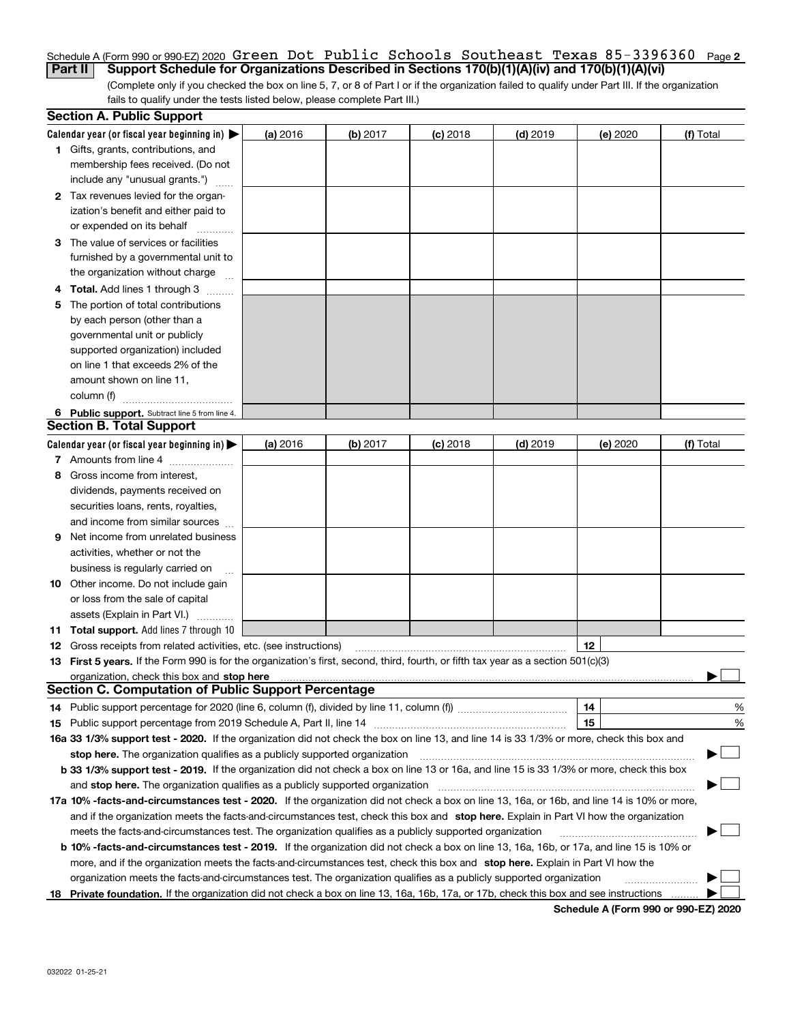## <u>Schedule A (Form 990 or 990-EZ) 2020 Green Dot Public Schools Southeast Texas 85-3396360 <sub>Page 2</sub></u> **Part II Support Schedule for Organizations Described in Sections 170(b)(1)(A)(iv) and 170(b)(1)(A)(vi)**

(Complete only if you checked the box on line 5, 7, or 8 of Part I or if the organization failed to qualify under Part III. If the organization fails to qualify under the tests listed below, please complete Part III.)

|    | <b>Section A. Public Support</b>                                                                                                               |          |            |            |            |          |                          |
|----|------------------------------------------------------------------------------------------------------------------------------------------------|----------|------------|------------|------------|----------|--------------------------|
|    | Calendar year (or fiscal year beginning in) $\blacktriangleright$                                                                              | (a) 2016 | $(b)$ 2017 | $(c)$ 2018 | $(d)$ 2019 | (e) 2020 | (f) Total                |
|    | <b>1</b> Gifts, grants, contributions, and                                                                                                     |          |            |            |            |          |                          |
|    | membership fees received. (Do not                                                                                                              |          |            |            |            |          |                          |
|    | include any "unusual grants.")                                                                                                                 |          |            |            |            |          |                          |
|    | 2 Tax revenues levied for the organ-                                                                                                           |          |            |            |            |          |                          |
|    | ization's benefit and either paid to                                                                                                           |          |            |            |            |          |                          |
|    | or expended on its behalf                                                                                                                      |          |            |            |            |          |                          |
|    | 3 The value of services or facilities                                                                                                          |          |            |            |            |          |                          |
|    | furnished by a governmental unit to                                                                                                            |          |            |            |            |          |                          |
|    | the organization without charge                                                                                                                |          |            |            |            |          |                          |
|    | 4 Total. Add lines 1 through 3                                                                                                                 |          |            |            |            |          |                          |
| 5. | The portion of total contributions                                                                                                             |          |            |            |            |          |                          |
|    | by each person (other than a                                                                                                                   |          |            |            |            |          |                          |
|    | governmental unit or publicly                                                                                                                  |          |            |            |            |          |                          |
|    | supported organization) included                                                                                                               |          |            |            |            |          |                          |
|    | on line 1 that exceeds 2% of the                                                                                                               |          |            |            |            |          |                          |
|    | amount shown on line 11,                                                                                                                       |          |            |            |            |          |                          |
|    | column (f)                                                                                                                                     |          |            |            |            |          |                          |
|    | 6 Public support. Subtract line 5 from line 4.                                                                                                 |          |            |            |            |          |                          |
|    | <b>Section B. Total Support</b>                                                                                                                |          |            |            |            |          |                          |
|    | Calendar year (or fiscal year beginning in) $\blacktriangleright$                                                                              | (a) 2016 | (b) 2017   | $(c)$ 2018 | $(d)$ 2019 | (e) 2020 | (f) Total                |
|    | 7 Amounts from line 4                                                                                                                          |          |            |            |            |          |                          |
|    | 8 Gross income from interest,                                                                                                                  |          |            |            |            |          |                          |
|    | dividends, payments received on                                                                                                                |          |            |            |            |          |                          |
|    | securities loans, rents, royalties,                                                                                                            |          |            |            |            |          |                          |
|    | and income from similar sources                                                                                                                |          |            |            |            |          |                          |
| 9. | Net income from unrelated business                                                                                                             |          |            |            |            |          |                          |
|    | activities, whether or not the                                                                                                                 |          |            |            |            |          |                          |
|    | business is regularly carried on                                                                                                               |          |            |            |            |          |                          |
|    | <b>10</b> Other income. Do not include gain                                                                                                    |          |            |            |            |          |                          |
|    | or loss from the sale of capital                                                                                                               |          |            |            |            |          |                          |
|    | assets (Explain in Part VI.)                                                                                                                   |          |            |            |            |          |                          |
|    | <b>11 Total support.</b> Add lines 7 through 10                                                                                                |          |            |            |            |          |                          |
|    | <b>12</b> Gross receipts from related activities, etc. (see instructions)                                                                      |          |            |            |            | 12       |                          |
|    | 13 First 5 years. If the Form 990 is for the organization's first, second, third, fourth, or fifth tax year as a section 501(c)(3)             |          |            |            |            |          |                          |
|    |                                                                                                                                                |          |            |            |            |          |                          |
|    | <b>Section C. Computation of Public Support Percentage</b>                                                                                     |          |            |            |            |          |                          |
|    | 14 Public support percentage for 2020 (line 6, column (f), divided by line 11, column (f) <i>mummumumum</i>                                    |          |            |            |            | 14       | %                        |
|    |                                                                                                                                                |          |            |            |            | 15       | %                        |
|    | 16a 33 1/3% support test - 2020. If the organization did not check the box on line 13, and line 14 is 33 1/3% or more, check this box and      |          |            |            |            |          |                          |
|    | stop here. The organization qualifies as a publicly supported organization                                                                     |          |            |            |            |          | $\overline{\phantom{a}}$ |
|    | b 33 1/3% support test - 2019. If the organization did not check a box on line 13 or 16a, and line 15 is 33 1/3% or more, check this box       |          |            |            |            |          |                          |
|    | and stop here. The organization qualifies as a publicly supported organization                                                                 |          |            |            |            |          |                          |
|    | 17a 10% -facts-and-circumstances test - 2020. If the organization did not check a box on line 13, 16a, or 16b, and line 14 is 10% or more,     |          |            |            |            |          |                          |
|    | and if the organization meets the facts-and-circumstances test, check this box and stop here. Explain in Part VI how the organization          |          |            |            |            |          |                          |
|    | meets the facts-and-circumstances test. The organization qualifies as a publicly supported organization                                        |          |            |            |            |          |                          |
|    | <b>b 10% -facts-and-circumstances test - 2019.</b> If the organization did not check a box on line 13, 16a, 16b, or 17a, and line 15 is 10% or |          |            |            |            |          |                          |
|    | more, and if the organization meets the facts-and-circumstances test, check this box and stop here. Explain in Part VI how the                 |          |            |            |            |          |                          |
|    | organization meets the facts-and-circumstances test. The organization qualifies as a publicly supported organization                           |          |            |            |            |          |                          |
| 18 | Private foundation. If the organization did not check a box on line 13, 16a, 16b, 17a, or 17b, check this box and see instructions             |          |            |            |            |          |                          |

**Schedule A (Form 990 or 990-EZ) 2020**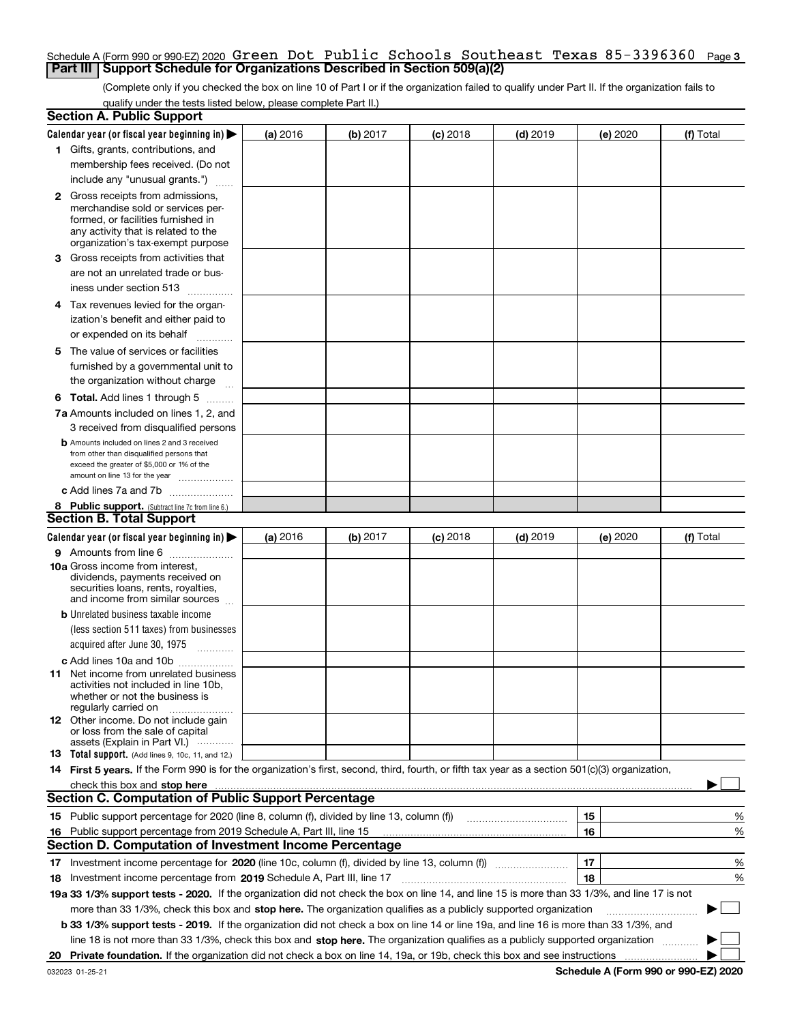## Schedule A (Form 990 or 990-EZ) 2020 **Green Dot Public Schools Southeast Texas** 85-3396360 <sub>Page 3</sub> **Part III | Support Schedule for Organizations Described in Section 509(a)(2)**

(Complete only if you checked the box on line 10 of Part I or if the organization failed to qualify under Part II. If the organization fails to qualify under the tests listed below, please complete Part II.)

|    | <b>Section A. Public Support</b>                                                                                                                 |          |          |            |            |          |           |
|----|--------------------------------------------------------------------------------------------------------------------------------------------------|----------|----------|------------|------------|----------|-----------|
|    | Calendar year (or fiscal year beginning in) $\blacktriangleright$                                                                                | (a) 2016 | (b) 2017 | $(c)$ 2018 | $(d)$ 2019 | (e) 2020 | (f) Total |
|    | 1 Gifts, grants, contributions, and                                                                                                              |          |          |            |            |          |           |
|    | membership fees received. (Do not                                                                                                                |          |          |            |            |          |           |
|    | include any "unusual grants.")                                                                                                                   |          |          |            |            |          |           |
|    | <b>2</b> Gross receipts from admissions,                                                                                                         |          |          |            |            |          |           |
|    | merchandise sold or services per-                                                                                                                |          |          |            |            |          |           |
|    | formed, or facilities furnished in                                                                                                               |          |          |            |            |          |           |
|    | any activity that is related to the<br>organization's tax-exempt purpose                                                                         |          |          |            |            |          |           |
|    | 3 Gross receipts from activities that                                                                                                            |          |          |            |            |          |           |
|    | are not an unrelated trade or bus-                                                                                                               |          |          |            |            |          |           |
|    |                                                                                                                                                  |          |          |            |            |          |           |
|    | iness under section 513                                                                                                                          |          |          |            |            |          |           |
|    | 4 Tax revenues levied for the organ-                                                                                                             |          |          |            |            |          |           |
|    | ization's benefit and either paid to                                                                                                             |          |          |            |            |          |           |
|    | or expended on its behalf<br>.                                                                                                                   |          |          |            |            |          |           |
|    | 5 The value of services or facilities                                                                                                            |          |          |            |            |          |           |
|    | furnished by a governmental unit to                                                                                                              |          |          |            |            |          |           |
|    | the organization without charge                                                                                                                  |          |          |            |            |          |           |
|    | <b>6 Total.</b> Add lines 1 through 5                                                                                                            |          |          |            |            |          |           |
|    | 7a Amounts included on lines 1, 2, and                                                                                                           |          |          |            |            |          |           |
|    | 3 received from disqualified persons                                                                                                             |          |          |            |            |          |           |
|    | <b>b</b> Amounts included on lines 2 and 3 received                                                                                              |          |          |            |            |          |           |
|    | from other than disqualified persons that                                                                                                        |          |          |            |            |          |           |
|    | exceed the greater of \$5,000 or 1% of the<br>amount on line 13 for the year                                                                     |          |          |            |            |          |           |
|    | c Add lines 7a and 7b                                                                                                                            |          |          |            |            |          |           |
|    | 8 Public support. (Subtract line 7c from line 6.)                                                                                                |          |          |            |            |          |           |
|    | <b>Section B. Total Support</b>                                                                                                                  |          |          |            |            |          |           |
|    | Calendar year (or fiscal year beginning in)                                                                                                      | (a) 2016 | (b) 2017 | $(c)$ 2018 | $(d)$ 2019 | (e) 2020 | (f) Total |
|    | 9 Amounts from line 6                                                                                                                            |          |          |            |            |          |           |
|    | <b>10a</b> Gross income from interest,                                                                                                           |          |          |            |            |          |           |
|    | dividends, payments received on                                                                                                                  |          |          |            |            |          |           |
|    | securities loans, rents, royalties,<br>and income from similar sources                                                                           |          |          |            |            |          |           |
|    | <b>b</b> Unrelated business taxable income                                                                                                       |          |          |            |            |          |           |
|    | (less section 511 taxes) from businesses                                                                                                         |          |          |            |            |          |           |
|    | acquired after June 30, 1975 [10001]                                                                                                             |          |          |            |            |          |           |
|    |                                                                                                                                                  |          |          |            |            |          |           |
|    | c Add lines 10a and 10b<br>11 Net income from unrelated business                                                                                 |          |          |            |            |          |           |
|    | activities not included in line 10b,                                                                                                             |          |          |            |            |          |           |
|    | whether or not the business is                                                                                                                   |          |          |            |            |          |           |
|    | regularly carried on                                                                                                                             |          |          |            |            |          |           |
|    | <b>12</b> Other income. Do not include gain<br>or loss from the sale of capital                                                                  |          |          |            |            |          |           |
|    | assets (Explain in Part VI.)                                                                                                                     |          |          |            |            |          |           |
|    | <b>13</b> Total support. (Add lines 9, 10c, 11, and 12.)                                                                                         |          |          |            |            |          |           |
|    | 14 First 5 years. If the Form 990 is for the organization's first, second, third, fourth, or fifth tax year as a section 501(c)(3) organization, |          |          |            |            |          |           |
|    | check this box and stop here measurements are constructed as the state of the state of the state of the state o                                  |          |          |            |            |          |           |
|    | <b>Section C. Computation of Public Support Percentage</b>                                                                                       |          |          |            |            |          |           |
|    | 15 Public support percentage for 2020 (line 8, column (f), divided by line 13, column (f))                                                       |          |          |            |            | 15       | %         |
|    | 16 Public support percentage from 2019 Schedule A, Part III, line 15                                                                             |          |          |            |            | 16       | %         |
|    | Section D. Computation of Investment Income Percentage                                                                                           |          |          |            |            |          |           |
|    | 17 Investment income percentage for 2020 (line 10c, column (f), divided by line 13, column (f))                                                  |          |          |            |            | 17       | %         |
|    | <b>18</b> Investment income percentage from <b>2019</b> Schedule A, Part III, line 17                                                            |          |          |            |            | 18       | %         |
|    | 19a 33 1/3% support tests - 2020. If the organization did not check the box on line 14, and line 15 is more than 33 1/3%, and line 17 is not     |          |          |            |            |          |           |
|    | more than 33 1/3%, check this box and stop here. The organization qualifies as a publicly supported organization                                 |          |          |            |            |          | ▶         |
|    | b 33 1/3% support tests - 2019. If the organization did not check a box on line 14 or line 19a, and line 16 is more than 33 1/3%, and            |          |          |            |            |          |           |
|    | line 18 is not more than 33 1/3%, check this box and stop here. The organization qualifies as a publicly supported organization                  |          |          |            |            |          |           |
| 20 |                                                                                                                                                  |          |          |            |            |          |           |
|    |                                                                                                                                                  |          |          |            |            |          |           |

**Schedule A (Form 990 or 990-EZ) 2020**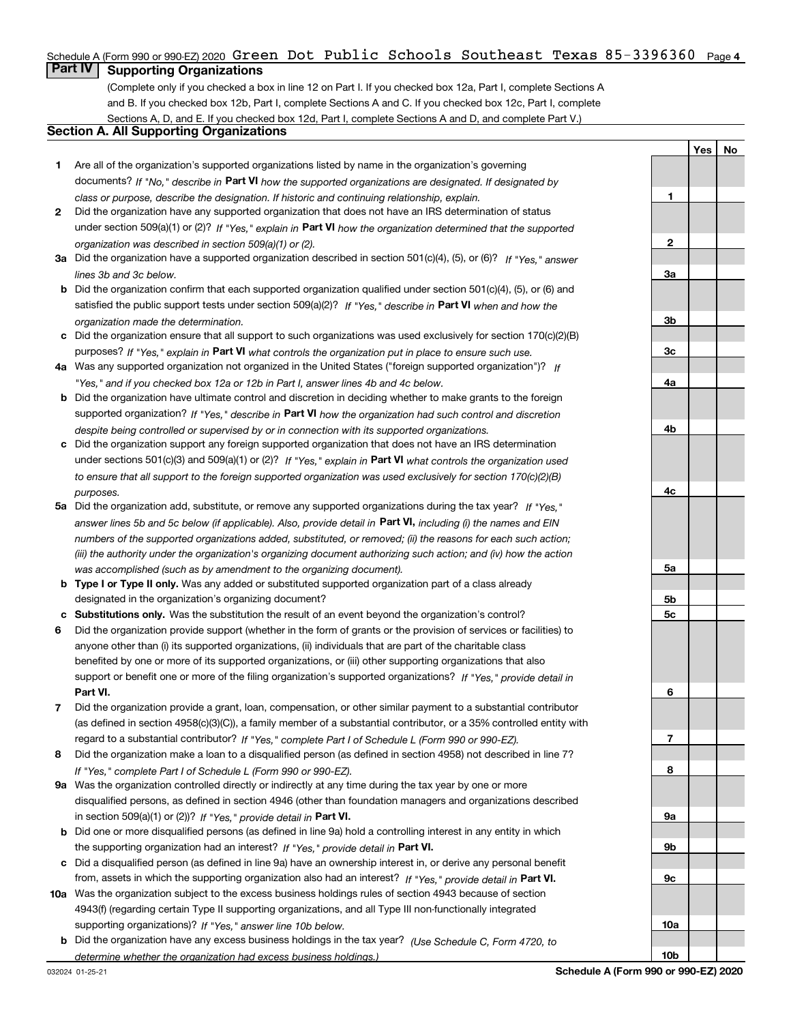## Schedule A (Form 990 or 990-EZ) 2020  $\,$  G $\,$ reen  $\,$  Dot  $\,$  Pub $1$ ic  $\,$  Schoo $1$ s  $\,$  Southeast  $\,$  Texas  $\,85$ – $3396360$   $\,$  Page 4  $\,$

## **Part IV Supporting Organizations**

(Complete only if you checked a box in line 12 on Part I. If you checked box 12a, Part I, complete Sections A and B. If you checked box 12b, Part I, complete Sections A and C. If you checked box 12c, Part I, complete Sections A, D, and E. If you checked box 12d, Part I, complete Sections A and D, and complete Part V.)

## **Section A. All Supporting Organizations**

- **1** Are all of the organization's supported organizations listed by name in the organization's governing documents? If "No," describe in **Part VI** how the supported organizations are designated. If designated by *class or purpose, describe the designation. If historic and continuing relationship, explain.*
- **2** Did the organization have any supported organization that does not have an IRS determination of status under section 509(a)(1) or (2)? If "Yes," explain in Part VI how the organization determined that the supported *organization was described in section 509(a)(1) or (2).*
- **3a** Did the organization have a supported organization described in section 501(c)(4), (5), or (6)? If "Yes," answer *lines 3b and 3c below.*
- **b** Did the organization confirm that each supported organization qualified under section 501(c)(4), (5), or (6) and satisfied the public support tests under section 509(a)(2)? If "Yes," describe in **Part VI** when and how the *organization made the determination.*
- **c**Did the organization ensure that all support to such organizations was used exclusively for section 170(c)(2)(B) purposes? If "Yes," explain in **Part VI** what controls the organization put in place to ensure such use.
- **4a***If* Was any supported organization not organized in the United States ("foreign supported organization")? *"Yes," and if you checked box 12a or 12b in Part I, answer lines 4b and 4c below.*
- **b** Did the organization have ultimate control and discretion in deciding whether to make grants to the foreign supported organization? If "Yes," describe in **Part VI** how the organization had such control and discretion *despite being controlled or supervised by or in connection with its supported organizations.*
- **c** Did the organization support any foreign supported organization that does not have an IRS determination under sections 501(c)(3) and 509(a)(1) or (2)? If "Yes," explain in **Part VI** what controls the organization used *to ensure that all support to the foreign supported organization was used exclusively for section 170(c)(2)(B) purposes.*
- **5a***If "Yes,"* Did the organization add, substitute, or remove any supported organizations during the tax year? answer lines 5b and 5c below (if applicable). Also, provide detail in **Part VI,** including (i) the names and EIN *numbers of the supported organizations added, substituted, or removed; (ii) the reasons for each such action; (iii) the authority under the organization's organizing document authorizing such action; and (iv) how the action was accomplished (such as by amendment to the organizing document).*
- **b** Type I or Type II only. Was any added or substituted supported organization part of a class already designated in the organization's organizing document?
- **cSubstitutions only.**  Was the substitution the result of an event beyond the organization's control?
- **6** Did the organization provide support (whether in the form of grants or the provision of services or facilities) to **Part VI.** *If "Yes," provide detail in* support or benefit one or more of the filing organization's supported organizations? anyone other than (i) its supported organizations, (ii) individuals that are part of the charitable class benefited by one or more of its supported organizations, or (iii) other supporting organizations that also
- **7**Did the organization provide a grant, loan, compensation, or other similar payment to a substantial contributor *If "Yes," complete Part I of Schedule L (Form 990 or 990-EZ).* regard to a substantial contributor? (as defined in section 4958(c)(3)(C)), a family member of a substantial contributor, or a 35% controlled entity with
- **8** Did the organization make a loan to a disqualified person (as defined in section 4958) not described in line 7? *If "Yes," complete Part I of Schedule L (Form 990 or 990-EZ).*
- **9a** Was the organization controlled directly or indirectly at any time during the tax year by one or more in section 509(a)(1) or (2))? If "Yes," *provide detail in* <code>Part VI.</code> disqualified persons, as defined in section 4946 (other than foundation managers and organizations described
- **b** Did one or more disqualified persons (as defined in line 9a) hold a controlling interest in any entity in which the supporting organization had an interest? If "Yes," provide detail in P**art VI**.
- **c**Did a disqualified person (as defined in line 9a) have an ownership interest in, or derive any personal benefit from, assets in which the supporting organization also had an interest? If "Yes," provide detail in P**art VI.**
- **10a** Was the organization subject to the excess business holdings rules of section 4943 because of section supporting organizations)? If "Yes," answer line 10b below. 4943(f) (regarding certain Type II supporting organizations, and all Type III non-functionally integrated
- **b** Did the organization have any excess business holdings in the tax year? (Use Schedule C, Form 4720, to *determine whether the organization had excess business holdings.)*

**YesNo**

**1**

**10b**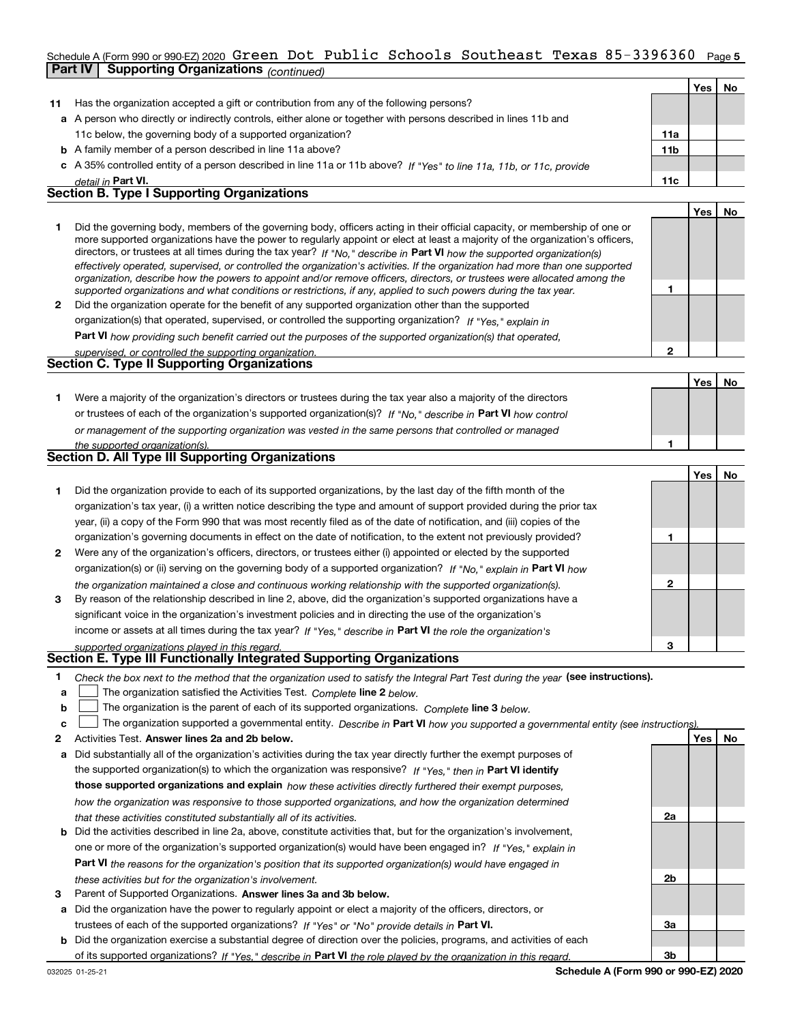## Schedule A (Form 990 or 990-EZ) 2020  $\,$  G $\,$ reen  $\,$  Dot  $\,$  Pub $1$ ic  $\,$  Schoo $1$ s  $\,$  Southeast  $\,$  Texas  $\,85$ – $3396360$   $\,$  Page  $\,$ **Part IV Supporting Organizations** *(continued)*

|    |                                                                                                                                                                                                                                                                                                                                                                                                                                                                                                                                                                                                                                                                                                                                                                          |                 | Yes   No |    |
|----|--------------------------------------------------------------------------------------------------------------------------------------------------------------------------------------------------------------------------------------------------------------------------------------------------------------------------------------------------------------------------------------------------------------------------------------------------------------------------------------------------------------------------------------------------------------------------------------------------------------------------------------------------------------------------------------------------------------------------------------------------------------------------|-----------------|----------|----|
| 11 | Has the organization accepted a gift or contribution from any of the following persons?                                                                                                                                                                                                                                                                                                                                                                                                                                                                                                                                                                                                                                                                                  |                 |          |    |
|    | a A person who directly or indirectly controls, either alone or together with persons described in lines 11b and                                                                                                                                                                                                                                                                                                                                                                                                                                                                                                                                                                                                                                                         |                 |          |    |
|    | 11c below, the governing body of a supported organization?                                                                                                                                                                                                                                                                                                                                                                                                                                                                                                                                                                                                                                                                                                               | 11a             |          |    |
|    | <b>b</b> A family member of a person described in line 11a above?                                                                                                                                                                                                                                                                                                                                                                                                                                                                                                                                                                                                                                                                                                        | 11 <sub>b</sub> |          |    |
|    | c A 35% controlled entity of a person described in line 11a or 11b above? If "Yes" to line 11a, 11b, or 11c, provide                                                                                                                                                                                                                                                                                                                                                                                                                                                                                                                                                                                                                                                     |                 |          |    |
|    | detail in Part VI.                                                                                                                                                                                                                                                                                                                                                                                                                                                                                                                                                                                                                                                                                                                                                       | 11c             |          |    |
|    | <b>Section B. Type I Supporting Organizations</b>                                                                                                                                                                                                                                                                                                                                                                                                                                                                                                                                                                                                                                                                                                                        |                 |          |    |
|    |                                                                                                                                                                                                                                                                                                                                                                                                                                                                                                                                                                                                                                                                                                                                                                          |                 | Yes l    | No |
|    | Did the governing body, members of the governing body, officers acting in their official capacity, or membership of one or<br>more supported organizations have the power to regularly appoint or elect at least a majority of the organization's officers,<br>directors, or trustees at all times during the tax year? If "No," describe in Part VI how the supported organization(s)<br>effectively operated, supervised, or controlled the organization's activities. If the organization had more than one supported<br>organization, describe how the powers to appoint and/or remove officers, directors, or trustees were allocated among the<br>supported organizations and what conditions or restrictions, if any, applied to such powers during the tax year. |                 |          |    |
| 2  | Did the organization operate for the benefit of any supported organization other than the supported                                                                                                                                                                                                                                                                                                                                                                                                                                                                                                                                                                                                                                                                      |                 |          |    |
|    | organization(s) that operated, supervised, or controlled the supporting organization? If "Yes," explain in                                                                                                                                                                                                                                                                                                                                                                                                                                                                                                                                                                                                                                                               |                 |          |    |
|    | <b>Dart VI</b> bout providing ough bonofit corried out the purposes of the supported examination(s) that energied                                                                                                                                                                                                                                                                                                                                                                                                                                                                                                                                                                                                                                                        |                 |          |    |

**Part VI**  *how providing such benefit carried out the purposes of the supported organization(s) that operated, supervised, or controlled the supporting organization.*

| supervised. Or controlled the supporting organization. |
|--------------------------------------------------------|
| Section C. Type II Supporting Organizations            |

**Yes No 1**or trustees of each of the organization's supported organization(s)? If "No," describe in **Part VI** how control **1***or management of the supporting organization was vested in the same persons that controlled or managed the supported organization(s).* Were a majority of the organization's directors or trustees during the tax year also a majority of the directors

| <b>Section D. All Type III Supporting Organizations</b> |  |
|---------------------------------------------------------|--|
|                                                         |  |

|                |                                                                                                                        |   | Yes   No |  |
|----------------|------------------------------------------------------------------------------------------------------------------------|---|----------|--|
|                | Did the organization provide to each of its supported organizations, by the last day of the fifth month of the         |   |          |  |
|                | organization's tax year, (i) a written notice describing the type and amount of support provided during the prior tax  |   |          |  |
|                | year, (ii) a copy of the Form 990 that was most recently filed as of the date of notification, and (iii) copies of the |   |          |  |
|                | organization's governing documents in effect on the date of notification, to the extent not previously provided?       |   |          |  |
| $\overline{2}$ | Were any of the organization's officers, directors, or trustees either (i) appointed or elected by the supported       |   |          |  |
|                | organization(s) or (ii) serving on the governing body of a supported organization? If "No," explain in Part VI how     |   |          |  |
|                | the organization maintained a close and continuous working relationship with the supported organization(s).            | 2 |          |  |
| 3              | By reason of the relationship described in line 2, above, did the organization's supported organizations have a        |   |          |  |
|                | significant voice in the organization's investment policies and in directing the use of the organization's             |   |          |  |
|                | income or assets at all times during the tax year? If "Yes," describe in Part VI the role the organization's           |   |          |  |
|                | supported organizations played in this regard.                                                                         | з |          |  |

## *supported organizations played in this regard.* **Section E. Type III Functionally Integrated Supporting Organizations**

- **1**Check the box next to the method that the organization used to satisfy the Integral Part Test during the year (see instructions).
- **alinupy** The organization satisfied the Activities Test. Complete line 2 below.
- **b**The organization is the parent of each of its supported organizations. *Complete* line 3 *below.*  $\mathcal{L}^{\text{max}}$

|  |  | $\mathbf{c}$ $\Box$ The organization supported a governmental entity. Describe in Part VI how you supported a governmental entity (see instructions). |  |  |  |  |  |  |
|--|--|-------------------------------------------------------------------------------------------------------------------------------------------------------|--|--|--|--|--|--|
|--|--|-------------------------------------------------------------------------------------------------------------------------------------------------------|--|--|--|--|--|--|

- **2Answer lines 2a and 2b below. Yes No** Activities Test.
- **a** Did substantially all of the organization's activities during the tax year directly further the exempt purposes of the supported organization(s) to which the organization was responsive? If "Yes," then in **Part VI identify those supported organizations and explain**  *how these activities directly furthered their exempt purposes, how the organization was responsive to those supported organizations, and how the organization determined that these activities constituted substantially all of its activities.*
- **b** Did the activities described in line 2a, above, constitute activities that, but for the organization's involvement, **Part VI**  *the reasons for the organization's position that its supported organization(s) would have engaged in* one or more of the organization's supported organization(s) would have been engaged in? If "Yes," e*xplain in these activities but for the organization's involvement.*
- **3** Parent of Supported Organizations. Answer lines 3a and 3b below.
- **a** Did the organization have the power to regularly appoint or elect a majority of the officers, directors, or trustees of each of the supported organizations? If "Yes" or "No" provide details in **Part VI.**
- **b** Did the organization exercise a substantial degree of direction over the policies, programs, and activities of each of its supported organizations? If "Yes," describe in Part VI the role played by the organization in this regard.

**2a**

**2b**

**3a**

**3b**

**2**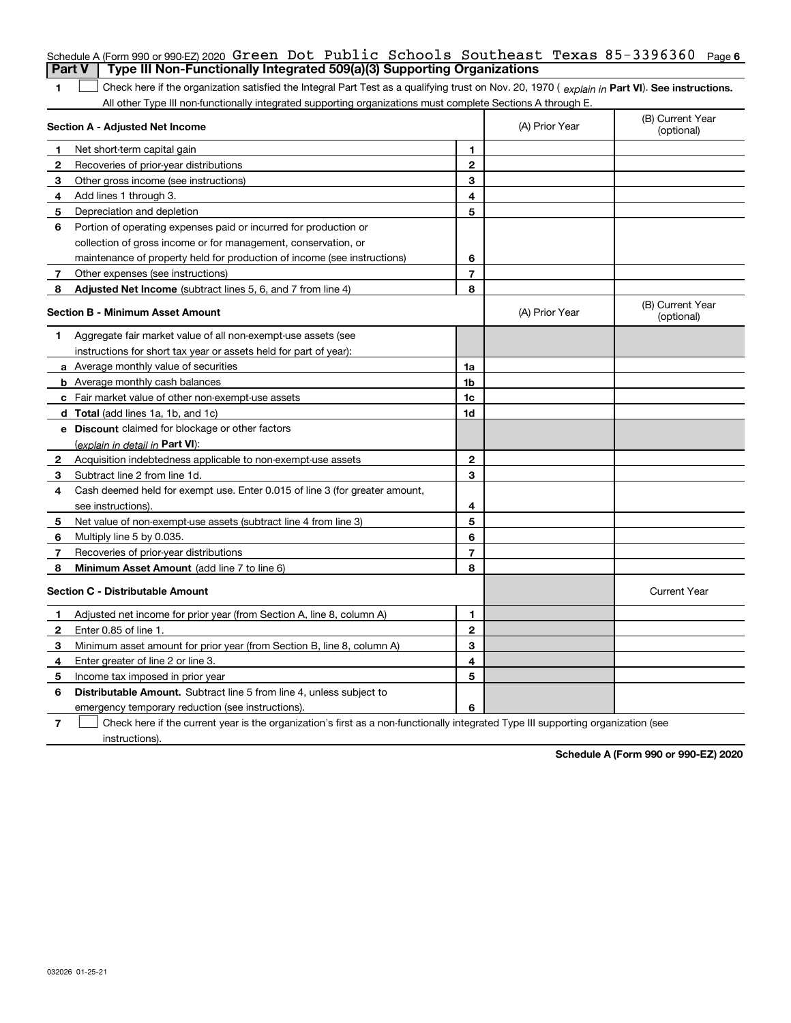|              | Schedule A (Form 990 or 990-EZ) 2020 $G$ reen Dot Public Schools Southeast Texas 85-3396360 Page 6                                             |                |                |                                |
|--------------|------------------------------------------------------------------------------------------------------------------------------------------------|----------------|----------------|--------------------------------|
|              | Type III Non-Functionally Integrated 509(a)(3) Supporting Organizations<br>Part V                                                              |                |                |                                |
| 1            | Check here if the organization satisfied the Integral Part Test as a qualifying trust on Nov. 20, 1970 (explain in Part VI). See instructions. |                |                |                                |
|              | All other Type III non-functionally integrated supporting organizations must complete Sections A through E.                                    |                |                |                                |
|              | Section A - Adjusted Net Income                                                                                                                |                | (A) Prior Year | (B) Current Year<br>(optional) |
| 1            | Net short-term capital gain                                                                                                                    | 1              |                |                                |
| $\mathbf{2}$ | Recoveries of prior-year distributions                                                                                                         | $\overline{2}$ |                |                                |
| 3            | Other gross income (see instructions)                                                                                                          | 3              |                |                                |
| 4            | Add lines 1 through 3.                                                                                                                         | 4              |                |                                |
| 5            | Depreciation and depletion                                                                                                                     | 5              |                |                                |
| 6            | Portion of operating expenses paid or incurred for production or                                                                               |                |                |                                |
|              | collection of gross income or for management, conservation, or                                                                                 |                |                |                                |
|              | maintenance of property held for production of income (see instructions)                                                                       | 6              |                |                                |
| 7            | Other expenses (see instructions)                                                                                                              | $\overline{7}$ |                |                                |
| 8            | Adjusted Net Income (subtract lines 5, 6, and 7 from line 4)                                                                                   | 8              |                |                                |
|              | <b>Section B - Minimum Asset Amount</b>                                                                                                        |                | (A) Prior Year | (B) Current Year<br>(optional) |
| 1            | Aggregate fair market value of all non-exempt-use assets (see                                                                                  |                |                |                                |
|              | instructions for short tax year or assets held for part of year):                                                                              |                |                |                                |
|              | a Average monthly value of securities                                                                                                          | 1a             |                |                                |
|              | <b>b</b> Average monthly cash balances                                                                                                         | 1b             |                |                                |
|              | c Fair market value of other non-exempt-use assets                                                                                             | 1c             |                |                                |
|              | d Total (add lines 1a, 1b, and 1c)                                                                                                             | 1d             |                |                                |
|              | <b>e</b> Discount claimed for blockage or other factors                                                                                        |                |                |                                |
|              | <u>(explain in detail in <b>Part VI</b>)</u> :                                                                                                 |                |                |                                |
| 2            | Acquisition indebtedness applicable to non-exempt-use assets                                                                                   | $\mathbf{2}$   |                |                                |
| 3            | Subtract line 2 from line 1d.                                                                                                                  | 3              |                |                                |
| 4            | Cash deemed held for exempt use. Enter 0.015 of line 3 (for greater amount,                                                                    |                |                |                                |
|              | see instructions).                                                                                                                             | 4              |                |                                |
| 5            | Net value of non-exempt-use assets (subtract line 4 from line 3)                                                                               | 5              |                |                                |
| 6            | Multiply line 5 by 0.035.                                                                                                                      | 6              |                |                                |
| 7            | Recoveries of prior-year distributions                                                                                                         | $\overline{7}$ |                |                                |
| 8            | Minimum Asset Amount (add line 7 to line 6)                                                                                                    | 8              |                |                                |
|              | <b>Section C - Distributable Amount</b>                                                                                                        |                |                | <b>Current Year</b>            |
| 1            | Adjusted net income for prior year (from Section A, line 8, column A)                                                                          | 1              |                |                                |
| $\mathbf{2}$ | Enter 0.85 of line 1.                                                                                                                          | $\mathbf{2}$   |                |                                |
| 3            | Minimum asset amount for prior year (from Section B, line 8, column A)                                                                         | 3              |                |                                |
| 4            | Enter greater of line 2 or line 3.                                                                                                             | 4              |                |                                |
| 5            | Income tax imposed in prior year                                                                                                               | 5              |                |                                |
| 6            | <b>Distributable Amount.</b> Subtract line 5 from line 4, unless subject to                                                                    |                |                |                                |
|              | emergency temporary reduction (see instructions).                                                                                              | 6              |                |                                |
|              |                                                                                                                                                |                |                |                                |

**7** Check here if the current year is the organization's first as a non-functionally integrated Type III supporting organization (see instructions).

**Schedule A (Form 990 or 990-EZ) 2020**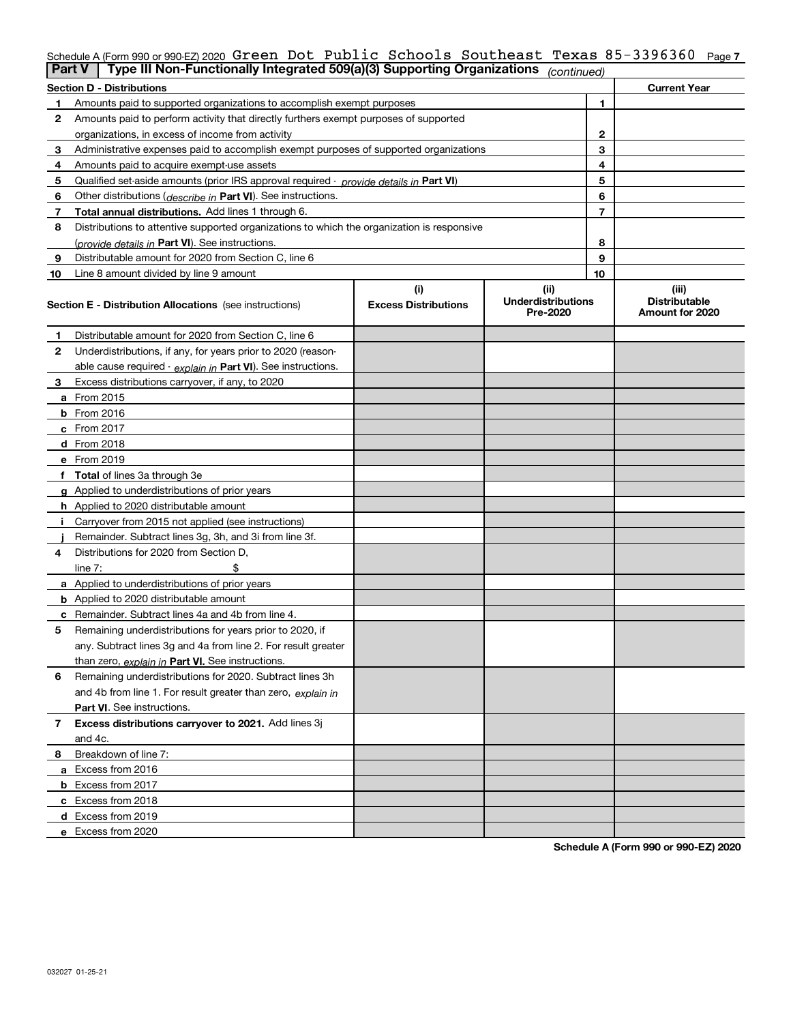#### Schedule A (Form 990 or 990-EZ) 2020 G**reen Dot Public Schools Southeast Texas 85-3396360** Page **7** Green Dot Public Schools Southeast Texas 85-3396360

|    | Type III Non-Functionally Integrated 509(a)(3) Supporting Organizations<br><b>Part V</b><br>(continued) |                             |                                       |    |                                         |  |  |
|----|---------------------------------------------------------------------------------------------------------|-----------------------------|---------------------------------------|----|-----------------------------------------|--|--|
|    | <b>Section D - Distributions</b>                                                                        |                             |                                       |    | <b>Current Year</b>                     |  |  |
| 1  | Amounts paid to supported organizations to accomplish exempt purposes                                   |                             | 1                                     |    |                                         |  |  |
| 2  | Amounts paid to perform activity that directly furthers exempt purposes of supported                    |                             |                                       |    |                                         |  |  |
|    | organizations, in excess of income from activity                                                        | $\mathbf{2}$                |                                       |    |                                         |  |  |
| 3  | Administrative expenses paid to accomplish exempt purposes of supported organizations                   |                             | 3                                     |    |                                         |  |  |
| 4  | Amounts paid to acquire exempt-use assets                                                               |                             | 4                                     |    |                                         |  |  |
| 5  | Qualified set-aside amounts (prior IRS approval required - provide details in Part VI)                  |                             |                                       | 5  |                                         |  |  |
| 6  | Other distributions ( <i>describe in</i> Part VI). See instructions.                                    |                             |                                       | 6  |                                         |  |  |
| 7  | Total annual distributions. Add lines 1 through 6.                                                      |                             |                                       | 7  |                                         |  |  |
| 8  | Distributions to attentive supported organizations to which the organization is responsive              |                             |                                       |    |                                         |  |  |
|    | (provide details in Part VI). See instructions.                                                         |                             |                                       | 8  |                                         |  |  |
| 9  | Distributable amount for 2020 from Section C, line 6                                                    |                             |                                       | 9  |                                         |  |  |
| 10 | Line 8 amount divided by line 9 amount                                                                  |                             |                                       | 10 |                                         |  |  |
|    |                                                                                                         | (i)                         | (ii)                                  |    | (iii)                                   |  |  |
|    | Section E - Distribution Allocations (see instructions)                                                 | <b>Excess Distributions</b> | <b>Underdistributions</b><br>Pre-2020 |    | <b>Distributable</b><br>Amount for 2020 |  |  |
| 1  | Distributable amount for 2020 from Section C, line 6                                                    |                             |                                       |    |                                         |  |  |
| 2  | Underdistributions, if any, for years prior to 2020 (reason-                                            |                             |                                       |    |                                         |  |  |
|    | able cause required - explain in Part VI). See instructions.                                            |                             |                                       |    |                                         |  |  |
| 3  | Excess distributions carryover, if any, to 2020                                                         |                             |                                       |    |                                         |  |  |
|    | <b>a</b> From 2015                                                                                      |                             |                                       |    |                                         |  |  |
|    | <b>b</b> From 2016                                                                                      |                             |                                       |    |                                         |  |  |
|    | c From 2017                                                                                             |                             |                                       |    |                                         |  |  |
|    | <b>d</b> From 2018                                                                                      |                             |                                       |    |                                         |  |  |
|    | e From 2019                                                                                             |                             |                                       |    |                                         |  |  |
|    | f Total of lines 3a through 3e                                                                          |                             |                                       |    |                                         |  |  |
|    | g Applied to underdistributions of prior years                                                          |                             |                                       |    |                                         |  |  |
|    | <b>h</b> Applied to 2020 distributable amount                                                           |                             |                                       |    |                                         |  |  |
|    | Carryover from 2015 not applied (see instructions)                                                      |                             |                                       |    |                                         |  |  |
|    | Remainder. Subtract lines 3g, 3h, and 3i from line 3f.                                                  |                             |                                       |    |                                         |  |  |
| 4  | Distributions for 2020 from Section D,                                                                  |                             |                                       |    |                                         |  |  |
|    | line $7:$                                                                                               |                             |                                       |    |                                         |  |  |
|    | a Applied to underdistributions of prior years                                                          |                             |                                       |    |                                         |  |  |
|    | <b>b</b> Applied to 2020 distributable amount                                                           |                             |                                       |    |                                         |  |  |
|    | c Remainder. Subtract lines 4a and 4b from line 4.                                                      |                             |                                       |    |                                         |  |  |
| 5  | Remaining underdistributions for years prior to 2020, if                                                |                             |                                       |    |                                         |  |  |
|    | any. Subtract lines 3g and 4a from line 2. For result greater                                           |                             |                                       |    |                                         |  |  |
|    | than zero, explain in Part VI. See instructions.                                                        |                             |                                       |    |                                         |  |  |
| 6  | Remaining underdistributions for 2020. Subtract lines 3h                                                |                             |                                       |    |                                         |  |  |
|    | and 4b from line 1. For result greater than zero, explain in                                            |                             |                                       |    |                                         |  |  |
|    | Part VI. See instructions.                                                                              |                             |                                       |    |                                         |  |  |
| 7  | Excess distributions carryover to 2021. Add lines 3j                                                    |                             |                                       |    |                                         |  |  |
|    | and 4c.                                                                                                 |                             |                                       |    |                                         |  |  |
| 8  | Breakdown of line 7:                                                                                    |                             |                                       |    |                                         |  |  |
|    | a Excess from 2016                                                                                      |                             |                                       |    |                                         |  |  |
|    | <b>b</b> Excess from 2017                                                                               |                             |                                       |    |                                         |  |  |
|    | c Excess from 2018                                                                                      |                             |                                       |    |                                         |  |  |
|    | d Excess from 2019                                                                                      |                             |                                       |    |                                         |  |  |
|    | e Excess from 2020                                                                                      |                             |                                       |    |                                         |  |  |
|    |                                                                                                         |                             |                                       |    |                                         |  |  |

**Schedule A (Form 990 or 990-EZ) 2020**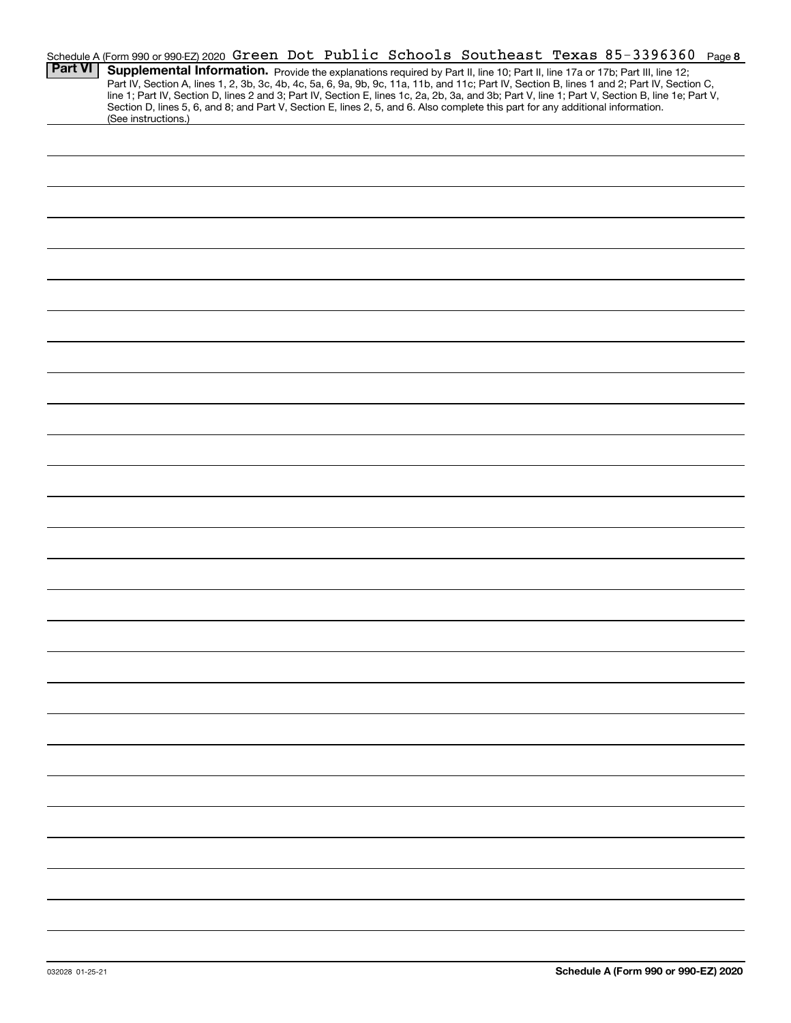|                |                     |  |  |                                                                                                                                 | Schedule A (Form 990 or 990-EZ) 2020 Green Dot Public Schools Southeast Texas 85-3396360                                                         | Page 8 |
|----------------|---------------------|--|--|---------------------------------------------------------------------------------------------------------------------------------|--------------------------------------------------------------------------------------------------------------------------------------------------|--------|
| <b>Part VI</b> |                     |  |  |                                                                                                                                 | Supplemental Information. Provide the explanations required by Part II, line 10; Part II, line 17a or 17b; Part III, line 12;                    |        |
|                |                     |  |  |                                                                                                                                 | Part IV, Section A, lines 1, 2, 3b, 3c, 4b, 4c, 5a, 6, 9a, 9b, 9c, 11a, 11b, and 11c; Part IV, Section B, lines 1 and 2; Part IV, Section C,     |        |
|                |                     |  |  | Section D, lines 5, 6, and 8; and Part V, Section E, lines 2, 5, and 6. Also complete this part for any additional information. | line 1; Part IV, Section D, lines 2 and 3; Part IV, Section E, lines 1c, 2a, 2b, 3a, and 3b; Part V, line 1; Part V, Section B, line 1e; Part V, |        |
|                | (See instructions.) |  |  |                                                                                                                                 |                                                                                                                                                  |        |
|                |                     |  |  |                                                                                                                                 |                                                                                                                                                  |        |
|                |                     |  |  |                                                                                                                                 |                                                                                                                                                  |        |
|                |                     |  |  |                                                                                                                                 |                                                                                                                                                  |        |
|                |                     |  |  |                                                                                                                                 |                                                                                                                                                  |        |
|                |                     |  |  |                                                                                                                                 |                                                                                                                                                  |        |
|                |                     |  |  |                                                                                                                                 |                                                                                                                                                  |        |
|                |                     |  |  |                                                                                                                                 |                                                                                                                                                  |        |
|                |                     |  |  |                                                                                                                                 |                                                                                                                                                  |        |
|                |                     |  |  |                                                                                                                                 |                                                                                                                                                  |        |
|                |                     |  |  |                                                                                                                                 |                                                                                                                                                  |        |
|                |                     |  |  |                                                                                                                                 |                                                                                                                                                  |        |
|                |                     |  |  |                                                                                                                                 |                                                                                                                                                  |        |
|                |                     |  |  |                                                                                                                                 |                                                                                                                                                  |        |
|                |                     |  |  |                                                                                                                                 |                                                                                                                                                  |        |
|                |                     |  |  |                                                                                                                                 |                                                                                                                                                  |        |
|                |                     |  |  |                                                                                                                                 |                                                                                                                                                  |        |
|                |                     |  |  |                                                                                                                                 |                                                                                                                                                  |        |
|                |                     |  |  |                                                                                                                                 |                                                                                                                                                  |        |
|                |                     |  |  |                                                                                                                                 |                                                                                                                                                  |        |
|                |                     |  |  |                                                                                                                                 |                                                                                                                                                  |        |
|                |                     |  |  |                                                                                                                                 |                                                                                                                                                  |        |
|                |                     |  |  |                                                                                                                                 |                                                                                                                                                  |        |
|                |                     |  |  |                                                                                                                                 |                                                                                                                                                  |        |
|                |                     |  |  |                                                                                                                                 |                                                                                                                                                  |        |
|                |                     |  |  |                                                                                                                                 |                                                                                                                                                  |        |
|                |                     |  |  |                                                                                                                                 |                                                                                                                                                  |        |
|                |                     |  |  |                                                                                                                                 |                                                                                                                                                  |        |
|                |                     |  |  |                                                                                                                                 |                                                                                                                                                  |        |
|                |                     |  |  |                                                                                                                                 |                                                                                                                                                  |        |
|                |                     |  |  |                                                                                                                                 |                                                                                                                                                  |        |
|                |                     |  |  |                                                                                                                                 |                                                                                                                                                  |        |
|                |                     |  |  |                                                                                                                                 |                                                                                                                                                  |        |
|                |                     |  |  |                                                                                                                                 |                                                                                                                                                  |        |
|                |                     |  |  |                                                                                                                                 |                                                                                                                                                  |        |
|                |                     |  |  |                                                                                                                                 |                                                                                                                                                  |        |
|                |                     |  |  |                                                                                                                                 |                                                                                                                                                  |        |
|                |                     |  |  |                                                                                                                                 |                                                                                                                                                  |        |
|                |                     |  |  |                                                                                                                                 |                                                                                                                                                  |        |
|                |                     |  |  |                                                                                                                                 |                                                                                                                                                  |        |
|                |                     |  |  |                                                                                                                                 |                                                                                                                                                  |        |
|                |                     |  |  |                                                                                                                                 |                                                                                                                                                  |        |
|                |                     |  |  |                                                                                                                                 |                                                                                                                                                  |        |
|                |                     |  |  |                                                                                                                                 |                                                                                                                                                  |        |
|                |                     |  |  |                                                                                                                                 |                                                                                                                                                  |        |
|                |                     |  |  |                                                                                                                                 |                                                                                                                                                  |        |
|                |                     |  |  |                                                                                                                                 |                                                                                                                                                  |        |
|                |                     |  |  |                                                                                                                                 |                                                                                                                                                  |        |
|                |                     |  |  |                                                                                                                                 |                                                                                                                                                  |        |
|                |                     |  |  |                                                                                                                                 |                                                                                                                                                  |        |
|                |                     |  |  |                                                                                                                                 |                                                                                                                                                  |        |
|                |                     |  |  |                                                                                                                                 |                                                                                                                                                  |        |
|                |                     |  |  |                                                                                                                                 |                                                                                                                                                  |        |
|                |                     |  |  |                                                                                                                                 |                                                                                                                                                  |        |
|                |                     |  |  |                                                                                                                                 |                                                                                                                                                  |        |
|                |                     |  |  |                                                                                                                                 |                                                                                                                                                  |        |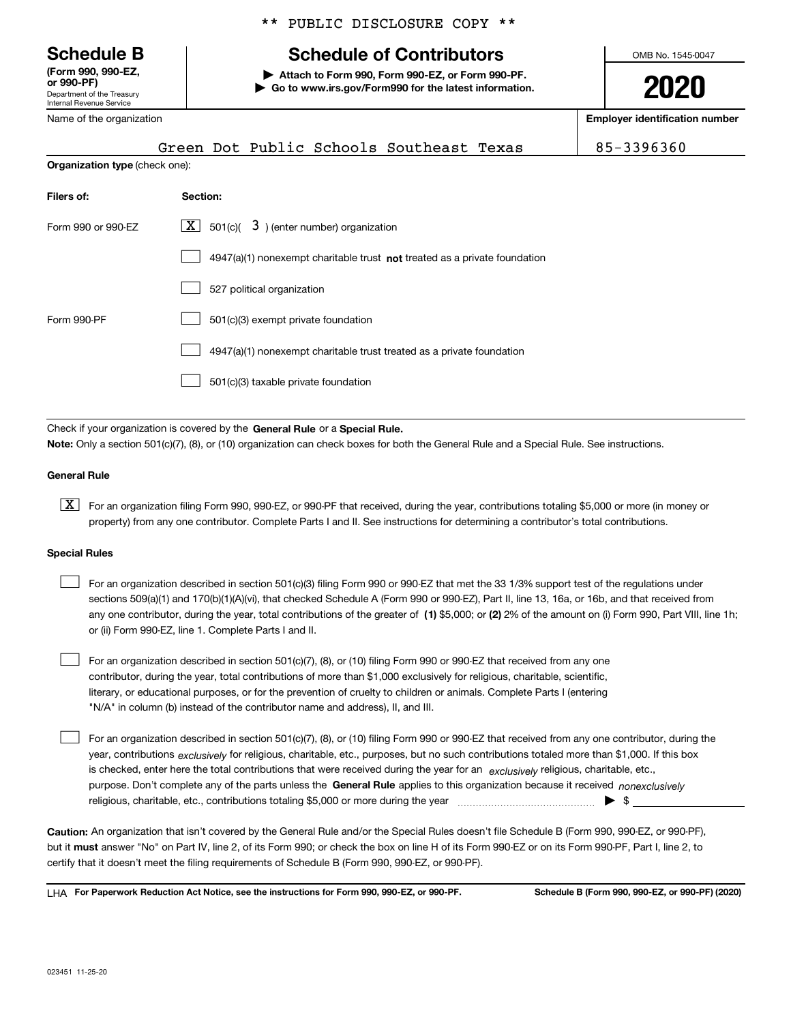Department of the Treasury Internal Revenue Service **(Form 990, 990-EZ, or 990-PF)**

Name of the organization

## \*\* PUBLIC DISCLOSURE COPY \*\*

## **Schedule B Schedule of Contributors**

**| Attach to Form 990, Form 990-EZ, or Form 990-PF. | Go to www.irs.gov/Form990 for the latest information.** OMB No. 1545-0047

**2020**

**Employer identification number**

|                                       | Green Dot Public Schools Southeast Texas                                           | 85-3396360 |
|---------------------------------------|------------------------------------------------------------------------------------|------------|
| <b>Organization type (check one):</b> |                                                                                    |            |
| Filers of:                            | Section:                                                                           |            |
| Form 990 or 990-EZ                    | $X$ 501(c)( 3) (enter number) organization                                         |            |
|                                       | $4947(a)(1)$ nonexempt charitable trust <b>not</b> treated as a private foundation |            |
|                                       | 527 political organization                                                         |            |
| Form 990-PF                           | 501(c)(3) exempt private foundation                                                |            |
|                                       | 4947(a)(1) nonexempt charitable trust treated as a private foundation              |            |
|                                       | 501(c)(3) taxable private foundation                                               |            |

Check if your organization is covered by the **General Rule** or a **Special Rule. Note:**  Only a section 501(c)(7), (8), or (10) organization can check boxes for both the General Rule and a Special Rule. See instructions.

## **General Rule**

 $\boxed{\textbf{X}}$  For an organization filing Form 990, 990-EZ, or 990-PF that received, during the year, contributions totaling \$5,000 or more (in money or property) from any one contributor. Complete Parts I and II. See instructions for determining a contributor's total contributions.

#### **Special Rules**

| For an organization described in section 501(c)(3) filing Form 990 or 990-EZ that met the 33 1/3% support test of the regulations under               |
|-------------------------------------------------------------------------------------------------------------------------------------------------------|
| sections 509(a)(1) and 170(b)(1)(A)(vi), that checked Schedule A (Form 990 or 990-EZ), Part II, line 13, 16a, or 16b, and that received from          |
| any one contributor, during the year, total contributions of the greater of (1) \$5,000; or (2) 2% of the amount on (i) Form 990, Part VIII, line 1h; |
| or (ii) Form 990-EZ, line 1. Complete Parts I and II.                                                                                                 |

For an organization described in section 501(c)(7), (8), or (10) filing Form 990 or 990-EZ that received from any one contributor, during the year, total contributions of more than \$1,000 exclusively for religious, charitable, scientific, literary, or educational purposes, or for the prevention of cruelty to children or animals. Complete Parts I (entering "N/A" in column (b) instead of the contributor name and address), II, and III.  $\mathcal{L}^{\text{max}}$ 

purpose. Don't complete any of the parts unless the **General Rule** applies to this organization because it received *nonexclusively* year, contributions <sub>exclusively</sub> for religious, charitable, etc., purposes, but no such contributions totaled more than \$1,000. If this box is checked, enter here the total contributions that were received during the year for an  $\;$ exclusively religious, charitable, etc., For an organization described in section 501(c)(7), (8), or (10) filing Form 990 or 990-EZ that received from any one contributor, during the religious, charitable, etc., contributions totaling \$5,000 or more during the year  $\Box$ — $\Box$   $\Box$  $\mathcal{L}^{\text{max}}$ 

**Caution:**  An organization that isn't covered by the General Rule and/or the Special Rules doesn't file Schedule B (Form 990, 990-EZ, or 990-PF),  **must** but it answer "No" on Part IV, line 2, of its Form 990; or check the box on line H of its Form 990-EZ or on its Form 990-PF, Part I, line 2, to certify that it doesn't meet the filing requirements of Schedule B (Form 990, 990-EZ, or 990-PF).

**For Paperwork Reduction Act Notice, see the instructions for Form 990, 990-EZ, or 990-PF. Schedule B (Form 990, 990-EZ, or 990-PF) (2020)** LHA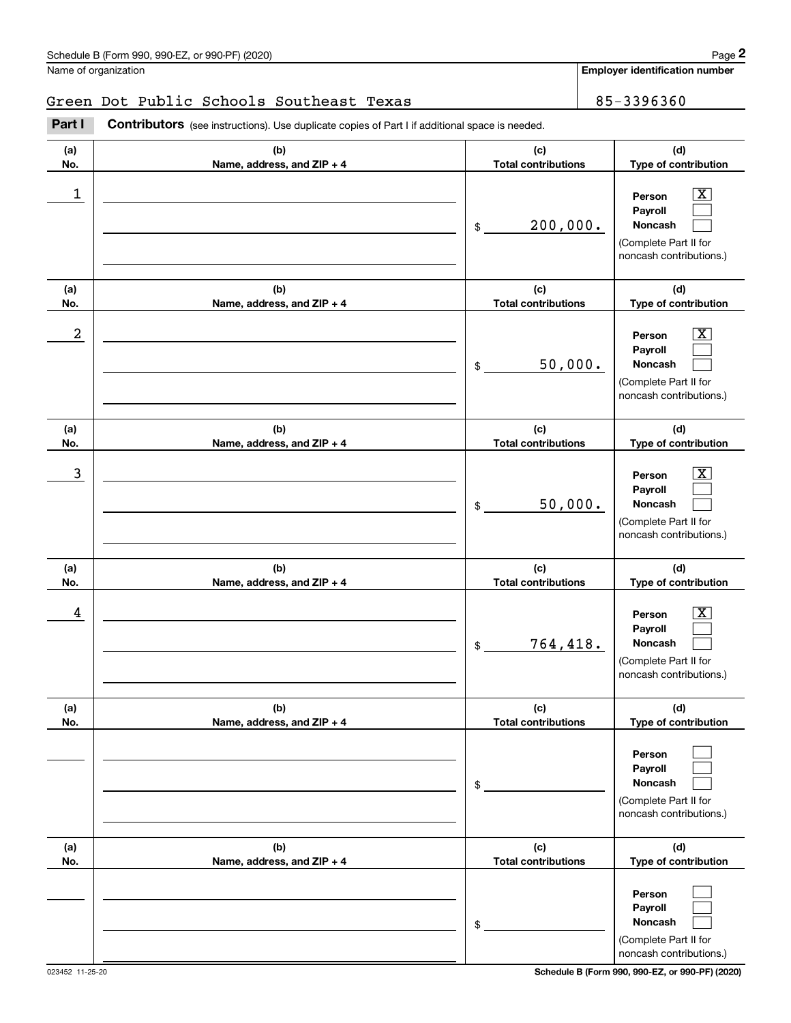## Green Dot Public Schools Southeast Texas 85-3396360

|            | Schedule B (Form 990, 990-EZ, or 990-PF) (2020)                                                       |                                             | Page 2                                                                                                        |
|------------|-------------------------------------------------------------------------------------------------------|---------------------------------------------|---------------------------------------------------------------------------------------------------------------|
|            | Name of organization                                                                                  |                                             | <b>Employer identification number</b>                                                                         |
|            | Green Dot Public Schools Southeast Texas                                                              |                                             | 85-3396360                                                                                                    |
| Part I     | <b>Contributors</b> (see instructions). Use duplicate copies of Part I if additional space is needed. |                                             |                                                                                                               |
| (a)<br>No. | (b)<br>Name, address, and ZIP + 4                                                                     | (c)<br><b>Total contributions</b>           | (d)<br>Type of contribution                                                                                   |
| 1          |                                                                                                       | 200,000.<br>\$                              | $\overline{\mathbf{X}}$<br>Person<br>Payroll<br>Noncash<br>(Complete Part II for<br>noncash contributions.)   |
| (a)        | (b)                                                                                                   | (c)                                         | (d)                                                                                                           |
| No.<br>2   | Name, address, and ZIP + 4                                                                            | <b>Total contributions</b><br>50,000.<br>\$ | Type of contribution<br>X<br>Person<br>Payroll<br>Noncash<br>(Complete Part II for<br>noncash contributions.) |
| (a)<br>No. | (b)<br>Name, address, and ZIP + 4                                                                     | (c)<br><b>Total contributions</b>           | (d)<br>Type of contribution                                                                                   |
| 3          |                                                                                                       | 50,000.<br>\$                               | X<br>Person<br>Payroll<br>Noncash<br>(Complete Part II for<br>noncash contributions.)                         |
| (a)<br>No. | (b)<br>Name, address, and ZIP + 4                                                                     | (c)<br><b>Total contributions</b>           | (d)<br>Type of contribution                                                                                   |
| 4          |                                                                                                       | 764,418.<br>\$                              | $\mathbf{X}$<br>Person<br>Payroll<br>Noncash<br>(Complete Part II for<br>noncash contributions.)              |
| (a)<br>No. | (b)<br>Name, address, and ZIP + 4                                                                     | (c)<br><b>Total contributions</b>           | (d)<br>Type of contribution                                                                                   |
|            |                                                                                                       | \$                                          | Person<br>Payroll<br>Noncash<br>(Complete Part II for<br>noncash contributions.)                              |
| (a)<br>No. | (b)<br>Name, address, and ZIP + 4                                                                     | (c)<br><b>Total contributions</b>           | (d)<br>Type of contribution                                                                                   |
|            |                                                                                                       | \$                                          | Person<br>Payroll<br>Noncash<br>(Complete Part II for<br>noncash contributions.)                              |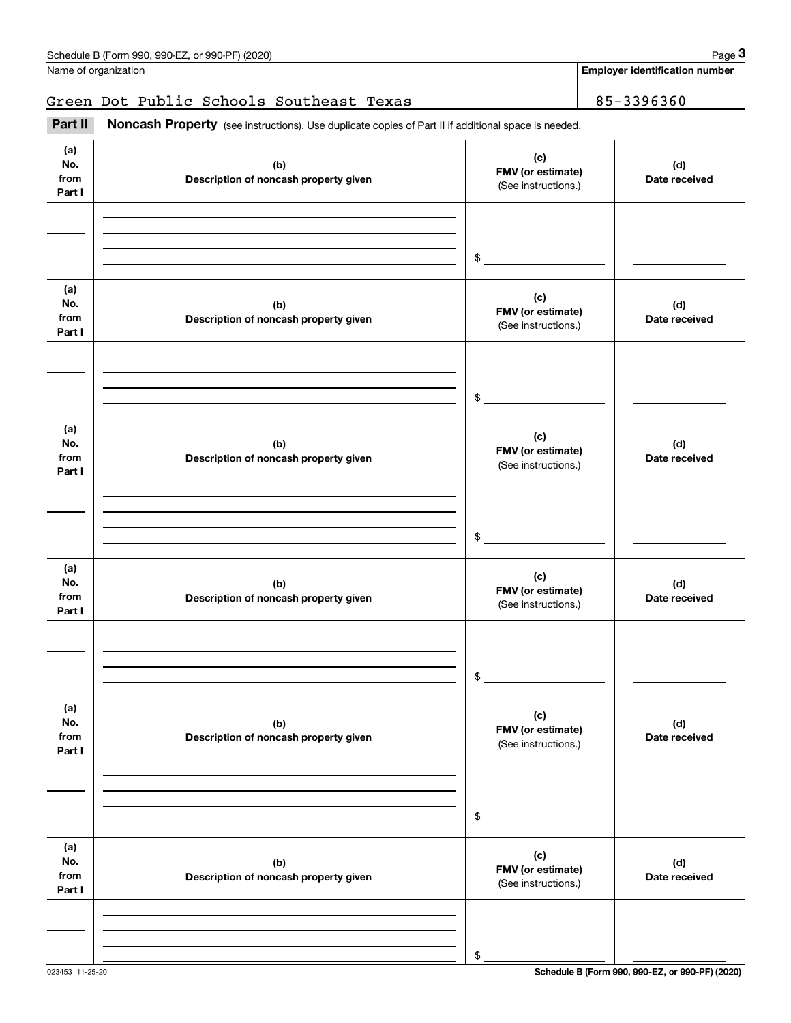**Employer identification number**

## Green Dot Public Schools Southeast Texas | 85-3396360

(see instructions). Use duplicate copies of Part II if additional space is needed.<br> **3Part II is Noncash Property** (see instructions). Use duplicate copies of Part II if additional space is needed.

| (a)<br>No.<br>from<br>Part I | (b)<br>Description of noncash property given | (c)<br>FMV (or estimate)<br>(See instructions.) | (d)<br>Date received |
|------------------------------|----------------------------------------------|-------------------------------------------------|----------------------|
|                              |                                              |                                                 |                      |
|                              |                                              | $\frac{1}{2}$                                   |                      |
| (a)<br>No.<br>from<br>Part I | (b)<br>Description of noncash property given | (c)<br>FMV (or estimate)<br>(See instructions.) | (d)<br>Date received |
|                              |                                              |                                                 |                      |
|                              |                                              | $\frac{1}{2}$                                   |                      |
| (a)<br>No.<br>from<br>Part I | (b)<br>Description of noncash property given | (c)<br>FMV (or estimate)<br>(See instructions.) | (d)<br>Date received |
|                              |                                              |                                                 |                      |
|                              |                                              | $\frac{1}{2}$                                   |                      |
| (a)<br>No.<br>from<br>Part I | (b)<br>Description of noncash property given | (c)<br>FMV (or estimate)<br>(See instructions.) | (d)<br>Date received |
|                              |                                              |                                                 |                      |
|                              |                                              | \$                                              |                      |
| (a)<br>No.<br>from<br>Part I | (b)<br>Description of noncash property given | (c)<br>FMV (or estimate)<br>(See instructions.) | (d)<br>Date received |
|                              |                                              |                                                 |                      |
|                              |                                              | \$                                              |                      |
| (a)<br>No.<br>from<br>Part I | (b)<br>Description of noncash property given | (c)<br>FMV (or estimate)<br>(See instructions.) | (d)<br>Date received |
|                              |                                              |                                                 |                      |
|                              |                                              | \$                                              |                      |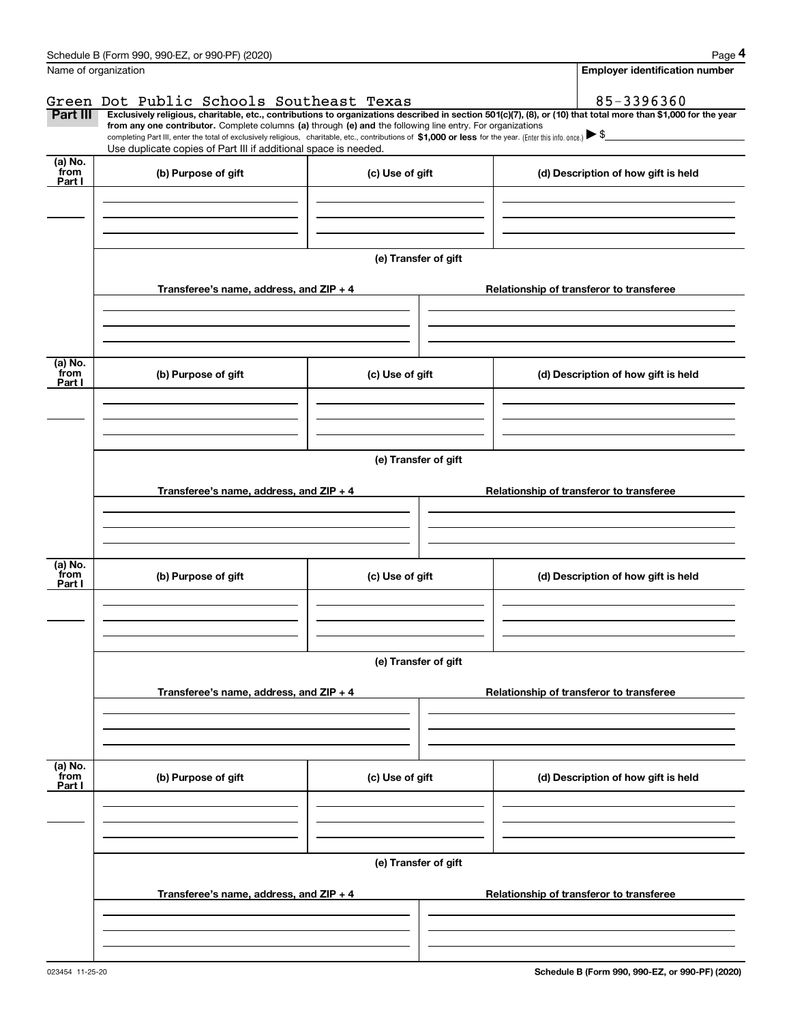|                           | Schedule B (Form 990, 990-EZ, or 990-PF) (2020)                                                                                                                                                                                                                                                                          |                      | Page 4                                   |
|---------------------------|--------------------------------------------------------------------------------------------------------------------------------------------------------------------------------------------------------------------------------------------------------------------------------------------------------------------------|----------------------|------------------------------------------|
|                           | Name of organization                                                                                                                                                                                                                                                                                                     |                      | <b>Employer identification number</b>    |
| Part III                  | Green Dot Public Schools Southeast Texas<br>Exclusively religious, charitable, etc., contributions to organizations described in section 501(c)(7), (8), or (10) that total more than \$1,000 for the year<br>from any one contributor. Complete columns (a) through (e) and the following line entry. For organizations |                      | 85-3396360                               |
|                           | completing Part III, enter the total of exclusively religious, charitable, etc., contributions of \$1,000 or less for the year. (Enter this info. once.) \\$<br>Use duplicate copies of Part III if additional space is needed.                                                                                          |                      |                                          |
| (a) No.<br>from<br>Part I | (b) Purpose of gift                                                                                                                                                                                                                                                                                                      | (c) Use of gift      | (d) Description of how gift is held      |
|                           |                                                                                                                                                                                                                                                                                                                          |                      |                                          |
|                           |                                                                                                                                                                                                                                                                                                                          | (e) Transfer of gift |                                          |
|                           | Transferee's name, address, and $ZIP + 4$                                                                                                                                                                                                                                                                                |                      | Relationship of transferor to transferee |
|                           |                                                                                                                                                                                                                                                                                                                          |                      |                                          |
| (a) No.<br>from           | (b) Purpose of gift                                                                                                                                                                                                                                                                                                      | (c) Use of gift      | (d) Description of how gift is held      |
| Part I                    |                                                                                                                                                                                                                                                                                                                          |                      |                                          |
|                           |                                                                                                                                                                                                                                                                                                                          |                      |                                          |
|                           |                                                                                                                                                                                                                                                                                                                          | (e) Transfer of gift |                                          |
|                           | Transferee's name, address, and $ZIP + 4$                                                                                                                                                                                                                                                                                |                      | Relationship of transferor to transferee |
|                           |                                                                                                                                                                                                                                                                                                                          |                      |                                          |
| (a) No.<br>from<br>Part I | (b) Purpose of gift                                                                                                                                                                                                                                                                                                      | (c) Use of gift      | (d) Description of how gift is held      |
|                           |                                                                                                                                                                                                                                                                                                                          |                      |                                          |
|                           |                                                                                                                                                                                                                                                                                                                          | (e) Transfer of gift |                                          |
|                           | Transferee's name, address, and $ZIP + 4$                                                                                                                                                                                                                                                                                |                      | Relationship of transferor to transferee |
|                           |                                                                                                                                                                                                                                                                                                                          |                      |                                          |
| (a) No.<br>from           | (b) Purpose of gift                                                                                                                                                                                                                                                                                                      | (c) Use of gift      | (d) Description of how gift is held      |
| Part I                    |                                                                                                                                                                                                                                                                                                                          |                      |                                          |
|                           |                                                                                                                                                                                                                                                                                                                          |                      |                                          |
|                           |                                                                                                                                                                                                                                                                                                                          | (e) Transfer of gift |                                          |
|                           | Transferee's name, address, and $ZIP + 4$                                                                                                                                                                                                                                                                                |                      | Relationship of transferor to transferee |
|                           |                                                                                                                                                                                                                                                                                                                          |                      |                                          |
|                           |                                                                                                                                                                                                                                                                                                                          |                      |                                          |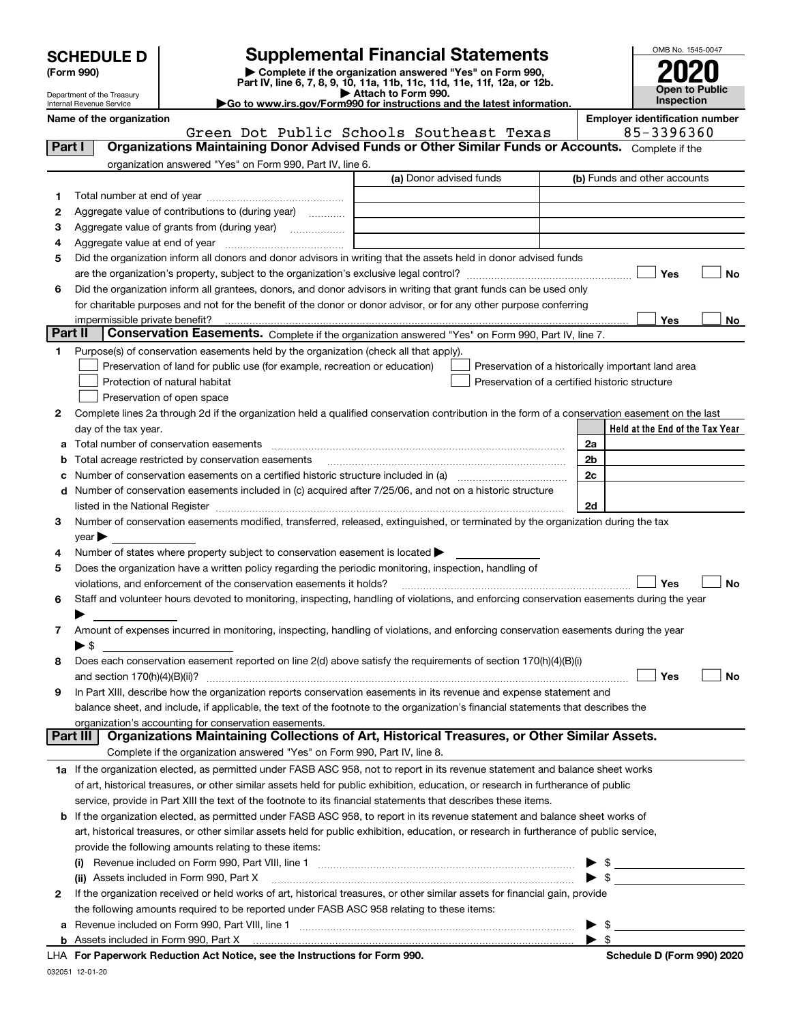| <b>SCHEDULE D</b> |  |
|-------------------|--|
|-------------------|--|

Department of the Treasury Internal Revenue Service

| (Form 990) |
|------------|
|            |

## **SCHEDULE D Supplemental Financial Statements**

(Form 990)<br>
Pepartment of the Treasury<br>
Department of the Treasury<br>
Department of the Treasury<br>
Department of the Treasury<br> **Co to www.irs.gov/Form990 for instructions and the latest information.**<br> **Co to www.irs.gov/Form9** 

|  | Go to www.irs.gov/Form990 for instructions and the latest informati~ |  |  |  |
|--|----------------------------------------------------------------------|--|--|--|
|  |                                                                      |  |  |  |



**Name of the organization Employer identification number**

|              | Green Dot Public Schools Southeast Texas                                                                                                                  | 85-3396360                                                                                                                |
|--------------|-----------------------------------------------------------------------------------------------------------------------------------------------------------|---------------------------------------------------------------------------------------------------------------------------|
| Part I       | Organizations Maintaining Donor Advised Funds or Other Similar Funds or Accounts. Complete if the                                                         |                                                                                                                           |
|              | organization answered "Yes" on Form 990, Part IV, line 6.                                                                                                 |                                                                                                                           |
|              | (a) Donor advised funds                                                                                                                                   | (b) Funds and other accounts                                                                                              |
| 1.           |                                                                                                                                                           |                                                                                                                           |
| 2            | Aggregate value of contributions to (during year)                                                                                                         |                                                                                                                           |
| з            | Aggregate value of grants from (during year)                                                                                                              |                                                                                                                           |
| 4            |                                                                                                                                                           |                                                                                                                           |
| 5            | Did the organization inform all donors and donor advisors in writing that the assets held in donor advised funds                                          |                                                                                                                           |
|              |                                                                                                                                                           | Yes<br>No                                                                                                                 |
| 6            | Did the organization inform all grantees, donors, and donor advisors in writing that grant funds can be used only                                         |                                                                                                                           |
|              | for charitable purposes and not for the benefit of the donor or donor advisor, or for any other purpose conferring                                        |                                                                                                                           |
|              |                                                                                                                                                           | <b>Yes</b><br>No                                                                                                          |
| Part II      | Conservation Easements. Complete if the organization answered "Yes" on Form 990, Part IV, line 7.                                                         |                                                                                                                           |
| 1            | Purpose(s) of conservation easements held by the organization (check all that apply).                                                                     |                                                                                                                           |
|              | Preservation of land for public use (for example, recreation or education)                                                                                | Preservation of a historically important land area                                                                        |
|              | Protection of natural habitat                                                                                                                             | Preservation of a certified historic structure                                                                            |
|              | Preservation of open space                                                                                                                                |                                                                                                                           |
| 2            | Complete lines 2a through 2d if the organization held a qualified conservation contribution in the form of a conservation easement on the last            |                                                                                                                           |
|              | day of the tax year.                                                                                                                                      | Held at the End of the Tax Year                                                                                           |
| a            |                                                                                                                                                           | 2a                                                                                                                        |
| b            | Total acreage restricted by conservation easements                                                                                                        | 2b                                                                                                                        |
| с            | Number of conservation easements on a certified historic structure included in (a) manufacture included in (a)                                            | 2c                                                                                                                        |
| d            | Number of conservation easements included in (c) acquired after 7/25/06, and not on a historic structure                                                  |                                                                                                                           |
|              |                                                                                                                                                           | 2d                                                                                                                        |
| З.           | Number of conservation easements modified, transferred, released, extinguished, or terminated by the organization during the tax                          |                                                                                                                           |
|              | $year \blacktriangleright$                                                                                                                                |                                                                                                                           |
| 4            | Number of states where property subject to conservation easement is located $\blacktriangleright$                                                         |                                                                                                                           |
| 5            | Does the organization have a written policy regarding the periodic monitoring, inspection, handling of                                                    |                                                                                                                           |
|              | violations, and enforcement of the conservation easements it holds?                                                                                       | Yes<br><b>No</b>                                                                                                          |
| 6            | Staff and volunteer hours devoted to monitoring, inspecting, handling of violations, and enforcing conservation easements during the year                 |                                                                                                                           |
|              |                                                                                                                                                           |                                                                                                                           |
| 7            | Amount of expenses incurred in monitoring, inspecting, handling of violations, and enforcing conservation easements during the year                       |                                                                                                                           |
| 8            | $\blacktriangleright$ \$<br>Does each conservation easement reported on line 2(d) above satisfy the requirements of section 170(h)(4)(B)(i)               |                                                                                                                           |
|              | and section $170(h)(4)(B)(ii)?$                                                                                                                           | Yes<br>No                                                                                                                 |
| 9            | In Part XIII, describe how the organization reports conservation easements in its revenue and expense statement and                                       |                                                                                                                           |
|              | balance sheet, and include, if applicable, the text of the footnote to the organization's financial statements that describes the                         |                                                                                                                           |
|              | organization's accounting for conservation easements.                                                                                                     |                                                                                                                           |
| Part III     | Organizations Maintaining Collections of Art, Historical Treasures, or Other Similar Assets.                                                              |                                                                                                                           |
|              | Complete if the organization answered "Yes" on Form 990, Part IV, line 8.                                                                                 |                                                                                                                           |
|              | 1a If the organization elected, as permitted under FASB ASC 958, not to report in its revenue statement and balance sheet works                           |                                                                                                                           |
|              | of art, historical treasures, or other similar assets held for public exhibition, education, or research in furtherance of public                         |                                                                                                                           |
|              | service, provide in Part XIII the text of the footnote to its financial statements that describes these items.                                            |                                                                                                                           |
| b            | If the organization elected, as permitted under FASB ASC 958, to report in its revenue statement and balance sheet works of                               |                                                                                                                           |
|              | art, historical treasures, or other similar assets held for public exhibition, education, or research in furtherance of public service,                   |                                                                                                                           |
|              | provide the following amounts relating to these items:                                                                                                    |                                                                                                                           |
|              |                                                                                                                                                           | \$<br><u>and the control of the control of the control of the control of the control of the control of the control of</u> |
|              | (ii) Assets included in Form 990, Part X                                                                                                                  | $\blacktriangleright$ \$                                                                                                  |
| $\mathbf{2}$ | If the organization received or held works of art, historical treasures, or other similar assets for financial gain, provide                              |                                                                                                                           |
|              | the following amounts required to be reported under FASB ASC 958 relating to these items:                                                                 |                                                                                                                           |
| а            | Revenue included on Form 990, Part VIII, line 1 [1] [2000] [2000] [2000] [2000] [2000] [2000] [2000] [2000] [2000] [                                      | $\blacktriangleright$ \$                                                                                                  |
|              | <b>b</b> Assets included in Form 990, Part X <b>much accommunity</b> contained and account and account and account to Assets included in Form 990, Part X | $\blacktriangleright$ \$                                                                                                  |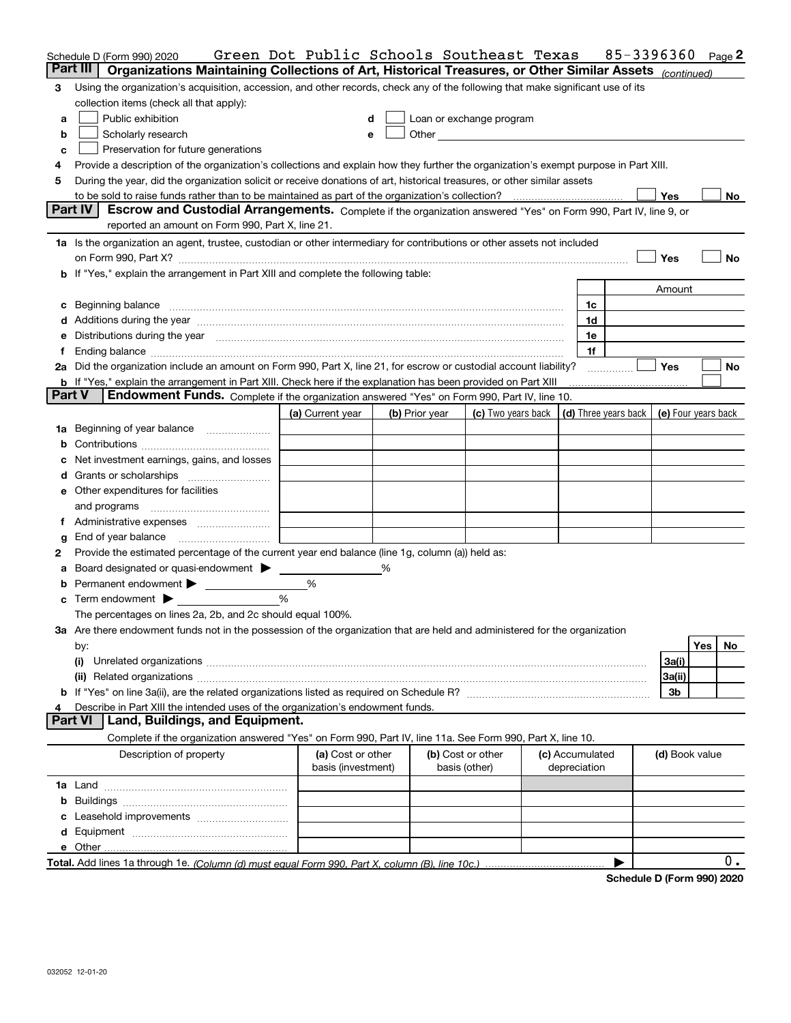|   | Schedule D (Form 990) 2020                                                                                                                                                                                                     | Green Dot Public Schools Southeast Texas |                |                                                                             |  |                                 | 85-3396360 |                |     | Page 2 |
|---|--------------------------------------------------------------------------------------------------------------------------------------------------------------------------------------------------------------------------------|------------------------------------------|----------------|-----------------------------------------------------------------------------|--|---------------------------------|------------|----------------|-----|--------|
|   | Part III<br>Organizations Maintaining Collections of Art, Historical Treasures, or Other Similar Assets (continued)                                                                                                            |                                          |                |                                                                             |  |                                 |            |                |     |        |
| 3 | Using the organization's acquisition, accession, and other records, check any of the following that make significant use of its                                                                                                |                                          |                |                                                                             |  |                                 |            |                |     |        |
|   | collection items (check all that apply):                                                                                                                                                                                       |                                          |                |                                                                             |  |                                 |            |                |     |        |
| a | Public exhibition                                                                                                                                                                                                              | d                                        |                | Loan or exchange program                                                    |  |                                 |            |                |     |        |
| b | Scholarly research                                                                                                                                                                                                             | e                                        |                |                                                                             |  |                                 |            |                |     |        |
| c | Preservation for future generations                                                                                                                                                                                            |                                          |                |                                                                             |  |                                 |            |                |     |        |
| 4 | Provide a description of the organization's collections and explain how they further the organization's exempt purpose in Part XIII.                                                                                           |                                          |                |                                                                             |  |                                 |            |                |     |        |
| 5 | During the year, did the organization solicit or receive donations of art, historical treasures, or other similar assets                                                                                                       |                                          |                |                                                                             |  |                                 |            |                |     |        |
|   |                                                                                                                                                                                                                                |                                          |                |                                                                             |  |                                 |            | Yes            |     | No     |
|   | Part IV<br>Escrow and Custodial Arrangements. Complete if the organization answered "Yes" on Form 990, Part IV, line 9, or<br>reported an amount on Form 990, Part X, line 21.                                                 |                                          |                |                                                                             |  |                                 |            |                |     |        |
|   | 1a Is the organization an agent, trustee, custodian or other intermediary for contributions or other assets not included                                                                                                       |                                          |                |                                                                             |  |                                 |            |                |     |        |
|   | on Form 990, Part X? [11] matter and the contract of the contract of the contract of the contract of the contract of the contract of the contract of the contract of the contract of the contract of the contract of the contr |                                          |                |                                                                             |  |                                 |            | Yes            |     | No     |
|   | <b>b</b> If "Yes," explain the arrangement in Part XIII and complete the following table:                                                                                                                                      |                                          |                |                                                                             |  |                                 |            |                |     |        |
|   |                                                                                                                                                                                                                                |                                          |                |                                                                             |  |                                 |            | Amount         |     |        |
|   | c Beginning balance measurements and the contract of the contract of the contract of the contract of the contract of the contract of the contract of the contract of the contract of the contract of the contract of the contr |                                          |                |                                                                             |  | 1c                              |            |                |     |        |
|   | d Additions during the year measurement contains and a statement of a distribution of the statement of the statement of the statement of the statement of the statement of the statement of the statement of the statement of  |                                          |                |                                                                             |  | 1d                              |            |                |     |        |
|   | e Distributions during the year manufactured and continuum and contact the year manufactured and contact the year manufactured and contact the year manufactured and contact the year manufactured and contact the year manufa |                                          |                |                                                                             |  | 1e                              |            |                |     |        |
| f |                                                                                                                                                                                                                                |                                          |                |                                                                             |  | 1f                              |            |                |     |        |
|   | 2a Did the organization include an amount on Form 990, Part X, line 21, for escrow or custodial account liability?                                                                                                             |                                          |                |                                                                             |  |                                 |            | <b>Yes</b>     |     | No     |
|   | <b>b</b> If "Yes," explain the arrangement in Part XIII. Check here if the explanation has been provided on Part XIII                                                                                                          |                                          |                |                                                                             |  |                                 |            |                |     |        |
|   | <b>Part V</b><br>Endowment Funds. Complete if the organization answered "Yes" on Form 990, Part IV, line 10.                                                                                                                   |                                          |                |                                                                             |  |                                 |            |                |     |        |
|   |                                                                                                                                                                                                                                | (a) Current year                         | (b) Prior year | (c) Two years back $\vert$ (d) Three years back $\vert$ (e) Four years back |  |                                 |            |                |     |        |
|   |                                                                                                                                                                                                                                | <u> 1999 - John Barnett, f</u>           |                |                                                                             |  |                                 |            |                |     |        |
|   |                                                                                                                                                                                                                                |                                          |                |                                                                             |  |                                 |            |                |     |        |
|   | c Net investment earnings, gains, and losses                                                                                                                                                                                   |                                          |                |                                                                             |  |                                 |            |                |     |        |
|   |                                                                                                                                                                                                                                |                                          |                |                                                                             |  |                                 |            |                |     |        |
|   | e Other expenditures for facilities                                                                                                                                                                                            |                                          |                |                                                                             |  |                                 |            |                |     |        |
|   |                                                                                                                                                                                                                                |                                          |                |                                                                             |  |                                 |            |                |     |        |
|   |                                                                                                                                                                                                                                |                                          |                |                                                                             |  |                                 |            |                |     |        |
| g | End of year balance                                                                                                                                                                                                            |                                          |                |                                                                             |  |                                 |            |                |     |        |
| 2 | Provide the estimated percentage of the current year end balance (line 1g, column (a)) held as:                                                                                                                                |                                          |                |                                                                             |  |                                 |            |                |     |        |
|   | a Board designated or quasi-endowment > ______                                                                                                                                                                                 |                                          | %              |                                                                             |  |                                 |            |                |     |        |
|   | <b>b</b> Permanent endowment > ___________                                                                                                                                                                                     | %                                        |                |                                                                             |  |                                 |            |                |     |        |
|   | $\mathbf c$ Term endowment $\blacktriangleright$<br>$\frac{0}{6}$                                                                                                                                                              |                                          |                |                                                                             |  |                                 |            |                |     |        |
|   | The percentages on lines 2a, 2b, and 2c should equal 100%.                                                                                                                                                                     |                                          |                |                                                                             |  |                                 |            |                |     |        |
|   | 3a Are there endowment funds not in the possession of the organization that are held and administered for the organization                                                                                                     |                                          |                |                                                                             |  |                                 |            |                |     |        |
|   | by:                                                                                                                                                                                                                            |                                          |                |                                                                             |  |                                 |            |                | Yes | No.    |
|   | (i)                                                                                                                                                                                                                            |                                          |                |                                                                             |  |                                 |            | 3a(i)          |     |        |
|   |                                                                                                                                                                                                                                |                                          |                |                                                                             |  |                                 |            | 3a(ii)         |     |        |
|   |                                                                                                                                                                                                                                |                                          |                |                                                                             |  |                                 |            | 3 <sub>b</sub> |     |        |
| 4 | Describe in Part XIII the intended uses of the organization's endowment funds.                                                                                                                                                 |                                          |                |                                                                             |  |                                 |            |                |     |        |
|   | <b>Part VI</b><br>Land, Buildings, and Equipment.                                                                                                                                                                              |                                          |                |                                                                             |  |                                 |            |                |     |        |
|   | Complete if the organization answered "Yes" on Form 990, Part IV, line 11a. See Form 990, Part X, line 10.                                                                                                                     |                                          |                |                                                                             |  |                                 |            |                |     |        |
|   | Description of property                                                                                                                                                                                                        | (a) Cost or other<br>basis (investment)  |                | (b) Cost or other<br>basis (other)                                          |  | (c) Accumulated<br>depreciation |            | (d) Book value |     |        |
|   |                                                                                                                                                                                                                                |                                          |                |                                                                             |  |                                 |            |                |     |        |
|   |                                                                                                                                                                                                                                |                                          |                |                                                                             |  |                                 |            |                |     |        |
|   |                                                                                                                                                                                                                                |                                          |                |                                                                             |  |                                 |            |                |     |        |
|   |                                                                                                                                                                                                                                |                                          |                |                                                                             |  |                                 |            |                |     |        |
|   |                                                                                                                                                                                                                                |                                          |                |                                                                             |  |                                 |            |                |     |        |
|   |                                                                                                                                                                                                                                |                                          |                |                                                                             |  |                                 | ▶          |                |     | $0$ .  |

**Schedule D (Form 990) 2020**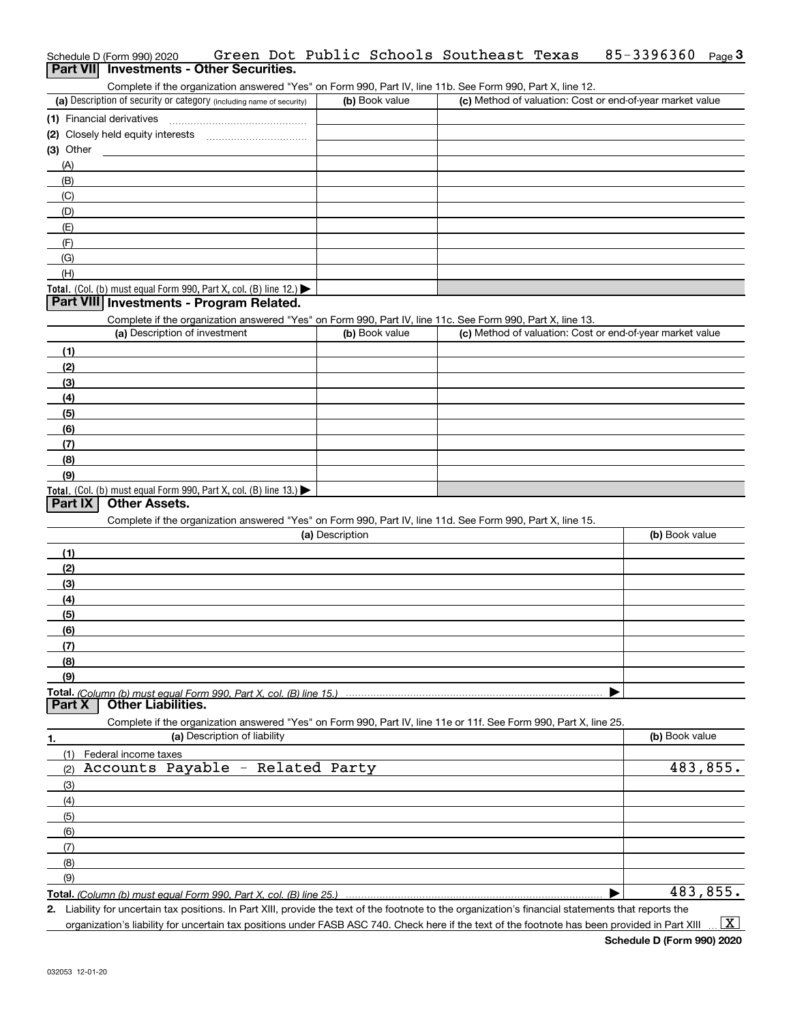# Schedule D (Form 990) 2020 Green Dot Public Schools Southeast Texas 85-3396360 <sub>Page</sub> 3<br>| **Part VII** | Investments - Other Securities.

Complete if the organization answered "Yes" on Form 990, Part IV, line 11b. See Form 990, Part X, line 12.

| (a) Description of security or category (including name of security) | (b) Book value | (c) Method of valuation: Cost or end-of-year market value |
|----------------------------------------------------------------------|----------------|-----------------------------------------------------------|
| (1) Financial derivatives                                            |                |                                                           |
| (2) Closely held equity interests                                    |                |                                                           |
| (3) Other                                                            |                |                                                           |
| (A)                                                                  |                |                                                           |
| (B)                                                                  |                |                                                           |
| (C)                                                                  |                |                                                           |
| (D)                                                                  |                |                                                           |
| (E)                                                                  |                |                                                           |
| (F)                                                                  |                |                                                           |
| (G)                                                                  |                |                                                           |
| (H)                                                                  |                |                                                           |
| Total. (Col. (b) must equal Form 990, Part X, col. (B) line $12$ .)  |                |                                                           |

#### **Part VIII Investments - Program Related.**

Complete if the organization answered "Yes" on Form 990, Part IV, line 11c. See Form 990, Part X, line 13.

| (a) Description of investment                                    | (b) Book value | (c) Method of valuation: Cost or end-of-year market value |
|------------------------------------------------------------------|----------------|-----------------------------------------------------------|
| (1)                                                              |                |                                                           |
| (2)                                                              |                |                                                           |
| $\frac{1}{2}$                                                    |                |                                                           |
| (4)                                                              |                |                                                           |
| $\frac{1}{2}$                                                    |                |                                                           |
| (6)                                                              |                |                                                           |
| (7)                                                              |                |                                                           |
| (8)                                                              |                |                                                           |
| (9)                                                              |                |                                                           |
| Total. (Col. (b) must equal Form 990, Part X, col. (B) line 13.) |                |                                                           |

## **Part IX Other Assets.**

Complete if the organization answered "Yes" on Form 990, Part IV, line 11d. See Form 990, Part X, line 15.

|     | (a) Description                                                                                                   | (b) Book value |
|-----|-------------------------------------------------------------------------------------------------------------------|----------------|
| (1) |                                                                                                                   |                |
| (2) |                                                                                                                   |                |
| (3) |                                                                                                                   |                |
| (4) |                                                                                                                   |                |
| (5) |                                                                                                                   |                |
| (6) |                                                                                                                   |                |
| (7) |                                                                                                                   |                |
| (8) |                                                                                                                   |                |
| (9) |                                                                                                                   |                |
|     |                                                                                                                   |                |
|     | <b>Part X   Other Liabilities.</b>                                                                                |                |
|     | Complete if the organization answered "Yes" on Form 990, Part IV, line 11e or 11f. See Form 990, Part X, line 25. |                |

| 1.                           | (a) Description of liability     | (b) Book value |
|------------------------------|----------------------------------|----------------|
| (1)                          | Federal income taxes             |                |
| (2)                          | Accounts Payable - Related Party | 483,855.       |
| $\frac{1}{2}$                |                                  |                |
| (4)                          |                                  |                |
| (5)                          |                                  |                |
| (6)                          |                                  |                |
| $\overline{\phantom{a}}$ (7) |                                  |                |
| (8)                          |                                  |                |
| (9)                          |                                  |                |
|                              |                                  | 483,855.       |

*(Column (b) must equal Form 990, Part X, col. (B) line 25.)* 

**2.**Liability for uncertain tax positions. In Part XIII, provide the text of the footnote to the organization's financial statements that reports the organization's liability for uncertain tax positions under FASB ASC 740. Check here if the text of the footnote has been provided in Part XIII  $\vert$  X  $\vert$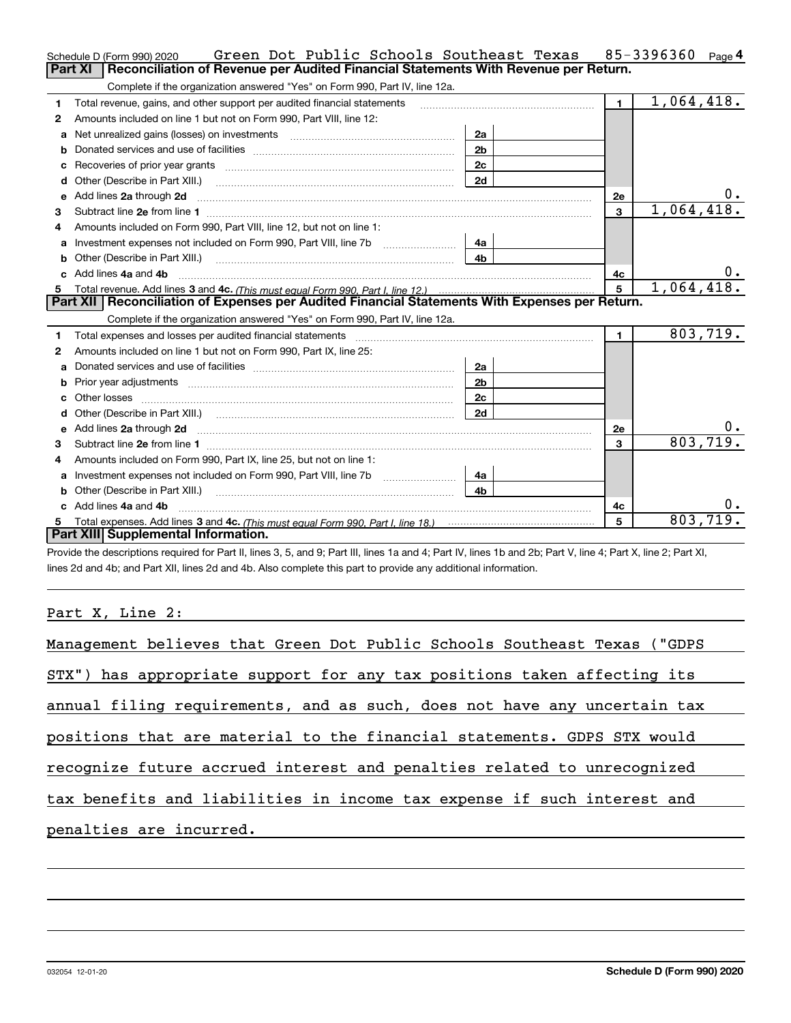|   | Green Dot Public Schools Southeast Texas<br>Schedule D (Form 990) 2020                                                                                                                                                              |                |                 | 85-3396360 Page 4 |
|---|-------------------------------------------------------------------------------------------------------------------------------------------------------------------------------------------------------------------------------------|----------------|-----------------|-------------------|
|   | <b>Part XI</b><br>Reconciliation of Revenue per Audited Financial Statements With Revenue per Return.                                                                                                                               |                |                 |                   |
|   | Complete if the organization answered "Yes" on Form 990, Part IV, line 12a.                                                                                                                                                         |                |                 |                   |
| 1 | Total revenue, gains, and other support per audited financial statements                                                                                                                                                            |                | $\mathbf{1}$    | 1,064,418.        |
| 2 | Amounts included on line 1 but not on Form 990, Part VIII, line 12:                                                                                                                                                                 |                |                 |                   |
| a | Net unrealized gains (losses) on investments [11] [11] Net unrealized gains (losses) on investments                                                                                                                                 | 2a             |                 |                   |
|   |                                                                                                                                                                                                                                     | 2 <sub>b</sub> |                 |                   |
| C | Recoveries of prior year grants [11] matter contracts and prior year grants [11] matter contracts and prior year grants and prior year of the contracts and prior year of the contracts and prior year of the contracts and pr      | 2c             |                 |                   |
| d | Other (Describe in Part XIII.)                                                                                                                                                                                                      | 2d             |                 |                   |
| е | Add lines 2a through 2d                                                                                                                                                                                                             |                | 2е              | υ.                |
| 3 |                                                                                                                                                                                                                                     |                | $\mathbf{3}$    | 1,064,418.        |
|   | Amounts included on Form 990, Part VIII, line 12, but not on line 1:                                                                                                                                                                |                |                 |                   |
| a |                                                                                                                                                                                                                                     | 4a             |                 |                   |
| b | Other (Describe in Part XIII.) <b>Construction Contract Construction</b> Chern Construction Construction Construction                                                                                                               | 4 <sub>b</sub> |                 |                   |
|   | Add lines 4a and 4b                                                                                                                                                                                                                 |                | 4с              | υ.                |
|   |                                                                                                                                                                                                                                     |                | $5\overline{5}$ | 1,064,418.        |
| 5 |                                                                                                                                                                                                                                     |                |                 |                   |
|   | Part XII Reconciliation of Expenses per Audited Financial Statements With Expenses per Return.                                                                                                                                      |                |                 |                   |
|   | Complete if the organization answered "Yes" on Form 990, Part IV, line 12a.                                                                                                                                                         |                |                 |                   |
| 1 |                                                                                                                                                                                                                                     |                | $\mathbf{1}$    | 803,719.          |
| 2 | Amounts included on line 1 but not on Form 990, Part IX, line 25:                                                                                                                                                                   |                |                 |                   |
| a |                                                                                                                                                                                                                                     | 2a             |                 |                   |
| b |                                                                                                                                                                                                                                     | 2 <sub>b</sub> |                 |                   |
|   |                                                                                                                                                                                                                                     | 2c             |                 |                   |
|   | Other (Describe in Part XIII.) (Contract and Contract and Chern Contract) (Chern Chern Chern Chern Chern Chern                                                                                                                      | 2d             |                 |                   |
| e | Add lines 2a through 2d <b>manufactures</b> in the contract of the contract of the contract of the contract of the contract of the contract of the contract of the contract of the contract of the contract of the contract of the  |                | 2e              | 0.                |
| 3 |                                                                                                                                                                                                                                     |                | 3               | 803,719.          |
| 4 | Amounts included on Form 990, Part IX, line 25, but not on line 1:                                                                                                                                                                  |                |                 |                   |
| a |                                                                                                                                                                                                                                     | 4a             |                 |                   |
| b | Other (Describe in Part XIII.) <b>Construction Contract Construction</b> Chemical Construction Chemical Chemical Chemical Chemical Chemical Chemical Chemical Chemical Chemical Chemical Chemical Chemical Chemical Chemical Chemic | 4 <sub>b</sub> |                 |                   |
|   | Add lines 4a and 4b                                                                                                                                                                                                                 |                | 4с              |                   |
|   | Part XIII Supplemental Information.                                                                                                                                                                                                 |                | 5               | 803,719.          |

Provide the descriptions required for Part II, lines 3, 5, and 9; Part III, lines 1a and 4; Part IV, lines 1b and 2b; Part V, line 4; Part X, line 2; Part XI, lines 2d and 4b; and Part XII, lines 2d and 4b. Also complete this part to provide any additional information.

## Part X, Line 2:

| Management believes that Green Dot Public Schools Southeast Texas ("GDPS |
|--------------------------------------------------------------------------|
| STX") has appropriate support for any tax positions taken affecting its  |
| annual filing requirements, and as such, does not have any uncertain tax |
| positions that are material to the financial statements. GDPS STX would  |
| recognize future accrued interest and penalties related to unrecognized  |
| tax benefits and liabilities in income tax expense if such interest and  |
| penalties are incurred.                                                  |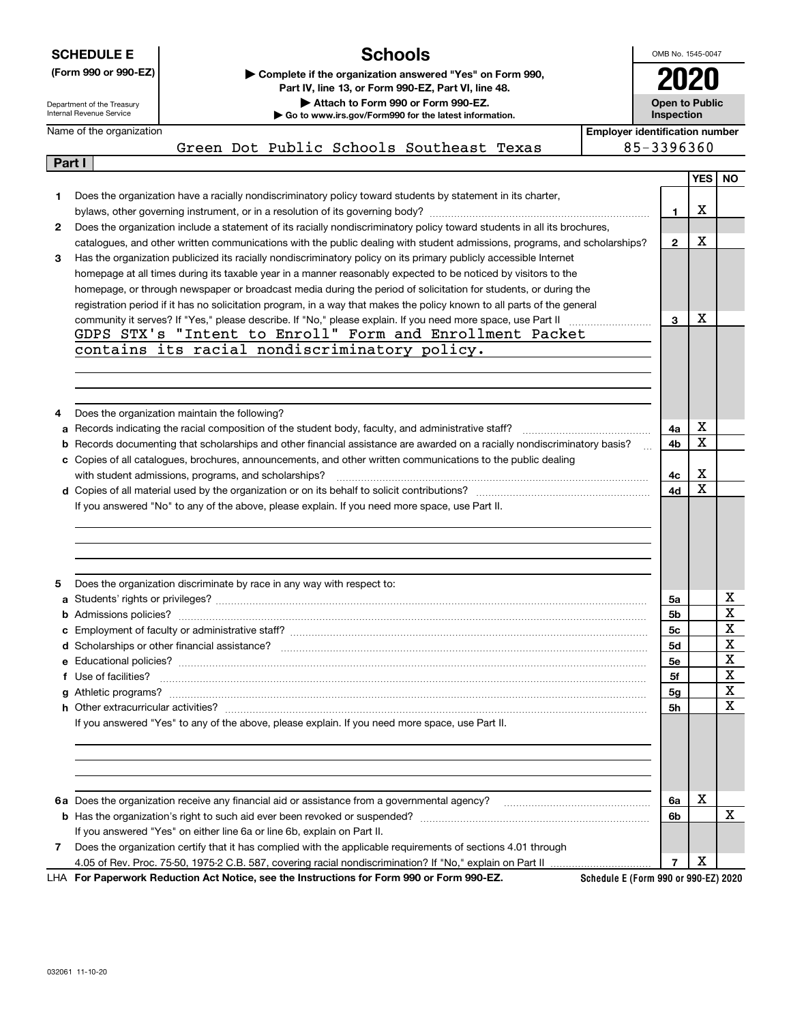|              | <b>SCHEDULE E</b>                                      | <b>Schools</b>                                                                                                                                                                                                                                        |                                       | OMB No. 1545-0047                   |                  |           |
|--------------|--------------------------------------------------------|-------------------------------------------------------------------------------------------------------------------------------------------------------------------------------------------------------------------------------------------------------|---------------------------------------|-------------------------------------|------------------|-----------|
|              | (Form 990 or 990-EZ)                                   | Complete if the organization answered "Yes" on Form 990,                                                                                                                                                                                              |                                       |                                     |                  |           |
|              |                                                        | Part IV, line 13, or Form 990-EZ, Part VI, line 48.                                                                                                                                                                                                   |                                       |                                     |                  |           |
|              | Department of the Treasury<br>Internal Revenue Service | Attach to Form 990 or Form 990-EZ.<br>Go to www.irs.gov/Form990 for the latest information.                                                                                                                                                           |                                       | <b>Open to Public</b><br>Inspection |                  |           |
|              | Name of the organization                               |                                                                                                                                                                                                                                                       | <b>Emplover identification number</b> |                                     |                  |           |
|              |                                                        | Green Dot Public Schools Southeast Texas                                                                                                                                                                                                              | 85-3396360                            |                                     |                  |           |
| Part I       |                                                        |                                                                                                                                                                                                                                                       |                                       |                                     |                  |           |
|              |                                                        |                                                                                                                                                                                                                                                       |                                       |                                     | YES <sup>I</sup> | <b>NO</b> |
| 1            |                                                        | Does the organization have a racially nondiscriminatory policy toward students by statement in its charter,                                                                                                                                           |                                       |                                     |                  |           |
|              |                                                        |                                                                                                                                                                                                                                                       |                                       | 1                                   | х                |           |
| $\mathbf{2}$ |                                                        | Does the organization include a statement of its racially nondiscriminatory policy toward students in all its brochures,<br>catalogues, and other written communications with the public dealing with student admissions, programs, and scholarships? |                                       | $\mathbf{2}$                        | х                |           |
| 3            |                                                        | Has the organization publicized its racially nondiscriminatory policy on its primary publicly accessible Internet                                                                                                                                     |                                       |                                     |                  |           |
|              |                                                        | homepage at all times during its taxable year in a manner reasonably expected to be noticed by visitors to the                                                                                                                                        |                                       |                                     |                  |           |
|              |                                                        | homepage, or through newspaper or broadcast media during the period of solicitation for students, or during the                                                                                                                                       |                                       |                                     |                  |           |
|              |                                                        | registration period if it has no solicitation program, in a way that makes the policy known to all parts of the general                                                                                                                               |                                       |                                     |                  |           |
|              |                                                        | community it serves? If "Yes," please describe. If "No," please explain. If you need more space, use Part II                                                                                                                                          |                                       | 3                                   | х                |           |
|              |                                                        | GDPS STX's "Intent to Enroll" Form and Enrollment Packet                                                                                                                                                                                              |                                       |                                     |                  |           |
|              |                                                        | contains its racial nondiscriminatory policy.                                                                                                                                                                                                         |                                       |                                     |                  |           |
|              |                                                        |                                                                                                                                                                                                                                                       |                                       |                                     |                  |           |
|              |                                                        |                                                                                                                                                                                                                                                       |                                       |                                     |                  |           |
|              |                                                        |                                                                                                                                                                                                                                                       |                                       |                                     |                  |           |
| 4            |                                                        | Does the organization maintain the following?                                                                                                                                                                                                         |                                       |                                     |                  |           |
|              | 4a                                                     |                                                                                                                                                                                                                                                       |                                       |                                     |                  |           |
|              |                                                        | <b>b</b> Records documenting that scholarships and other financial assistance are awarded on a racially nondiscriminatory basis?                                                                                                                      |                                       | 4b                                  | х                |           |
|              |                                                        | c Copies of all catalogues, brochures, announcements, and other written communications to the public dealing                                                                                                                                          |                                       |                                     |                  |           |
|              |                                                        | with student admissions, programs, and scholarships?                                                                                                                                                                                                  |                                       | 4с                                  | х                |           |
|              |                                                        |                                                                                                                                                                                                                                                       |                                       | 4d                                  | x                |           |
|              |                                                        | If you answered "No" to any of the above, please explain. If you need more space, use Part II.                                                                                                                                                        |                                       |                                     |                  |           |
|              |                                                        |                                                                                                                                                                                                                                                       |                                       |                                     |                  |           |
| 5            |                                                        | Does the organization discriminate by race in any way with respect to:                                                                                                                                                                                |                                       |                                     |                  |           |
| a            |                                                        |                                                                                                                                                                                                                                                       |                                       | 5a                                  |                  | x         |
|              |                                                        |                                                                                                                                                                                                                                                       |                                       | 5b                                  |                  | X         |
|              |                                                        |                                                                                                                                                                                                                                                       |                                       | 5c                                  |                  | X         |
|              |                                                        |                                                                                                                                                                                                                                                       |                                       | <b>5d</b>                           |                  | X         |
|              |                                                        |                                                                                                                                                                                                                                                       |                                       | 5е                                  |                  | X         |
|              |                                                        | f Use of facilities? <b>www.communities.</b> We can be a series of the contract of the contract of the contract of the contract of the contract of the contract of the contract of the contract of the contract of the contract of                    |                                       | 5f                                  |                  | X         |
|              |                                                        |                                                                                                                                                                                                                                                       |                                       | 5g                                  |                  | X         |
|              |                                                        |                                                                                                                                                                                                                                                       |                                       | 5h                                  |                  | X         |
|              |                                                        | If you answered "Yes" to any of the above, please explain. If you need more space, use Part II.                                                                                                                                                       |                                       |                                     |                  |           |
|              |                                                        |                                                                                                                                                                                                                                                       |                                       |                                     |                  |           |
|              |                                                        |                                                                                                                                                                                                                                                       |                                       | 6a                                  | X                |           |
|              |                                                        |                                                                                                                                                                                                                                                       |                                       | 6b                                  |                  | x         |
|              |                                                        | If you answered "Yes" on either line 6a or line 6b, explain on Part II.                                                                                                                                                                               |                                       |                                     |                  |           |
| 7            |                                                        | Does the organization certify that it has complied with the applicable requirements of sections 4.01 through                                                                                                                                          |                                       |                                     |                  |           |
|              |                                                        |                                                                                                                                                                                                                                                       |                                       | $\overline{7}$                      | х                |           |

**For Paperwork Reduction Act Notice, see the Instructions for Form 990 or Form 990-EZ.** LHA

**Schedule E (Form 990 or 990-EZ) 2020**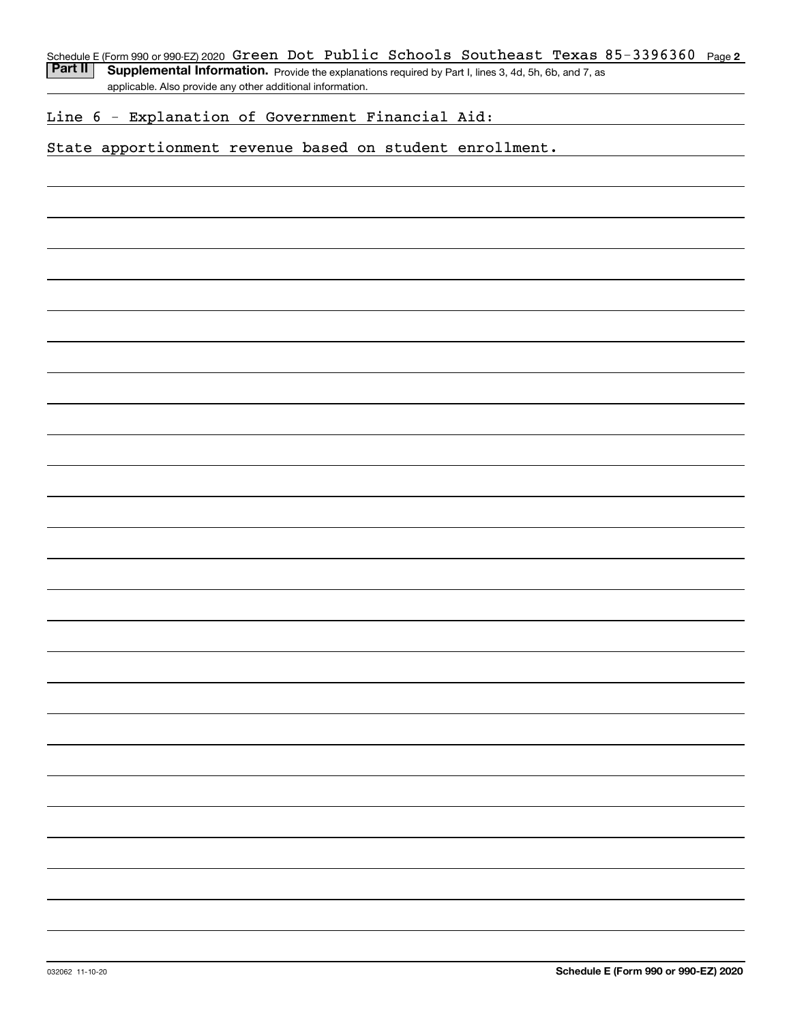Part II | Supplemental Information. Provide the explanations required by Part I, lines 3, 4d, 5h, 6b, and 7, as applicable. Also provide any other additional information.

## Line 6 - Explanation of Government Financial Aid:

## State apportionment revenue based on student enrollment.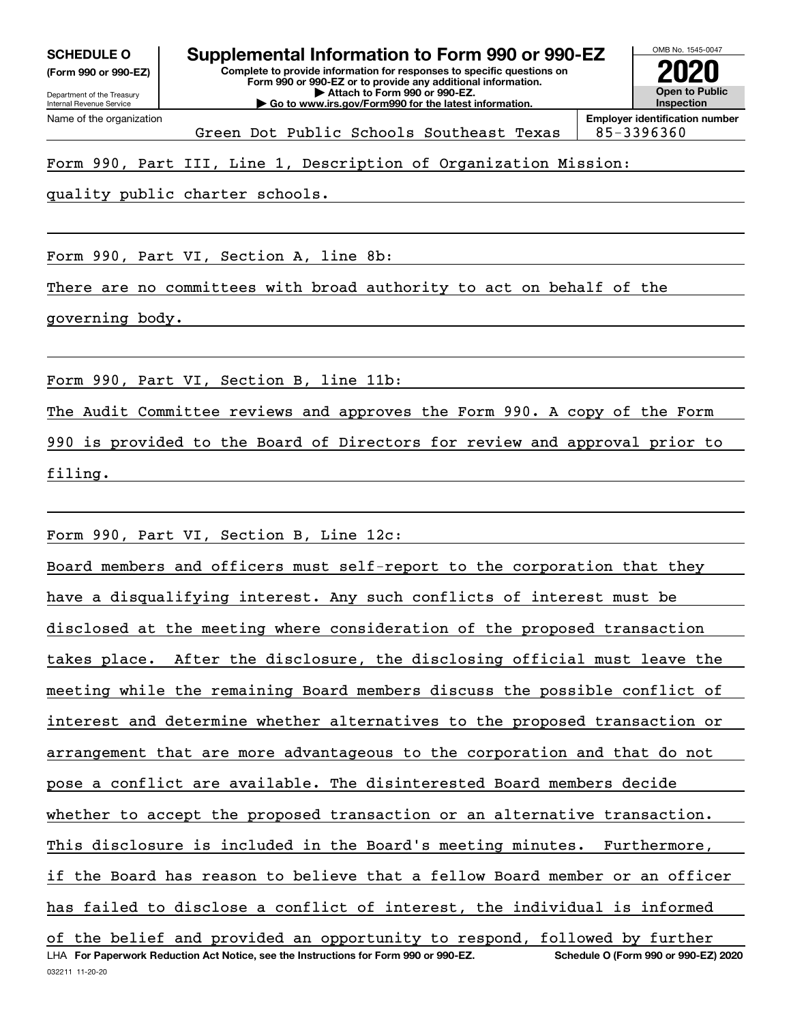**(Form 990 or 990-EZ)**

Green Dot Public Schools Southeast Texas | 85-3396360

## Form 990, Part III, Line 1, Description of Organization Mission:

quality public charter schools.

Form 990, Part VI, Section A, line 8b:

There are no committees with broad authority to act on behalf of the

governing body.

Form 990, Part VI, Section B, line 11b:

The Audit Committee reviews and approves the Form 990. A copy of the Form

990 is provided to the Board of Directors for review and approval prior to filing.

Form 990, Part VI, Section B, Line 12c:

032211 11-20-20 LHA For Paperwork Reduction Act Notice, see the Instructions for Form 990 or 990-EZ. Schedule O (Form 990 or 990-EZ) 2020 Board members and officers must self-report to the corporation that they have a disqualifying interest. Any such conflicts of interest must be disclosed at the meeting where consideration of the proposed transaction takes place. After the disclosure, the disclosing official must leave the meeting while the remaining Board members discuss the possible conflict of interest and determine whether alternatives to the proposed transaction or arrangement that are more advantageous to the corporation and that do not pose a conflict are available. The disinterested Board members decide whether to accept the proposed transaction or an alternative transaction. This disclosure is included in the Board's meeting minutes. Furthermore, if the Board has reason to believe that a fellow Board member or an officer has failed to disclose a conflict of interest, the individual is informed of the belief and provided an opportunity to respond, followed by further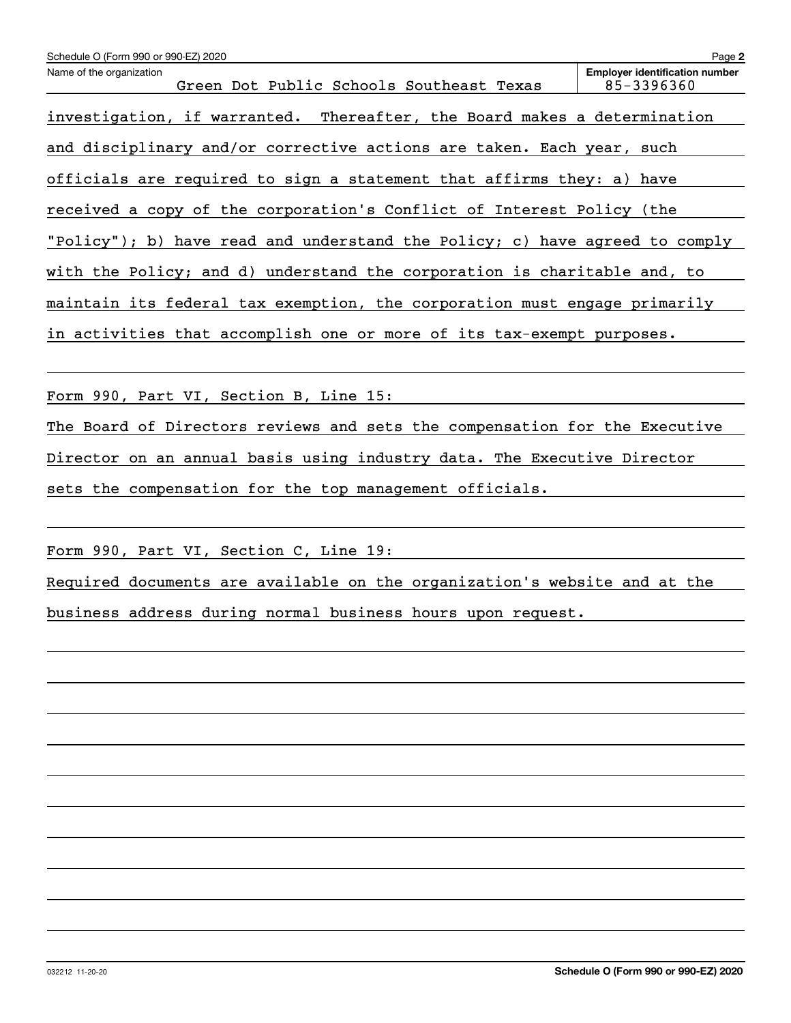| Schedule O (Form 990 or 990-EZ) 2020                                        | Page 2                                              |
|-----------------------------------------------------------------------------|-----------------------------------------------------|
| Name of the organization<br>Green Dot Public Schools Southeast Texas        | <b>Employer identification number</b><br>85-3396360 |
| investigation, if warranted. Thereafter, the Board makes a determination    |                                                     |
| and disciplinary and/or corrective actions are taken. Each year, such       |                                                     |
| officials are required to sign a statement that affirms they: a) have       |                                                     |
| received a copy of the corporation's Conflict of Interest Policy (the       |                                                     |
| "Policy"); b) have read and understand the Policy; c) have agreed to comply |                                                     |
| with the Policy; and d) understand the corporation is charitable and, to    |                                                     |
| maintain its federal tax exemption, the corporation must engage primarily   |                                                     |
| in activities that accomplish one or more of its tax-exempt purposes.       |                                                     |
|                                                                             |                                                     |
| Form 990, Part VI, Section B, Line 15:                                      |                                                     |
| The Board of Directors reviews and sets the compensation for the Executive  |                                                     |
| Director on an annual basis using industry data. The Executive Director     |                                                     |
| sets the compensation for the top management officials.                     |                                                     |
|                                                                             |                                                     |
| Form 990, Part VI, Section C, Line 19:                                      |                                                     |

Required documents are available on the organization's website and at the business address during normal business hours upon request.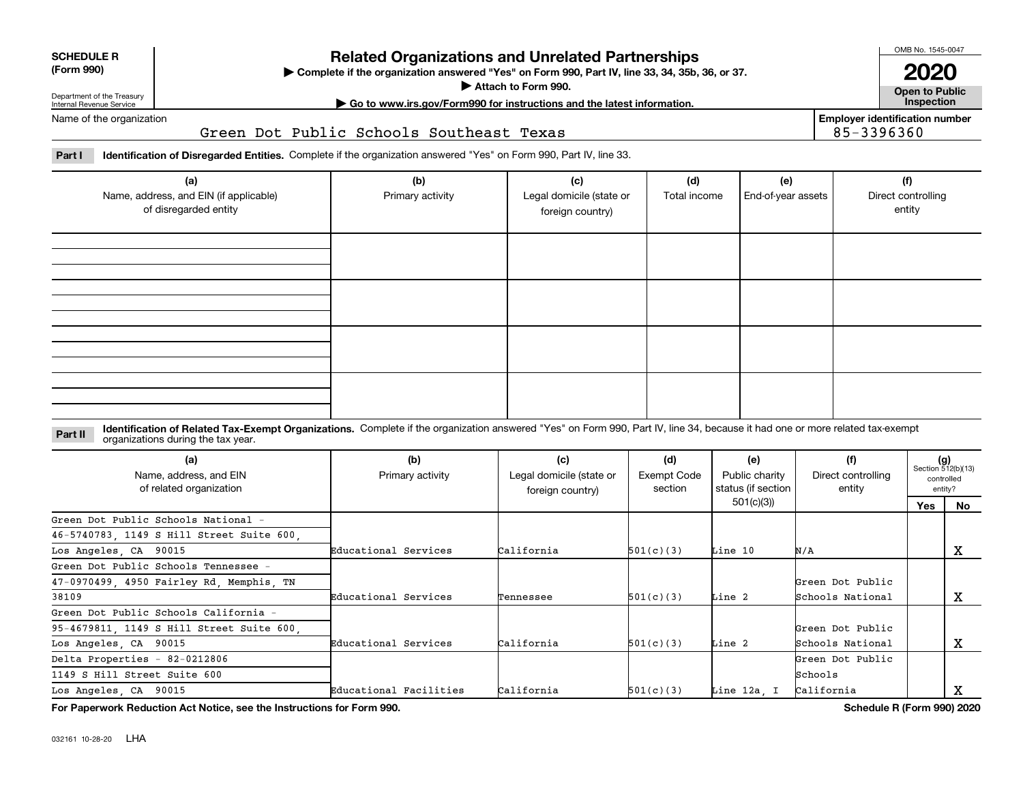| <b>SCHEDULE R</b> |
|-------------------|
|                   |

#### **(Form 990)**

## **Related Organizations and Unrelated Partnerships**

**Complete if the organization answered "Yes" on Form 990, Part IV, line 33, 34, 35b, 36, or 37.** |

**Attach to Form 990.**  |

OMB No. 1545-0047

**Open to Public 2020**

**Employer identification number**

85-3396360

Department of the Treasury Internal Revenue Service Name of the organization **| Go to www.irs.gov/Form990 for instructions and the latest information. Inspection**

Green Dot Public Schools Southeast Texas

**Part I Identification of Disregarded Entities.**  Complete if the organization answered "Yes" on Form 990, Part IV, line 33.

| (a)<br>Name, address, and EIN (if applicable)<br>of disregarded entity | (b)<br>Primary activity | (c)<br>Legal domicile (state or<br>foreign country) | (d)<br>Total income | (e)<br>End-of-year assets | (f)<br>Direct controlling<br>entity |
|------------------------------------------------------------------------|-------------------------|-----------------------------------------------------|---------------------|---------------------------|-------------------------------------|
|                                                                        |                         |                                                     |                     |                           |                                     |
|                                                                        |                         |                                                     |                     |                           |                                     |
|                                                                        |                         |                                                     |                     |                           |                                     |
|                                                                        |                         |                                                     |                     |                           |                                     |

**Identification of Related Tax-Exempt Organizations.** Complete if the organization answered "Yes" on Form 990, Part IV, line 34, because it had one or more related tax-exempt **Part II** organizations during the tax year.

| (a)<br>Name, address, and EIN<br>of related organization | (b)<br>Primary activity | (c)<br>Legal domicile (state or<br>foreign country) | (d)<br>Exempt Code<br>section | (e)<br>Public charity<br>status (if section | (f)<br>Direct controlling<br>entity | $(g)$<br>Section 512(b)(13) | controlled<br>entity? |
|----------------------------------------------------------|-------------------------|-----------------------------------------------------|-------------------------------|---------------------------------------------|-------------------------------------|-----------------------------|-----------------------|
|                                                          |                         |                                                     |                               | 501(c)(3))                                  |                                     | <b>Yes</b>                  | No.                   |
| Green Dot Public Schools National -                      |                         |                                                     |                               |                                             |                                     |                             |                       |
| 46-5740783, 1149 S Hill Street Suite 600,                |                         |                                                     |                               |                                             |                                     |                             |                       |
| Los Angeles, CA 90015                                    | Educational Services    | California                                          | 501(c)(3)                     | Line 10                                     | N/A                                 |                             | x                     |
| Green Dot Public Schools Tennessee -                     |                         |                                                     |                               |                                             |                                     |                             |                       |
| 47-0970499 4950 Fairley Rd Memphis TN                    |                         |                                                     |                               |                                             | Green Dot Public                    |                             |                       |
| 38109                                                    | Educational Services    | Tennessee                                           | 501(c)(3)                     | Line 2                                      | Schools National                    |                             | x                     |
| Green Dot Public Schools California -                    |                         |                                                     |                               |                                             |                                     |                             |                       |
| 95-4679811, 1149 S Hill Street Suite 600,                |                         |                                                     |                               |                                             | Green Dot Public                    |                             |                       |
| Los Angeles, CA 90015                                    | Educational Services    | California                                          | 501(c)(3)                     | Line 2                                      | Schools National                    |                             | х                     |
| Delta Properties - 82-0212806                            |                         |                                                     |                               |                                             | Green Dot Public                    |                             |                       |
| 1149 S Hill Street Suite 600                             |                         |                                                     |                               |                                             | Schools                             |                             |                       |
| Los Angeles, CA 90015                                    | Educational Facilities  | California                                          | 501(c)(3)                     | Line 12a. I                                 | California                          |                             | x                     |

**For Paperwork Reduction Act Notice, see the Instructions for Form 990. Schedule R (Form 990) 2020**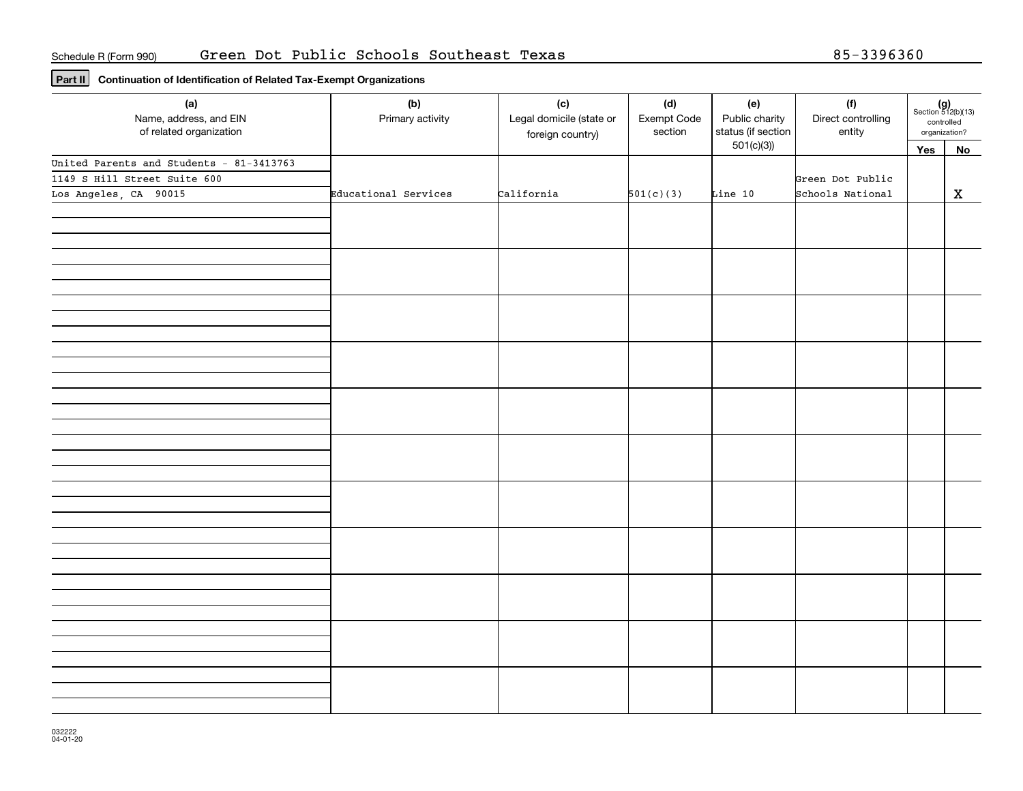## **Part II Continuation of Identification of Related Tax-Exempt Organizations**

| (a)<br>Name, address, and EIN<br>of related organization | (b)<br>Primary activity | (c)<br>Legal domicile (state or<br>foreign country) | (d)<br>Exempt Code<br>section | (e)<br>Public charity<br>status (if section | (f)<br>Direct controlling<br>entity | $(g)$<br>Section 512(b)(13)<br>controlled<br>organization? |             |
|----------------------------------------------------------|-------------------------|-----------------------------------------------------|-------------------------------|---------------------------------------------|-------------------------------------|------------------------------------------------------------|-------------|
|                                                          |                         |                                                     |                               | 501(c)(3)                                   |                                     | Yes                                                        | No          |
| United Parents and Students - 81-3413763                 |                         |                                                     |                               |                                             |                                     |                                                            |             |
| 1149 S Hill Street Suite 600                             |                         |                                                     |                               |                                             | Green Dot Public                    |                                                            |             |
| Los Angeles, CA 90015                                    | Educational Services    | California                                          | 501(c)(3)                     | Line 10                                     | Schools National                    |                                                            | $\mathbf x$ |
|                                                          |                         |                                                     |                               |                                             |                                     |                                                            |             |
|                                                          |                         |                                                     |                               |                                             |                                     |                                                            |             |
|                                                          |                         |                                                     |                               |                                             |                                     |                                                            |             |
|                                                          |                         |                                                     |                               |                                             |                                     |                                                            |             |
|                                                          |                         |                                                     |                               |                                             |                                     |                                                            |             |
|                                                          |                         |                                                     |                               |                                             |                                     |                                                            |             |
|                                                          |                         |                                                     |                               |                                             |                                     |                                                            |             |
|                                                          |                         |                                                     |                               |                                             |                                     |                                                            |             |
|                                                          |                         |                                                     |                               |                                             |                                     |                                                            |             |
|                                                          |                         |                                                     |                               |                                             |                                     |                                                            |             |
|                                                          |                         |                                                     |                               |                                             |                                     |                                                            |             |
|                                                          |                         |                                                     |                               |                                             |                                     |                                                            |             |
|                                                          |                         |                                                     |                               |                                             |                                     |                                                            |             |
|                                                          |                         |                                                     |                               |                                             |                                     |                                                            |             |
|                                                          |                         |                                                     |                               |                                             |                                     |                                                            |             |
|                                                          |                         |                                                     |                               |                                             |                                     |                                                            |             |
|                                                          |                         |                                                     |                               |                                             |                                     |                                                            |             |
|                                                          |                         |                                                     |                               |                                             |                                     |                                                            |             |
|                                                          |                         |                                                     |                               |                                             |                                     |                                                            |             |
|                                                          |                         |                                                     |                               |                                             |                                     |                                                            |             |
|                                                          |                         |                                                     |                               |                                             |                                     |                                                            |             |
|                                                          |                         |                                                     |                               |                                             |                                     |                                                            |             |
|                                                          |                         |                                                     |                               |                                             |                                     |                                                            |             |
|                                                          |                         |                                                     |                               |                                             |                                     |                                                            |             |
|                                                          |                         |                                                     |                               |                                             |                                     |                                                            |             |
|                                                          |                         |                                                     |                               |                                             |                                     |                                                            |             |
|                                                          |                         |                                                     |                               |                                             |                                     |                                                            |             |
|                                                          |                         |                                                     |                               |                                             |                                     |                                                            |             |
|                                                          |                         |                                                     |                               |                                             |                                     |                                                            |             |
|                                                          |                         |                                                     |                               |                                             |                                     |                                                            |             |
|                                                          |                         |                                                     |                               |                                             |                                     |                                                            |             |
|                                                          |                         |                                                     |                               |                                             |                                     |                                                            |             |
|                                                          |                         |                                                     |                               |                                             |                                     |                                                            |             |
|                                                          |                         |                                                     |                               |                                             |                                     |                                                            |             |
|                                                          |                         |                                                     |                               |                                             |                                     |                                                            |             |
|                                                          |                         |                                                     |                               |                                             |                                     |                                                            |             |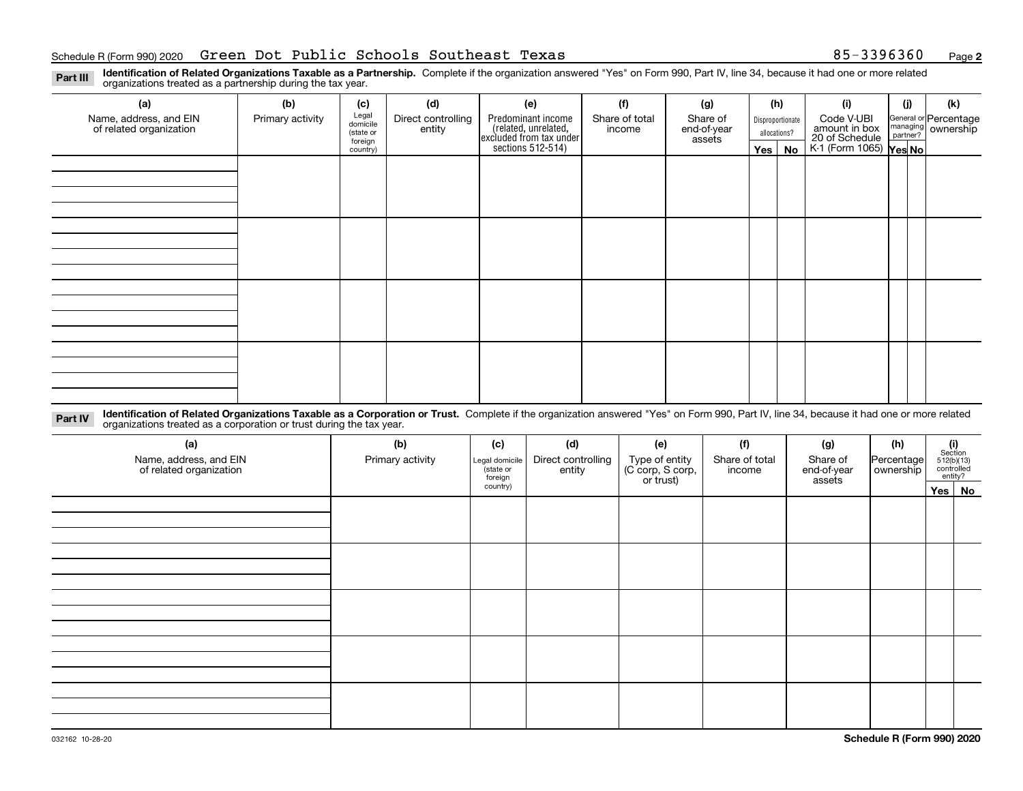**2**

**Identification of Related Organizations Taxable as a Partnership.** Complete if the organization answered "Yes" on Form 990, Part IV, line 34, because it had one or more related **Part III** organizations treated as a partnership during the tax year.

| (a)<br>Name, address, and EIN<br>of related organization | (b)<br>Primary activity | (c)<br>Legal<br>domicile<br>(state or<br>foreign<br>country) | (d)<br>Direct controlling<br>entity | (e)<br>Predominant income<br>(related, unrelated,<br>excluded from tax under<br>sections 512-514) | (f)<br>Share of total<br>income | (g)<br>Share of<br>end-of-year<br>assets | (h)<br>Yes $ $ | Disproportionate<br>allocations?<br>No | (i)<br>Code V-UBI<br>amount in box<br>20 of Schedule<br>K-1 (Form 1065) Yes No | (i) | (k)<br>General or Percentage<br>managing ownership<br>partner? |
|----------------------------------------------------------|-------------------------|--------------------------------------------------------------|-------------------------------------|---------------------------------------------------------------------------------------------------|---------------------------------|------------------------------------------|----------------|----------------------------------------|--------------------------------------------------------------------------------|-----|----------------------------------------------------------------|
|                                                          |                         |                                                              |                                     |                                                                                                   |                                 |                                          |                |                                        |                                                                                |     |                                                                |
|                                                          |                         |                                                              |                                     |                                                                                                   |                                 |                                          |                |                                        |                                                                                |     |                                                                |
|                                                          |                         |                                                              |                                     |                                                                                                   |                                 |                                          |                |                                        |                                                                                |     |                                                                |
|                                                          |                         |                                                              |                                     |                                                                                                   |                                 |                                          |                |                                        |                                                                                |     |                                                                |

**Identification of Related Organizations Taxable as a Corporation or Trust.** Complete if the organization answered "Yes" on Form 990, Part IV, line 34, because it had one or more related **Part IV** organizations treated as a corporation or trust during the tax year.

| (a)<br>Name, address, and EIN<br>of related organization | (b)<br>Primary activity | (c)<br>Legal domicile<br>(state or<br>foreign | (d)<br>Direct controlling<br>entity | (e)<br>Type of entity<br>(C corp, S corp,<br>or trust) | (f)<br>Share of total<br>income | (g)<br>Share of<br>end-of-year<br>assets | (h)<br>Percentage<br>ownership | $(i)$ Section<br>512(b)(13)<br>controlled<br>entity? |
|----------------------------------------------------------|-------------------------|-----------------------------------------------|-------------------------------------|--------------------------------------------------------|---------------------------------|------------------------------------------|--------------------------------|------------------------------------------------------|
|                                                          |                         | country)                                      |                                     |                                                        |                                 |                                          |                                | Yes No                                               |
|                                                          |                         |                                               |                                     |                                                        |                                 |                                          |                                |                                                      |
|                                                          |                         |                                               |                                     |                                                        |                                 |                                          |                                |                                                      |
|                                                          |                         |                                               |                                     |                                                        |                                 |                                          |                                |                                                      |
|                                                          |                         |                                               |                                     |                                                        |                                 |                                          |                                |                                                      |
|                                                          |                         |                                               |                                     |                                                        |                                 |                                          |                                |                                                      |
|                                                          |                         |                                               |                                     |                                                        |                                 |                                          |                                |                                                      |
|                                                          |                         |                                               |                                     |                                                        |                                 |                                          |                                |                                                      |
|                                                          |                         |                                               |                                     |                                                        |                                 |                                          |                                |                                                      |
|                                                          |                         |                                               |                                     |                                                        |                                 |                                          |                                |                                                      |
|                                                          |                         |                                               |                                     |                                                        |                                 |                                          |                                |                                                      |
|                                                          |                         |                                               |                                     |                                                        |                                 |                                          |                                |                                                      |
|                                                          |                         |                                               |                                     |                                                        |                                 |                                          |                                |                                                      |
|                                                          |                         |                                               |                                     |                                                        |                                 |                                          |                                |                                                      |
|                                                          |                         |                                               |                                     |                                                        |                                 |                                          |                                |                                                      |
|                                                          |                         |                                               |                                     |                                                        |                                 |                                          |                                |                                                      |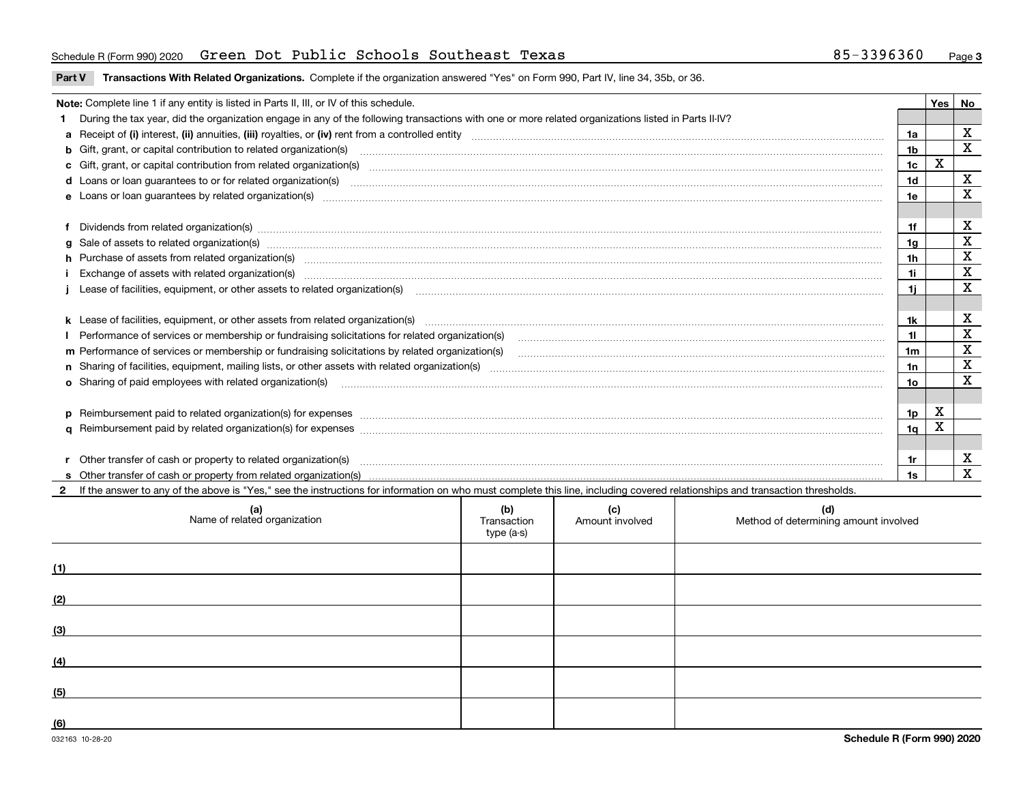#### Schedule R(Form 990) 2020 Green Dot Public Schools Southeast Texas 85-3396360 <sub>Page</sub>

**Part V** T**ransactions With Related Organizations.** Complete if the organization answered "Yes" on Form 990, Part IV, line 34, 35b, or 36.

| Note: Complete line 1 if any entity is listed in Parts II, III, or IV of this schedule.                                                                                                                                        |                | Yes | No           |  |  |
|--------------------------------------------------------------------------------------------------------------------------------------------------------------------------------------------------------------------------------|----------------|-----|--------------|--|--|
| During the tax year, did the organization engage in any of the following transactions with one or more related organizations listed in Parts II-IV?                                                                            |                |     |              |  |  |
|                                                                                                                                                                                                                                | 1a             |     | X            |  |  |
| b Gift, grant, or capital contribution to related organization(s) manufaction contribution of the contribution to related organization(s) manufaction contribution to related organization(s)                                  | 1b             |     | $\mathbf{x}$ |  |  |
| c Gift, grant, or capital contribution from related organization(s) manufaction content to content and contribution from related organization(s) manufaction content and contribution from related organization(s) manufaction | 1c             | X   |              |  |  |
| <b>d</b> Loans or loan quarantees to or for related organization(s)                                                                                                                                                            | 1 <sub>d</sub> |     | $\mathbf x$  |  |  |
|                                                                                                                                                                                                                                | 1e             |     | $\mathbf x$  |  |  |
|                                                                                                                                                                                                                                |                |     |              |  |  |
| f Dividends from related organization(s) manufactured contains and contained a series of the contact of the contact of the contact of the contact of the contact of the contact of the contact of the contact of the contact o | 1f             |     | X            |  |  |
|                                                                                                                                                                                                                                | 1a             |     | X            |  |  |
| h Purchase of assets from related organization(s) www.assettion.com/www.assettion.com/www.assettion.com/www.assettion.com/www.assettion.com/www.assettion.com/www.assettion.com/www.assettion.com/www.assettion.com/www.assett | 1 <sub>h</sub> |     | X            |  |  |
| Exchange of assets with related organization(s) www.wallen.com/www.wallen.com/www.wallen.com/www.wallen.com/www.wallen.com/www.wallen.com/www.wallen.com/www.wallen.com/www.wallen.com/www.wallen.com/www.wallen.com/www.walle | 1i             |     | X            |  |  |
| 1i                                                                                                                                                                                                                             |                |     |              |  |  |
|                                                                                                                                                                                                                                |                |     |              |  |  |
|                                                                                                                                                                                                                                | 1k             |     | $\mathbf X$  |  |  |
|                                                                                                                                                                                                                                | 11             |     | X            |  |  |
| m Performance of services or membership or fundraising solicitations by related organization(s)                                                                                                                                | 1 <sub>m</sub> |     | $\mathbf x$  |  |  |
|                                                                                                                                                                                                                                | 1n             |     | X            |  |  |
| o Sharing of paid employees with related organization(s) manufactured content to the content of the content of the content of the content of the content of the content of the content of the content of the content of the co | 10.            |     | X            |  |  |
|                                                                                                                                                                                                                                |                |     |              |  |  |
| p Reimbursement paid to related organization(s) for expenses [1111] and the content of the content of the content of the content of the content of the content of the content of the content of the content of the content of  | 1p             | X   |              |  |  |
|                                                                                                                                                                                                                                | 1 <sub>q</sub> | X   |              |  |  |
|                                                                                                                                                                                                                                |                |     |              |  |  |
| r Other transfer of cash or property to related organization(s)                                                                                                                                                                | 1r             |     | X            |  |  |
|                                                                                                                                                                                                                                | 1s             |     | $\mathbf{x}$ |  |  |
| If the answer to any of the above is "Yes," see the instructions for information on who must complete this line, including covered relationships and transaction thresholds.                                                   |                |     |              |  |  |

| (a)<br>Name of related organization | (b)<br>Transaction<br>type (a-s) | (c)<br>Amount involved | (d)<br>Method of determining amount involved |
|-------------------------------------|----------------------------------|------------------------|----------------------------------------------|
| (1)                                 |                                  |                        |                                              |
| (2)                                 |                                  |                        |                                              |
| (3)                                 |                                  |                        |                                              |
| (4)                                 |                                  |                        |                                              |
| (5)                                 |                                  |                        |                                              |
| (6)                                 |                                  |                        |                                              |

 $\overline{\phantom{0}}$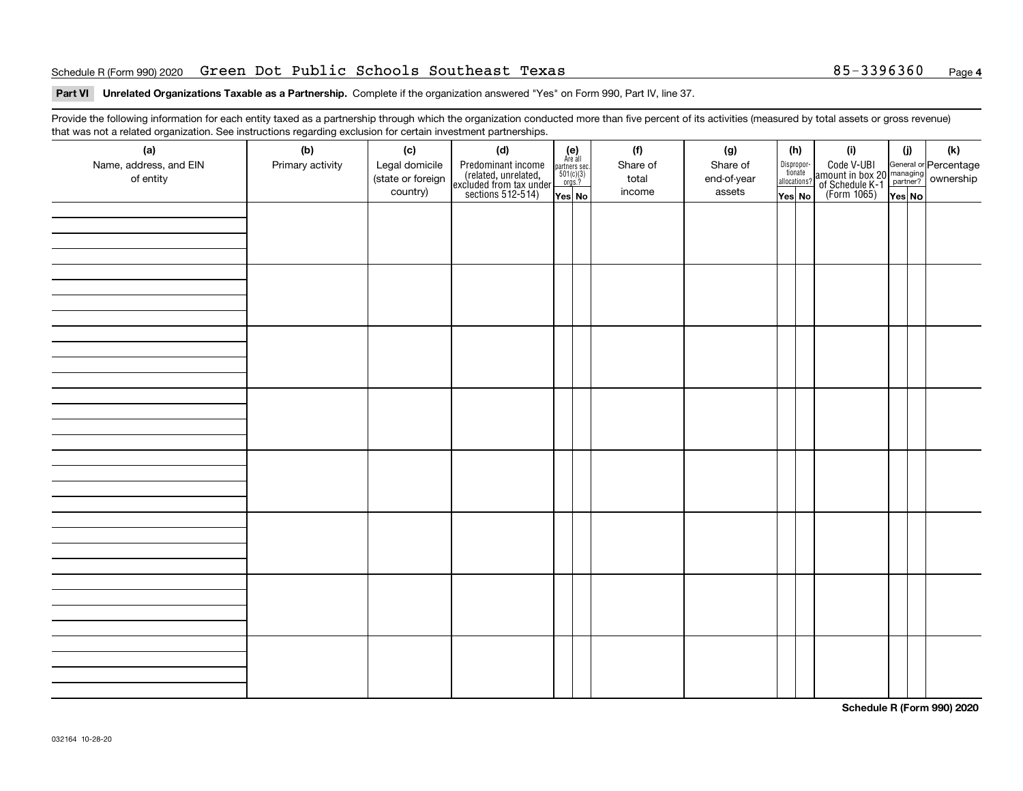#### Schedule R(Form 990) 2020 Green Dot Public Schools Southeast Texas 85-3396360 <sub>Page</sub>

#### **Part VI Unrelated Organizations Taxable as a Partnership. Complete if the organization answered "Yes" on Form 990, Part IV, line 37.**

Provide the following information for each entity taxed as a partnership through which the organization conducted more than five percent of its activities (measured by total assets or gross revenue) that was not a related organization. See instructions regarding exclusion for certain investment partnerships.

| that was not a related organization. Occ instructions regarding exclusion for certain investment partnerships.<br>(a) | (b)              | (c)                                             | (d)                                                                                        |                                                                         | (f)                         | (g)                               |                  | (h)                                   | (i)                                                                                              | (i)   | $(\mathsf{k})$ |
|-----------------------------------------------------------------------------------------------------------------------|------------------|-------------------------------------------------|--------------------------------------------------------------------------------------------|-------------------------------------------------------------------------|-----------------------------|-----------------------------------|------------------|---------------------------------------|--------------------------------------------------------------------------------------------------|-------|----------------|
| Name, address, and EIN<br>of entity                                                                                   | Primary activity | Legal domicile<br>(state or foreign<br>country) | Predominant income<br>(related, unrelated,<br>excluded from tax under<br>sections 512-514) | (e)<br>Are all<br>partners sec.<br>$\frac{501(c)(3)}{0rgs.?}$<br>Yes No | Share of<br>total<br>income | Share of<br>end-of-year<br>assets | $\sqrt{Y}$ es No | Dispropor-<br>tionate<br>allocations? | Code V-UBI<br>amount in box 20 managing<br>of Schedule K-1<br>(Form 1065)<br>$\overline{Yes}$ No | YesNO |                |
|                                                                                                                       |                  |                                                 |                                                                                            |                                                                         |                             |                                   |                  |                                       |                                                                                                  |       |                |
|                                                                                                                       |                  |                                                 |                                                                                            |                                                                         |                             |                                   |                  |                                       |                                                                                                  |       |                |
|                                                                                                                       |                  |                                                 |                                                                                            |                                                                         |                             |                                   |                  |                                       |                                                                                                  |       |                |
|                                                                                                                       |                  |                                                 |                                                                                            |                                                                         |                             |                                   |                  |                                       |                                                                                                  |       |                |
|                                                                                                                       |                  |                                                 |                                                                                            |                                                                         |                             |                                   |                  |                                       |                                                                                                  |       |                |
|                                                                                                                       |                  |                                                 |                                                                                            |                                                                         |                             |                                   |                  |                                       |                                                                                                  |       |                |
|                                                                                                                       |                  |                                                 |                                                                                            |                                                                         |                             |                                   |                  |                                       |                                                                                                  |       |                |
|                                                                                                                       |                  |                                                 |                                                                                            |                                                                         |                             |                                   |                  |                                       |                                                                                                  |       |                |
|                                                                                                                       |                  |                                                 |                                                                                            |                                                                         |                             |                                   |                  |                                       |                                                                                                  |       |                |
|                                                                                                                       |                  |                                                 |                                                                                            |                                                                         |                             |                                   |                  |                                       |                                                                                                  |       |                |
|                                                                                                                       |                  |                                                 |                                                                                            |                                                                         |                             |                                   |                  |                                       |                                                                                                  |       |                |
|                                                                                                                       |                  |                                                 |                                                                                            |                                                                         |                             |                                   |                  |                                       |                                                                                                  |       |                |
|                                                                                                                       |                  |                                                 |                                                                                            |                                                                         |                             |                                   |                  |                                       |                                                                                                  |       |                |
|                                                                                                                       |                  |                                                 |                                                                                            |                                                                         |                             |                                   |                  |                                       |                                                                                                  |       |                |
|                                                                                                                       |                  |                                                 |                                                                                            |                                                                         |                             |                                   |                  |                                       |                                                                                                  |       |                |
|                                                                                                                       |                  |                                                 |                                                                                            |                                                                         |                             |                                   |                  |                                       |                                                                                                  |       |                |
|                                                                                                                       |                  |                                                 |                                                                                            |                                                                         |                             |                                   |                  |                                       |                                                                                                  |       |                |
|                                                                                                                       |                  |                                                 |                                                                                            |                                                                         |                             |                                   |                  |                                       |                                                                                                  |       |                |
|                                                                                                                       |                  |                                                 |                                                                                            |                                                                         |                             |                                   |                  |                                       |                                                                                                  |       |                |
|                                                                                                                       |                  |                                                 |                                                                                            |                                                                         |                             |                                   |                  |                                       |                                                                                                  |       |                |
|                                                                                                                       |                  |                                                 |                                                                                            |                                                                         |                             |                                   |                  |                                       |                                                                                                  |       |                |
|                                                                                                                       |                  |                                                 |                                                                                            |                                                                         |                             |                                   |                  |                                       |                                                                                                  |       |                |
|                                                                                                                       |                  |                                                 |                                                                                            |                                                                         |                             |                                   |                  |                                       |                                                                                                  |       |                |
|                                                                                                                       |                  |                                                 |                                                                                            |                                                                         |                             |                                   |                  |                                       |                                                                                                  |       |                |
|                                                                                                                       |                  |                                                 |                                                                                            |                                                                         |                             |                                   |                  |                                       |                                                                                                  |       |                |
|                                                                                                                       |                  |                                                 |                                                                                            |                                                                         |                             |                                   |                  |                                       |                                                                                                  |       |                |
|                                                                                                                       |                  |                                                 |                                                                                            |                                                                         |                             |                                   |                  |                                       |                                                                                                  |       |                |
|                                                                                                                       |                  |                                                 |                                                                                            |                                                                         |                             |                                   |                  |                                       |                                                                                                  |       |                |
|                                                                                                                       |                  |                                                 |                                                                                            |                                                                         |                             |                                   |                  |                                       |                                                                                                  |       |                |

**Schedule R (Form 990) 2020**